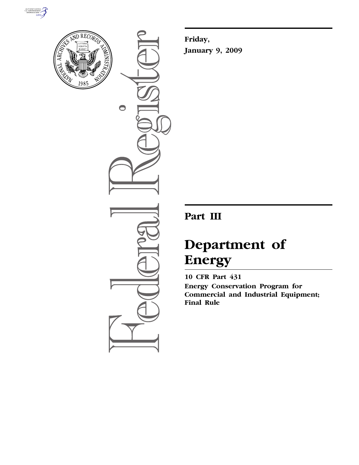



 $\bullet$ 

**Friday, January 9, 2009** 

## **Part III**

# **Department of Energy**

**10 CFR Part 431 Energy Conservation Program for Commercial and Industrial Equipment; Final Rule**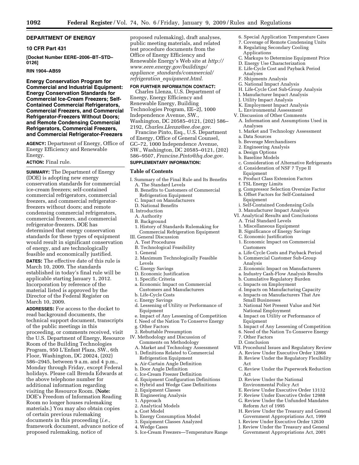#### **DEPARTMENT OF ENERGY**

#### **10 CFR Part 431**

**[Docket Number EERE–2006–BT–STD– 0126]** 

#### **RIN 1904–AB59**

**Energy Conservation Program for Commercial and Industrial Equipment: Energy Conservation Standards for Commercial Ice-Cream Freezers; Self-Contained Commercial Refrigerators, Commercial Freezers, and Commercial Refrigerator-Freezers Without Doors; and Remote Condensing Commercial Refrigerators, Commercial Freezers, and Commercial Refrigerator-Freezers** 

**AGENCY:** Department of Energy, Office of Energy Efficiency and Renewable Energy.

#### **ACTION:** Final rule.

**SUMMARY:** The Department of Energy (DOE) is adopting new energy conservation standards for commercial ice-cream freezers; self-contained commercial refrigerators, commercial freezers, and commercial refrigeratorfreezers without doors; and remote condensing commercial refrigerators, commercial freezers, and commercial refrigerator-freezers. DOE has determined that energy conservation standards for these types of equipment would result in significant conservation of energy, and are technologically feasible and economically justified.

**DATES:** The effective date of this rule is March 10, 2009. The standards established in today's final rule will be applicable starting January 1, 2012. Incorporation by reference of the material listed is approved by the Director of the Federal Register on March 10, 2009.

**ADDRESSES:** For access to the docket to read background documents, the technical support document, transcripts of the public meetings in this proceeding, or comments received, visit the U.S. Department of Energy, Resource Room of the Building Technologies Program, 950 L'Enfant Plaza, SW., 6th Floor, Washington, DC 20024, (202) 586–2945, between 9 a.m. and 4 p.m., Monday through Friday, except Federal holidays. Please call Brenda Edwards at the above telephone number for additional information regarding visiting the Resource Room. (**Note:**  DOE's Freedom of Information Reading Room no longer houses rulemaking materials.) You may also obtain copies of certain previous rulemaking documents in this proceeding (*i.e.*, framework document, advance notice of proposed rulemaking, notice of

proposed rulemaking), draft analyses, public meeting materials, and related test procedure documents from the Office of Energy Efficiency and Renewable Energy's Web site at *http:// www.eere.energy.gov/buildings/ appliance*\_*standards/commercial/ refrigeration*\_*equipment.html*.

#### **FOR FURTHER INFORMATION CONTACT:**

Charles Llenza, U.S. Department of Energy, Energy Efficiency and Renewable Energy, Building Technologies Program, EE–2J, 1000 Independence Avenue, SW., Washington, DC 20585–0121, (202) 586– 2192, *Charles.Llenza@ee.doe.gov*.

Francine Pinto, Esq., U.S. Department of Energy, Office of General Counsel, GC–72, 1000 Independence Avenue, SW., Washington, DC 20585–0121, (202) 586–9507, *Francine.Pinto@hq.doe.gov*.

#### **SUPPLEMENTARY INFORMATION:**

#### **Table of Contents**

- I. Summary of the Final Rule and Its Benefits A. The Standard Levels
	- B. Benefits to Customers of Commercial
	- Refrigeration Equipment
	- C. Impact on Manufacturers
	- D. National Benefits
- II. Introduction
- A. Authority
- B. Background
- 1. History of Standards Rulemaking for Commercial Refrigeration Equipment
- III. General Discussion
	- A. Test Procedures
	- B. Technological Feasibility
	- 1. General
	- 2. Maximum Technologically Feasible Levels
	- C. Energy Savings
	- D. Economic Justification
	- 1. Specific Criteria
	- a. Economic Impact on Commercial Customers and Manufacturers
	- b. Life-Cycle Costs
	- c. Energy Savings
	- d. Lessening of Utility or Performance of Equipment
- e. Impact of Any Lessening of Competition
- f. Need of the Nation To Conserve Energy
- g. Other Factors
- 2. Rebuttable Presumption IV. Methodology and Discussion of Comments on Methodology
- A. Market and Technology Assessment 1. Definitions Related to Commercial
	- Refrigeration Equipment
- a. Air-Curtain Angle Definition b. Door Angle Definition
- c. Ice-Cream Freezer Definition
- d. Equipment Configuration Definitions
- e. Hybrid and Wedge Case Definitions
- 2. Equipment Classes
- B. Engineering Analysis
- 1. Approach
- 2. Analytical Models
- a. Cost Model
- b. Energy Consumption Model
- 3. Equipment Classes Analyzed
- 4. Wedge Cases
- 5. Ice-Cream Freezers—Temperature Range
- 6. Special Application Temperature Cases
- 7. Coverage of Remote Condensing Units
- 8. Regulating Secondary Cooling Applications
- C. Markups to Determine Equipment Price
- D. Energy Use Characterization
- E. Life-Cycle Cost and Payback Period Analyses
- F. Shipments Analysis
- G. National Impact Analysis
- H. Life-Cycle Cost Sub-Group Analysis
- I. Manufacturer Impact Analysis
- J. Utility Impact Analysis
- K. Employment Impact Analysis
- L. Environmental Assessment
- V. Discussion of Other Comments
- A. Information and Assumptions Used in Analyses
- 1. Market and Technology Assessment
- a. Data Sources
- b. Beverage Merchandisers
- 2. Engineering Analysis
- a. Design Options b. Baseline Models
- c. Consideration of Alternative Refrigerants
- d. Consideration of NSF 7 Type II Equipment
- e. Product Class Extension Factors
- f. TSL Energy Limits
- g. Compressor Selection Oversize Factor
- h. Offset Factors for Self-Contained Equipment
- i. Self-Contained Condensing Coils
- 3. Manufacturer Impact Analysis
- VI. Analytical Results and Conclusions A. Trial Standard Levels
	- 1. Miscellaneous Equipment
	- B. Significance of Energy Savings
	- C. Economic Justification
	- 1. Economic Impact on Commercial Customers
	- a. Life-Cycle Costs and Payback Period
- b. Commercial Customer Sub-Group Analysis
- 2. Economic Impact on Manufacturers
- a. Industry Cash-Flow Analysis Results
- b. Cumulative Regulatory Burden
- c. Impacts on Employment

Equipment

7. Other Factors D. Conclusion

Act

Act

- d. Impacts on Manufacturing Capacity
- e. Impacts on Manufacturers That Are Small Businesses
- 3. National Net Present Value and Net National Employment 4. Impact on Utility or Performance of

5. Impact of Any Lessening of Competition 6. Need of the Nation To Conserve Energy

VII. Procedural Issues and Regulatory Review A. Review Under Executive Order 12866 B. Review Under the Regulatory Flexibility

C. Review Under the Paperwork Reduction

E. Review Under Executive Order 13132 F. Review Under Executive Order 12988 G. Review Under the Unfunded Mandates

H. Review Under the Treasury and General Government Appropriations Act, 1999 I. Review Under Executive Order 12630 J. Review Under the Treasury and General Government Appropriations Act, 2001

D. Review Under the National Environmental Policy Act

Reform Act of 1995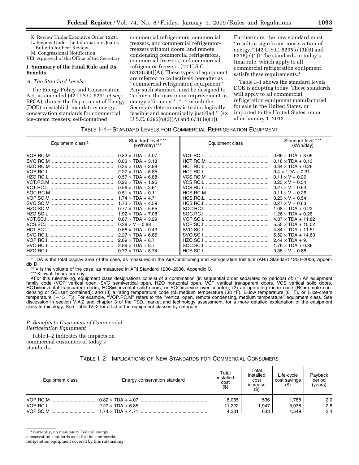- K. Review Under Executive Order 13211
- L. Review Under the Information Quality Bulletin for Peer Review
- M. Congressional Notification
- VIII. Approval of the Office of the Secretary

#### **I. Summary of the Final Rule and Its Benefits**

#### *A. The Standard Levels*

The Energy Policy and Conservation Act, as amended (42 U.S.C. 6291 *et seq.*; EPCA), directs the Department of Energy (DOE) to establish mandatory energy conservation standards for commercial ice-cream freezers; self-contained

commercial refrigerators, commercial freezers, and commercial refrigeratorfreezers without doors; and remote condensing commercial refrigerators, commercial freezers, and commercial refrigerator-freezers. (42 U.S.C. 6313(c)(4)(A)) These types of equipment are referred to collectively hereafter as ''commercial refrigeration equipment.'' Any such standard must be designed to ''achieve the maximum improvement in energy efficiency \* \* \* which the Secretary determines is technologically feasible and economically justified.'' (42 U.S.C. 6295(o)(2)(A) and 6316(e)(1))

Furthermore, the new standard must ''result in significant conservation of energy.'' (42 U.S.C. 6295(o)(3)(B) and 6316(e)(1)) The standards in today's final rule, which apply to all commercial refrigeration equipment, satisfy these requirements.<sup>1</sup>

Table I–1 shows the standard levels DOE is adopting today. These standards will apply to all commercial refrigeration equipment manufactured for sale in the United States, or imported to the United States, on or after January 1, 2012.

#### TABLE I–1—STANDARD LEVELS FOR COMMERCIAL REFRIGERATION EQUIPMENT

| Equipment class <sup>2</sup> | Standard level***<br>$(kWh/day)$ *** | Equipment class | Standard level***<br>(kWh/day) |  |
|------------------------------|--------------------------------------|-----------------|--------------------------------|--|
| VOP.RC.M                     | $0.82 \times TDA + 4.07$             |                 | $0.66 \times TDA + 3.05$       |  |
| SVO.RC.M                     | $0.83 \times TDA + 3.18$             |                 | $0.16 \times TDA + 0.13$       |  |
| HZO.RC.M                     | $0.35 \times TDA + 2.88$             |                 | $0.34 \times TDA + 0.26$       |  |
| VOP.RC.L                     | $2.27 \times TDA + 6.85$             | HCT.RC.I        | $0.4 \times TDA + 0.31$        |  |
| HZO.RC.L                     | $0.57 \times TDA + 6.88$             |                 | $0.11 \times V + 0.26$         |  |
| VCT.RC.M                     | $0.22 \times TDA + 1.95$             |                 | $0.23 \times V + 0.54$         |  |
| VCT.RC.L                     | $0.56 \times TDA + 2.61$             | VCS.RC.I        | $0.27 \times V + 0.63$         |  |
| SOC.RC.M                     | $0.51 \times TDA + 0.11$             | HCS.RC.M        | $0.11 \times V + 0.26$         |  |
| VOP.SC.M                     | $1.74 \times TDA + 4.71$             |                 | $0.23 \times V + 0.54$         |  |
| SVO.SC.M                     | $1.73 \times TDA + 4.59$             | HCS.RC.I        | $0.27 \times V + 0.63$         |  |
| HZO.SC.M                     | $0.77 \times TDA + 5.55$             | SOC.RC.L        | $1.08 \times TDA + 0.22$       |  |
| HZO.SC.L                     | $1.92 \times TDA + 7.08$             |                 | $1.26 \times TDA + 0.26$       |  |
| VCT.SC.I                     | $0.67 \times TDA + 3.29$             |                 | $4.37 \times TDA + 11.82$      |  |
| VCS.SC.I                     | $0.38 \times V + 0.88$               | VOP SC.I        | $5.55 \times TDA + 15.02$      |  |
| HCT.SC.I                     | $0.56 \times TDA + 0.43$             |                 | $4.34 \times TDA + 11.51$      |  |
| SVO.RC.L                     | $2.27 \times TDA + 6.85$             | SVO.SC.I        | $5.52 \times TDA + 14.63$      |  |
| VOP.RC.                      | $2.89 \times TDA + 8.7$              | HZO.SC.I        | $2.44 \times TDA + 9.$         |  |
| SVO.RC.I                     | $2.89 \times TDA + 8.7$              | SOC.SC.I        | $1.76 \times TDA + 0.36$       |  |
| HZO.RC.I                     | $0.72 \times TDA + 8.74$             | HCS.SC.I        | $0.38 \times V + 0.88$         |  |

\* TDA is the total display area of the case, as measured in the Air-Conditioning and Refrigeration Institute (ARI) Standard 1200–2006, Appendix D.

\*\* V is the volume of the case, as measured in ARI Standard 1200–2006, Appendix C.

\*\*\* Kilowatt hours per day.

2For this rulemaking, equipment class designations consist of a combination (in sequential order separated by periods) of: (1) An equipment family code (VOP=vertical open, SVO=semivertical open, HZO=horizontal open, VCT=vertical transparent doors, VCS=vertical solid doors, HCT=horizontal transparent doors, HCS=horizontal solid doors, or SOC=service over counter); (2) an operating mode code (RC=remote condensing or SC=self contained); and (3) a rating temperature code (M=medium temperature (38 °F), L=low temperature (0 °F), or l=ice-cream<br>temperature (−15 °F)). For example, "VOP.RC.M" refers to the "vertical open, remote c class terminology. See Table IV–2 for a list of the equipment classes by category.

## *B. Benefits to Customers of Commercial Refrigeration Equipment*

Table I–2 indicates the impacts on commercial customers of today's standards.

## TABLE I–2—IMPLICATIONS OF NEW STANDARDS FOR COMMERCIAL CONSUMERS

| Equipment class | Energy conservation standard | Total<br>installed<br>cost<br>( \$ ) | Total<br>installed<br>cost<br>increase<br>$(\$)$ | Life-cycle<br>cost savings<br>(S) | Payback<br>period<br>(years) |
|-----------------|------------------------------|--------------------------------------|--------------------------------------------------|-----------------------------------|------------------------------|
|                 |                              | 8,065                                | 536                                              | 1.788                             | 2.0                          |
|                 |                              | 11.222                               | 1,947                                            | 3.938                             | 2.8                          |
|                 |                              | 4.381                                | 633                                              | 1.549                             | 2.4                          |

conservation standards exist for the commercial

refrigeration equipment covered by this rulemaking.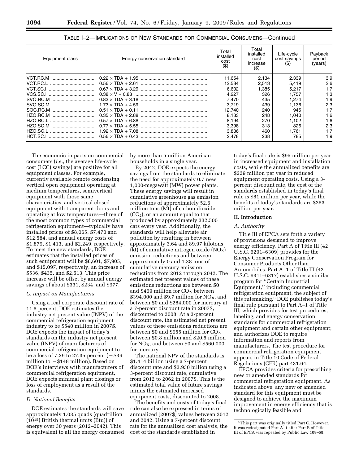| Equipment class | Energy conservation standard | Total<br>installed<br>cost<br>$($ \$ | Total<br>installed<br>cost<br>increase<br>(S) | Life-cycle<br>cost savings<br>(3) | Payback<br>period<br>(years) |
|-----------------|------------------------------|--------------------------------------|-----------------------------------------------|-----------------------------------|------------------------------|
|                 |                              | 11.654                               | 2,134                                         | 2,339                             | 3.9                          |
|                 |                              | 12.584                               | 2.513                                         | 5.419                             | 2.6                          |
|                 |                              | 6.602                                | 1,385                                         | 5.217                             | 1.7                          |
|                 |                              | 4.227                                | 326                                           | 1.757                             | 1.3                          |
|                 |                              | 7.470                                | 435                                           | 1.274                             | 1.9                          |
|                 |                              | 3.719                                | 439                                           | 1.136                             | 2.3                          |
|                 |                              | 12.740                               | 240                                           | 945                               | 1.7                          |
|                 |                              | 8.133                                | 248                                           | 1.040                             | 1.6                          |
|                 |                              | 8.194                                | 270                                           | 1.102                             | 1.6                          |
|                 |                              | 3.398                                | 313                                           | 826                               | 2.3                          |
|                 |                              | 3.836                                | 460                                           | 1.761                             | 1.7                          |
|                 |                              | 2.478                                | 238                                           | 785                               | 1.9                          |

TABLE I–2—IMPLICATIONS OF NEW STANDARDS FOR COMMERCIAL CONSUMERS—Continued

The economic impacts on commercial consumers (*i.e.*, the average life-cycle cost (LCC) savings) are positive for all equipment classes. For example, currently available remote condensing vertical open equipment operating at medium temperatures, semivertical equipment with those same characteristics, and vertical closed equipment with transparent doors and operating at low temperatures—three of the most common types of commercial refrigeration equipment—typically have installed prices of \$8,065, \$7,470 and \$12,584, and annual energy costs of \$1,879, \$1,413, and \$2,249, respectively. To meet the new standards, DOE estimates that the installed prices of such equipment will be \$8,601, \$7,905, and \$15,097, respectively, an increase of \$536, \$435, and \$2,513. This price increase will be offset by annual energy savings of about \$331, \$234, and \$977.

#### *C. Impact on Manufacturers*

Using a real corporate discount rate of 11.5 percent, DOE estimates the industry net present value (INPV) of the commercial refrigeration equipment industry to be \$540 million in 2007\$. DOE expects the impact of today's standards on the industry net present value (INPV) of manufacturers of commercial refrigeration equipment to be a loss of 7.29 to 27.35 percent  $(-\$39)$ million to  $-$  \$148 million). Based on DOE's interviews with manufacturers of commercial refrigeration equipment, DOE expects minimal plant closings or loss of employment as a result of the standards.

#### *D. National Benefits*

DOE estimates the standards will save approximately 1.035 quads (quadrillion (1015) British thermal units (Btu)) of energy over 30 years (2012–2042). This is equivalent to all the energy consumed by more than 5 million American households in a single year.

By 2042, DOE expects the energy savings from the standards to eliminate the need for approximately 0.7 new 1,000-megawatt (MW) power plants. These energy savings will result in cumulative greenhouse gas emission reductions of approximately 52.6 million tons (Mt) of carbon dioxide (CO2), or an amount equal to that produced by approximately 332,500 cars every year. Additionally, the standards will help alleviate air pollution by resulting in between approximately 3.64 and 89.97 kilotons (kt) of cumulative nitrogen oxide  $(NO<sub>x</sub>)$ emission reductions and between approximately 0 and 1.38 tons of cumulative mercury emission reductions from 2012 through 2042. The estimated net present values of these emissions reductions are between \$0 and  $$469$  million for  $CO<sub>2</sub>$ , between \$394,000 and \$9.7 million for  $NO<sub>X</sub>$ , and between \$0 and \$284,000 for mercury at a 7-percent discount rate in 2007\$, discounted to 2008. At a 3-percent discount rate, the estimated net present values of these emissions reductions are between  $$0$  and  $$955$  million for  $CO<sub>2</sub>$ , between \$0.8 million and \$20.5 million for  $NO<sub>X</sub>$ , and between \$0 and \$560,000 for mercury.

The national NPV of the standards is \$1.414 billion using a 7-percent discount rate and \$3.930 billion using a 3-percent discount rate, cumulative from 2012 to 2062 in 2007\$. This is the estimated total value of future savings minus the estimated increased equipment costs, discounted to 2008.

The benefits and costs of today's final rule can also be expressed in terms of annualized [2007\$] values between 2012 and 2042. Using a 7-percent discount rate for the annualized cost analysis, the cost of the standards established in

today's final rule is \$95 million per year in increased equipment and installation costs, while the annualized benefits are \$229 million per year in reduced equipment operating costs. Using a 3 percent discount rate, the cost of the standards established in today's final rule is \$81 million per year, while the benefits of today's standards are \$253 million per year.

#### **II. Introduction**

#### *A. Authority*

Title III of EPCA sets forth a variety of provisions designed to improve energy efficiency. Part A of Title III (42 U.S.C. 6291–6309) provides for the Energy Conservation Program for Consumer Products Other than Automobiles. Part A–1 of Title III (42 U.S.C. 6311–6317) establishes a similar program for ''Certain Industrial Equipment,'' including commercial refrigeration equipment, the subject of this rulemaking.3 DOE publishes today's final rule pursuant to Part A–1 of Title III, which provides for test procedures, labeling, and energy conservation standards for commercial refrigeration equipment and certain other equipment; and authorizes DOE to require information and reports from manufacturers. The test procedure for commercial refrigeration equipment appears in Title 10 Code of Federal Regulations (CFR) part 431.64.

EPCA provides criteria for prescribing new or amended standards for commercial refrigeration equipment. As indicated above, any new or amended standard for this equipment must be designed to achieve the maximum improvement in energy efficiency that is technologically feasible and

<sup>3</sup>This part was originally titled Part C. However, it was redesignated Part A–1 after Part B of Title III of EPCA was repealed by Public Law 109–58.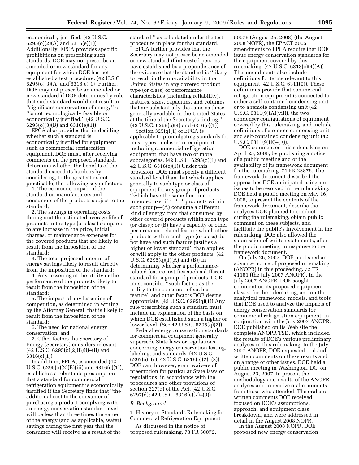economically justified. (42 U.S.C. 6295(o)(2)(A) and 6316(e)(1)) Additionally, EPCA provides specific prohibitions on prescribing such standards. DOE may not prescribe an amended or new standard for any equipment for which DOE has not established a test procedure. (42 U.S.C. 6295(o)(3)(A) and 6316(e)(1)) Further, DOE may not prescribe an amended or new standard if DOE determines by rule that such standard would not result in ''significant conservation of energy'' or ''is not technologically feasible or economically justified.'' (42 U.S.C. 6295(o)(3)(B) and 6316(e)(1))

EPCA also provides that in deciding whether such a standard is economically justified for equipment such as commercial refrigeration equipment, DOE must, after receiving comments on the proposed standard, determine whether the benefits of the standard exceed its burdens by considering, to the greatest extent practicable, the following seven factors:

1. The economic impact of the standard on manufacturers and consumers of the products subject to the standard;

2. The savings in operating costs throughout the estimated average life of products in the type (or class) compared to any increase in the price, initial charges, or maintenance expenses for the covered products that are likely to result from the imposition of the standard;

3. The total projected amount of energy savings likely to result directly from the imposition of the standard;

4. Any lessening of the utility or the performance of the products likely to result from the imposition of the standard;

5. The impact of any lessening of competition, as determined in writing by the Attorney General, that is likely to result from the imposition of the standard;

6. The need for national energy conservation; and

7. Other factors the Secretary of Energy (Secretary) considers relevant.  $(42 \text{ U.S.C. } 6295(0)(2)(B)(i)–(ii)$  and 6316(e)(1))

In addition, EPCA, as amended (42 U.S.C. 6295(o)(2)(B)(iii) and 6316(e)(1)), establishes a rebuttable presumption that a standard for commercial refrigeration equipment is economically justified if the Secretary finds that ''the additional cost to the consumer of purchasing a product complying with an energy conservation standard level will be less than three times the value of the energy (and as applicable, water) savings during the first year that the consumer will receive as a result of the

standard,'' as calculated under the test procedure in place for that standard.

EPCA further provides that the Secretary may not prescribe an amended or new standard if interested persons have established by a preponderance of the evidence that the standard is ''likely to result in the unavailability in the United States in any covered product type (or class) of performance characteristics (including reliability), features, sizes, capacities, and volumes that are substantially the same as those generally available in the United States at the time of the Secretary's finding.''  $(42 \text{ U.S.C. } 6295(0)(4) \text{ and } 6316(e)(1))$ 

Section 325(q)(1) of EPCA is applicable to promulgating standards for most types or classes of equipment, including commercial refrigeration equipment, that have two or more subcategories. (42 U.S.C. 6295(q)(1) and 42 U.S.C. 6316(e)(1)) Under this provision, DOE must specify a different standard level than that which applies generally to such type or class of equipment for any group of products ''which have the same function or intended use, if \* \* \* products within such group—(A) consume a different kind of energy from that consumed by other covered products within such type (or class); or (B) have a capacity or other performance-related feature which other products within such type (or class) do not have and such feature justifies a higher or lower standard'' than applies or will apply to the other products. (42 U.S.C. 6295(q)(1)(A) and (B)) In determining whether a performancerelated feature justifies such a different standard for a group of products, DOE must consider ''such factors as the utility to the consumer of such a feature'' and other factors DOE deems appropriate. (42 U.S.C. 6295(q)(1)) Any rule prescribing such a standard must include an explanation of the basis on which DOE established such a higher or lower level. (See 42 U.S.C. 6295(q)(2))

Federal energy conservation standards for commercial equipment generally supersede State laws or regulations concerning energy conservation testing, labeling, and standards. (42 U.S.C. 6297(a)–(c); 42 U.S.C. 6316(e)(2)–(3)) DOE can, however, grant waivers of preemption for particular State laws or regulations, in accordance with the procedures and other provisions of section 327(d) of the Act. (42 U.S.C. 6297(d); 42 U.S.C. 6316(e)(2)–(3))

#### *B. Background*

1. History of Standards Rulemaking for Commercial Refrigeration Equipment

As discussed in the notice of proposed rulemaking, 73 FR 50072,

50076 (August 25, 2008) (the August 2008 NOPR), the EPACT 2005 amendments to EPCA require that DOE issue energy conservation standards for the equipment covered by this rulemaking. (42 U.S.C. 6313(c)(4)(A)) The amendments also include definitions for terms relevant to this equipment (42 U.S.C. 6311(9)). These definitions provide that commercial refrigeration equipment is connected to either a self-contained condensing unit or to a remote condensing unit (42 U.S.C.  $6311(9)(A)(vii)$ , the two condenser configurations of equipment covered by this rulemaking, and include definitions of a remote condensing unit and self-contained condensing unit (42 U.S.C. 6311(9)(E)–(F)).

DOE commenced this rulemaking on April 25, 2006, by publishing a notice of a public meeting and of the availability of its framework document for the rulemaking. 71 FR 23876. The framework document described the approaches DOE anticipated using and issues to be resolved in the rulemaking. DOE held a public meeting on May 16, 2006, to present the contents of the framework document, describe the analyses DOE planned to conduct during the rulemaking, obtain public comment on these subjects, and facilitate the public's involvement in the rulemaking. DOE also allowed the submission of written statements, after the public meeting, in response to the framework document.

On July 26, 2007, DOE published an advance notice of proposed rulemaking (ANOPR) in this proceeding. 72 FR 41161 (the July 2007 ANOPR). In the July 2007 ANOPR, DOE sought comment on its proposed equipment classes for the rulemaking, and on the analytical framework, models, and tools that DOE used to analyze the impacts of energy conservation standards for commercial refrigeration equipment. In conjunction with the July 2007 ANOPR, DOE published on its Web site the complete ANOPR TSD, which included the results of DOE's various preliminary analyses in this rulemaking. In the July 2007 ANOPR, DOE requested oral and written comments on these results and on a range of other issues. DOE held a public meeting in Washington, DC, on August 23, 2007, to present the methodology and results of the ANOPR analyses and to receive oral comments from those who attended. The oral and written comments DOE received focused on DOE's assumptions, approach, and equipment class breakdown, and were addressed in detail in the August 2008 NOPR.

In the August 2008 NOPR, DOE proposed new energy conservation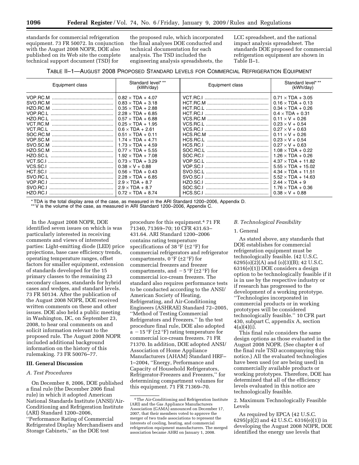standards for commercial refrigeration equipment. 73 FR 50072. In conjunction with the August 2008 NOPR, DOE also published on its Web site the complete technical support document (TSD) for

the proposed rule, which incorporated the final analyses DOE conducted and technical documentation for each analysis. The TSD included the engineering analysis spreadsheets, the

LCC spreadsheet, and the national impact analysis spreadsheet. The standards DOE proposed for commercial refrigeration equipment are shown in Table II–1.

#### TABLE II–1—AUGUST 2008 PROPOSED STANDARD LEVELS FOR COMMERCIAL REFRIGERATION EQUIPMENT

| Equipment class | Standard level***<br>(kWh/day) | Equipment class | Standard level***<br>(kWh/day) |
|-----------------|--------------------------------|-----------------|--------------------------------|
| VOP.RC.M        | $0.82 \times TDA + 4.07$       |                 | $0.71 \times TDA + 3.05$       |
| SVO.RC.M        | $0.83 \times TDA + 3.18$       |                 | $0.16 \times TDA + 0.13$       |
| HZO.RC.M        | $0.35 \times TDA + 2.88$       | HCT.RC.L        | $0.34 \times TDA + 0.26$       |
| VOP.RC.L        | $2.28 \times TDA + 6.85$       |                 | $0.4 \times TDA + 0.31$        |
| HZO.RC.L        | $0.57 \times TDA + 6.88$       |                 | $0.11 \times V + 0.26$         |
| VCT.RC.M        | $0.25 \times TDA + 1.95$       |                 | $0.23 \times V + 0.54$         |
| VCT.RC.L        | $0.6 \times TDA + 2.61$        |                 | $0.27 \times V + 0.63$         |
| SOC.RC.M        | $0.51 \times TDA + 0.11$       | HCS.RC.M        | $0.11 \times V + 0.26$         |
| VOP.SC.M        | $1.74 \times TDA + 4.71$       | HCS.RC.L        | $0.23 \times V + 0.54$         |
| SVO.SC.M        | $1.73 \times TDA + 4.59$       | HCS.RC.I        | $0.27 \times V + 0.63$         |
| HZO.SC.M        | $0.77 \times TDA + 5.55$       | SOC.RC.L        | $1.08 \times TDA + 0.22$       |
| HZO.SC.L        | $1.92 \times TDA + 7.08$       |                 | $1.26 \times TDA + 0.26$       |
| VCT.SC.I        | $0.73 \times TDA + 3.29$       |                 | $4.37 \times TDA + 11.82$      |
| VCS.SC.I        | $0.38 \times V + 0.88$         | VOP.SC.I        | $5.55 \times TDA + 15.02$      |
| HCT.SC.I        | $0.56 \times TDA + 0.43$       |                 | $4.34 \times TDA + 11.51$      |
| SVO.RC.L        | $2.28 \times TDA + 6.85$       |                 | $5.52 \times TDA + 14.63$      |
| VOP.RC.I        | $2.9 \times TDA + 8.7$         | HZO.SC.I        | $2.44 \times TDA + 9$          |
| SVO.RC.I        | $2.9 \times TDA + 8.7$         | SOC.SC.I        | $1.76 \times TDA + 0.36$       |
| HZO.RC.I        | $0.72 \times TDA + 8.74$       | HCS.SC.I        | $0.38 \times V + 0.88$         |

\* TDA is the total display area of the case, as measured in the ARI Standard 1200–2006, Appendix D.

\*\* V is the volume of the case, as measured in ARI Standard 1200–2006, Appendix C.

In the August 2008 NOPR, DOE identified seven issues on which is was particularly interested in receiving comments and views of interested parties: Light-emitting diode (LED) price projections, base case efficiency trends, operating temperature ranges, offset factors for smaller equipment, extension of standards developed for the 15 primary classes to the remaining 23 secondary classes, standards for hybrid cases and wedges, and standard levels. 73 FR 50134. After the publication of the August 2008 NOPR, DOE received written comments on these and other issues. DOE also held a public meeting in Washington, DC, on September 23, 2008, to hear oral comments on and solicit information relevant to the proposed rule. The August 2008 NOPR included additional background information on the history of this rulemaking. 73 FR 50076–77.

#### **III. General Discussion**

#### *A. Test Procedures*

On December 8, 2006, DOE published a final rule (the December 2006 final rule) in which it adopted American National Standards Institute (ANSI)/Air-Conditioning and Refrigeration Institute (ARI) Standard 1200–2006, ''Performance Rating of Commercial Refrigerated Display Merchandisers and Storage Cabinets,'' as the DOE test

procedure for this equipment.4 71 FR 71340, 71369–70; 10 CFR 431.63– 431.64. ARI Standard 1200–2006 contains rating temperature specifications of 38 °F ( $\pm$ 2 °F) for commercial refrigerators and refrigerator compartments,  $0^{\circ}F$  ( $\pm 2^{\circ}F$ ) for commercial freezers and freezer compartments, and  $-5$  °F ( $\pm 2$  °F) for commercial ice-cream freezers. The standard also requires performance tests to be conducted according to the ANSI/ American Society of Heating, Refrigerating, and Air-Conditioning Engineers (ASHRAE) Standard 72–2005, ''Method of Testing Commercial Refrigerators and Freezers.'' In the test procedure final rule, DOE also adopted  $a - 15$  °F ( $\pm 2$  °F) rating temperature for commercial ice-cream freezers. 71 FR 71370. In addition, DOE adopted ANSI/ Association of Home Appliance Manufacturers (AHAM) Standard HRF– 1–2004, ''Energy, Performance and Capacity of Household Refrigerators, Refrigerator-Freezers and Freezers,'' for determining compartment volumes for this equipment. 71 FR 71369–70.

#### *B. Technological Feasibility*

#### 1. General

As stated above, any standards that DOE establishes for commercial refrigeration equipment must be technologically feasible. (42 U.S.C. 6295(o)(2)(A) and (o)(3)(B); 42 U.S.C. 6316(e)(1)) DOE considers a design option to be technologically feasible if it is in use by the respective industry or if research has progressed to the development of a working prototype. ''Technologies incorporated in commercial products or in working prototypes will be considered technologically feasible.'' 10 CFR part 430, subpart C, appendix A, section  $4(a)(4)(i)$ .

This final rule considers the same design options as those evaluated in the August 2008 NOPR. (See chapter 4 of the final rule TSD accompanying this notice.) All the evaluated technologies have been used (or are being used) in commercially available products or working prototypes. Therefore, DOE has determined that all of the efficiency levels evaluated in this notice are technologically feasible.

2. Maximum Technologically Feasible Levels

As required by EPCA (42 U.S.C.  $6295(p)(2)$  and 42 U.S.C.  $6316(e)(1)$  in developing the August 2008 NOPR, DOE identified the energy use levels that

<sup>4</sup>The Air-Conditioning and Refrigeration Institute (ARI) and the Gas Appliance Manufacturers Association (GAMA) announced on December 17, 2007, that their members voted to approve the merger of two trade associations to represent the interests of cooling, heating, and commercial refrigeration equipment manufacturers. The merged association became AHRI on January 1, 2008.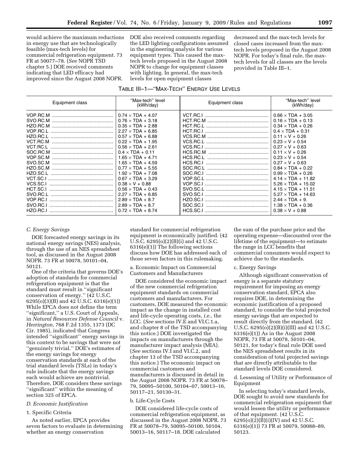would achieve the maximum reductions in energy use that are technologically feasible (max-tech levels) for commercial refrigeration equipment. 73 FR at 50077–78. (*See* NOPR TSD chapter 5.) DOE received comments indicating that LED efficacy had improved since the August 2008 NOPR.

DOE also received comments regarding the LED lighting configurations assumed in the engineering analysis for various equipment types. This caused the maxtech levels proposed in the August 2008 NOPR to change for equipment classes with lighting. In general, the max-tech levels for open equipment classes

decreased and the max-tech levels for closed cases increased from the maxtech levels proposed in the August 2008 NOPR. For today's final rule, the maxtech levels for all classes are the levels provided in Table III–1.

## TABLE III–1—''MAX-TECH'' ENERGY USE LEVELS

| Equipment class                                                                                                                                                                  | "Max-tech" level<br>(kWh/day)                                                                                                                                                                                                                                                                                                                                                                                                                             | Equipment class                  | "Max-tech" level<br>(kWh/day)                                                                                                                                                                                                                                                                                                                                                                                                                       |
|----------------------------------------------------------------------------------------------------------------------------------------------------------------------------------|-----------------------------------------------------------------------------------------------------------------------------------------------------------------------------------------------------------------------------------------------------------------------------------------------------------------------------------------------------------------------------------------------------------------------------------------------------------|----------------------------------|-----------------------------------------------------------------------------------------------------------------------------------------------------------------------------------------------------------------------------------------------------------------------------------------------------------------------------------------------------------------------------------------------------------------------------------------------------|
| SVO.RC.M<br>HZO.RC.M<br>VOP.RC.L<br>HZO.RC.L<br>VCT.RC.M<br>VCT.RC.L<br>SOC.RC.M<br>VOP.SC.M<br>SVO.SC.M<br>HZO.SC.M<br>HZO SC.I<br>VCT.SC.I<br>VCS.SC.I<br>HCT.SC.I<br>SVO.RC.L | $0.74 \times TDA + 4.07$<br>$0.76 \times TDA + 3.18$<br>$0.35 \times TDA + 2.88$<br>$2.27 \times TDA + 6.85$<br>$0.57 \times TDA + 6.88$<br>$0.22 \times TDA + 1.95$<br>$0.56 \times TDA + 2.61$<br>$0.4 \times TDA + 0.11$<br>$1.65 \times TDA + 4.71$<br>$1.65 \times TDA + 4.59$<br>$0.77 \times TDA + 5.55$<br>$1.92 \times TDA + 7.08$<br>$0.67 \times TDA + 3.29$<br>$0.38 \times V + 0.88$<br>$0.56 \times TDA + 0.43$<br>$2.27 \times TDA + 6.85$ | HCS.RC.I                         | $0.66 \times TDA + 3.05$<br>$0.16 \times TDA + 0.13$<br>$0.34 \times TDA + 0.26$<br>$0.4 \times TDA + 0.31$<br>$0.11 \times V + 0.26$<br>$0.23 \times V + 0.54$<br>$0.27 \times V + 0.63$<br>$0.11 \times V + 0.26$<br>$0.23 \times V + 0.54$<br>$0.27 \times V + 0.63$<br>$0.84 \times TDA + 0.22$<br>$0.99 \times TDA + 0.26$<br>$4.14 \times TDA + 11.82$<br>$5.26 \times TDA + 15.02$<br>$4.15 \times TDA + 11.51$<br>$5.27 \times TDA + 14.63$ |
| VOP.RC.I<br>SVO BC I<br>HZO.RC.I                                                                                                                                                 | $2.89 \times TDA + 8.7$<br>$2.89 \times TDA + 8.7$<br>$0.72 \times TDA + 8.74$                                                                                                                                                                                                                                                                                                                                                                            | HZO.SC.I<br>SOC.SC.I<br>HCS.SC.I | $2.44 \times TDA + 9$ .<br>$1.38 \times TDA + 0.36$<br>$0.38 \times V + 0.88$                                                                                                                                                                                                                                                                                                                                                                       |

#### *C. Energy Savings*

DOE forecasted energy savings in its national energy savings (NES) analysis, through the use of an NES spreadsheet tool, as discussed in the August 2008 NOPR. 73 FR at 50078, 50101–04, 50121.

One of the criteria that governs DOE's adoption of standards for commercial refrigeration equipment is that the standard must result in ''significant conservation of energy.'' (42 U.S.C. 6295(o)(3)(B) and 42 U.S.C. 6316(e)(1)) While EPCA does not define the term ''significant,'' a U.S. Court of Appeals, in *Natural Resources Defense Council* v. *Herrington,* 768 F.2d 1355, 1373 (DC Cir. 1985), indicated that Congress intended ''significant'' energy savings in this context to be savings that were not ''genuinely trivial.'' DOE's estimates of the energy savings for energy conservation standards at each of the trial standard levels (TSLs) in today's rule indicate that the energy savings each would achieve are nontrivial. Therefore, DOE considers these savings ''significant'' within the meaning of section 325 of EPCA.

#### *D. Economic Justification*

#### 1. Specific Criteria

As noted earlier, EPCA provides seven factors to evaluate in determining whether an energy conservation

standard for commercial refrigeration equipment is economically justified. (42 U.S.C. 6295(o)(2)(B)(i) and 42 U.S.C. 6316(e)(1)) The following sections discuss how DOE has addressed each of those seven factors in this rulemaking.

a. Economic Impact on Commercial Customers and Manufacturers

DOE considered the economic impact of the new commercial refrigeration equipment standards on commercial customers and manufacturers. For customers, DOE measured the economic impact as the change in installed cost and life-cycle operating costs, *i.e.*, the LCC. (*See* sections IV.E and VI.C.1.a, and chapter 8 of the TSD accompanying this notice.) DOE investigated the impacts on manufacturers through the manufacturer impact analysis (MIA). (*See* sections IV.I and VI.C.2, and chapter 13 of the TSD accompanying this notice.) The economic impact on commercial customers and manufacturers is discussed in detail in the August 2008 NOPR. 73 FR at 50078– 79, 50095–50100, 50104–07, 50013–16, 50117–21, 50130–31.

#### b. Life-Cycle Costs

DOE considered life-cycle costs of commercial refrigeration equipment, as discussed in the August 2008 NOPR. 73 FR at 50078–79, 50095–50100, 50104, 50013–16, 50117–18. DOE calculated

the sum of the purchase price and the operating expense—discounted over the lifetime of the equipment—to estimate the range in LCC benefits that commercial consumers would expect to achieve due to the standards.

#### c. Energy Savings

Although significant conservation of energy is a separate statutory requirement for imposing an energy conservation standard, EPCA also requires DOE, in determining the economic justification of a proposed standard, to consider the total projected energy savings that are expected to result directly from the standard. (42 U.S.C. 6295(o)(2)(B)(i)(III) and 42 U.S.C. 6316(e)(1)) As in the August 2008 NOPR, 73 FR at 50078, 50101–04, 50121, for today's final rule DOE used the NES spreadsheet results in its consideration of total projected savings that are directly attributable to the standard levels DOE considered.

#### d. Lessening of Utility or Performance of Equipment

In selecting today's standard levels, DOE sought to avoid new standards for commercial refrigeration equipment that would lessen the utility or performance of that equipment. (42 U.S.C. 6295(o)(2)(B)(i)(IV) and 42 U.S.C. 6316(e)(1)) 73 FR at 50079, 50088–89, 50123.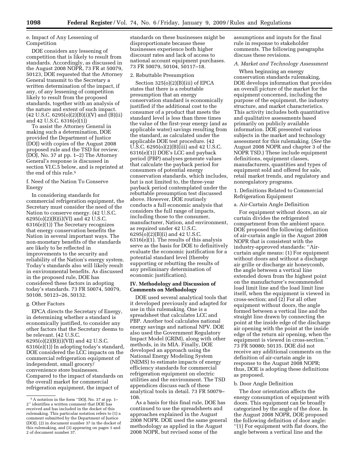#### e. Impact of Any Lessening of Competition

DOE considers any lessening of competition that is likely to result from standards. Accordingly, as discussed in the August 2008 NOPR, 73 FR at 50079, 50123, DOE requested that the Attorney General transmit to the Secretary a written determination of the impact, if any, of any lessening of competition likely to result from the proposed standards, together with an analysis of the nature and extent of such impact.  $(42 \text{ U.S.C. } 6295(0)(2)(B)(i)(V)$  and  $(B)(ii)$ and 42 U.S.C. 6316(e)(1))

To assist the Attorney General in making such a determination, DOE provided the Department of Justice (DOJ) with copies of the August 2008 proposed rule and the TSD for review. (DOJ, No. 37 at pp. 1–2) The Attorney General's response is discussed in section VI.C.5 below, and is reprinted at the end of this rule.5

#### f. Need of the Nation To Conserve Energy

In considering standards for commercial refrigeration equipment, the Secretary must consider the need of the Nation to conserve energy. (42 U.S.C. 6295(o)(2)(B)(i)(VI) and 42 U.S.C. 6316(e)(1)) The Secretary recognizes that energy conservation benefits the Nation in several important ways. The non-monetary benefits of the standards are likely to be reflected in improvements to the security and reliability of the Nation's energy system. Today's standards also will likely result in environmental benefits. As discussed in the proposed rule, DOE has considered these factors in adopting today's standards. 73 FR 50074, 50079, 50108, 50123–26, 50132.

#### g. Other Factors

EPCA directs the Secretary of Energy, in determining whether a standard is economically justified, to consider any other factors that the Secretary deems to be relevant. (42 U.S.C. 6295(o)(2)(B)(i)(VII) and 42 U.S.C. 6316(e)(1)) In adopting today's standard, DOE considered the LCC impacts on the commercial refrigeration equipment of independent, small grocery/ convenience store businesses. Compared to the impact of standards on the overall market for commercial refrigeration equipment, the impact of

standards on these businesses might be disproportionate because these businesses experience both higher discount rates and lack of access to national account equipment purchases. 73 FR 50079, 50104, 50117–18.

#### 2. Rebuttable Presumption

Section 325(o)(2)(B)(iii) of EPCA states that there is a rebuttable presumption that an energy conservation standard is economically justified if the additional cost to the consumer of a product that meets the standard level is less than three times the value of the first-year energy (and as applicable water) savings resulting from the standard, as calculated under the applicable DOE test procedure. (42 U.S.C. 6295(o)(2)(B)(iii) and 42 U.S.C. 6316(e)(1)) DOE's LCC and payback period (PBP) analyses generate values that calculate the payback period for consumers of potential energy conservation standards, which includes, but is not limited to, the three-year payback period contemplated under the rebuttable presumption test discussed above. However, DOE routinely conducts a full economic analysis that considers the full range of impacts, including those to the consumer, manufacturer, Nation, and environment, as required under 42 U.S.C. 6295(o)(2)(B)(i) and 42 U.S.C. 6316(e)(1). The results of this analysis serve as the basis for DOE to definitively evaluate the economic justification for a potential standard level (thereby supporting or rebutting the results of any preliminary determination of economic justification).

#### **IV. Methodology and Discussion of Comments on Methodology**

DOE used several analytical tools that it developed previously and adapted for use in this rulemaking. One is a spreadsheet that calculates LCC and PBP. Another tool calculates national energy savings and national NPV. DOE also used the Government Regulatory Impact Model (GRIM), along with other methods, in its MIA. Finally, DOE developed an approach using the National Energy Modeling System (NEMS) to estimate impacts of energy efficiency standards for commercial refrigeration equipment on electric utilities and the environment. The TSD appendices discuss each of these analytical tools in detail. 73 FR 50079– 108.

As a basis for this final rule, DOE has continued to use the spreadsheets and approaches explained in the August 2008 NOPR. DOE used the same general methodology as applied in the August 2008 NOPR, but revised some of the

assumptions and inputs for the final rule in response to stakeholder comments. The following paragraphs discuss these revisions.

#### *A. Market and Technology Assessment*

When beginning an energy conservation standards rulemaking, DOE develops information that provides an overall picture of the market for the equipment concerned, including the purpose of the equipment, the industry structure, and market characteristics. This activity includes both quantitative and qualitative assessments based primarily on publicly available information. DOE presented various subjects in the market and technology assessment for this rulemaking. (*See* the August 2008 NOPR and chapter 3 of the NOPR TSD.) These include equipment definitions, equipment classes, manufacturers, quantities and types of equipment sold and offered for sale, retail market trends, and regulatory and nonregulatory programs.

1. Definitions Related to Commercial Refrigeration Equipment

a. Air-Curtain Angle Definition

For equipment without doors, an air curtain divides the refrigerated compartment from the ambient space. DOE proposed the following definition of air-curtain angle in the August 2008 NOPR that is consistent with the industry-approved standards: ''Aircurtain angle means: (1) For equipment without doors and without a discharge air grille or discharge air honeycomb, the angle between a vertical line extended down from the highest point on the manufacturer's recommended load limit line and the load limit line itself, when the equipment is viewed in cross-section; and (2) For all other equipment without doors, the angle formed between a vertical line and the straight line drawn by connecting the point at the inside edge of the discharge air opening with the point at the inside edge of the return air opening, when the equipment is viewed in cross-section.'' 73 FR 50080; 50135. DOE did not receive any additional comments on the definition of air-curtain angle in response to the August 2008 NOPR; thus, DOE is adopting these definitions as proposed.

#### b. Door Angle Definition

The door orientation affects the energy consumption of equipment with doors. This equipment can be broadly categorized by the angle of the door. In the August 2008 NOPR, DOE proposed the following definition of door angle: ''(1) For equipment with flat doors, the angle between a vertical line and the

<sup>5</sup>A notation in the form ''DOJ, No. 37 at pp. 1– 2'' identifies a written comment that DOE has received and has included in the docket of this rulemaking. This particular notation refers to (1) a comment submitted by the Department of Justice (DOJ), (2) in document number 37 in the docket of this rulemaking, and (3) appearing on pages 1 and 2 of document number 37.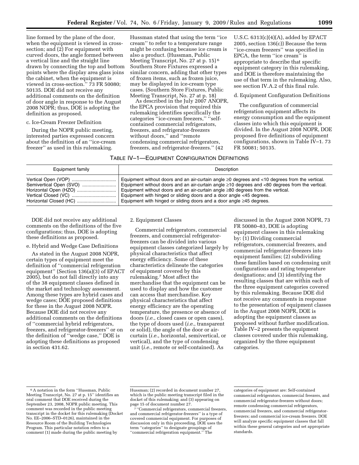line formed by the plane of the door, when the equipment is viewed in crosssection; and (2) For equipment with curved doors, the angle formed between a vertical line and the straight line drawn by connecting the top and bottom points where the display area glass joins the cabinet, when the equipment is viewed in cross-section.'' 73 FR 50080; 50135. DOE did not receive any additional comments on the definition of door angle in response to the August 2008 NOPR; thus, DOE is adopting the definition as proposed.

#### c. Ice-Cream Freezer Definition

During the NOPR public meeting, interested parties expressed concern about the definition of an ''ice-cream freezer'' as used in this rulemaking.

Hussman stated that using the term ''ice cream'' to refer to a temperature range might be confusing because ice cream is also a product. (Hussman, Public Meeting Transcript, No. 27 at p. 15) 6 Southern Store Fixtures expressed a similar concern, adding that other types of frozen items, such as frozen juice, may be displayed in ice-cream type cases. (Southern Store Fixtures, Public Meeting Transcript, No. 27 at p. 18)

As described in the July 2007 ANOPR, the EPCA provision that required this rulemaking identifies specifically the categories ''ice-cream freezers,'' ''selfcontained commercial refrigerators, freezers, and refrigerator-freezers without doors,'' and ''remote condensing commercial refrigerators, freezers, and refrigerator-freezers.'' (42

#### TABLE IV–1—EQUIPMENT CONFIGURATION DEFINITIONS

U.S.C. 6313(c)(4)(A), added by EPACT 2005, section 136(c)) Because the term ''ice-cream freezers'' was specified in EPCA, the term ''ice cream'' is appropriate to describe that specific equipment category in this rulemaking, and DOE is therefore maintaining the use of that term in the rulemaking. Also, see section IV.A.2 of this final rule.

#### d. Equipment Configuration Definitions

The configuration of commercial refrigeration equipment affects its energy consumption and the equipment classes into which this equipment is divided. In the August 2008 NOPR, DOE proposed five definitions of equipment configurations, shown in Table IV–1. 73 FR 50081; 50135.

| Equipment family | Description                                                                                           |
|------------------|-------------------------------------------------------------------------------------------------------|
|                  | Equipment without doors and an air-curtain angle $\geq 0$ degrees and <10 degrees from the vertical.  |
|                  | Equipment without doors and an air-curtain angle $\geq$ 10 degrees and <80 degrees from the vertical. |
|                  | Equipment without doors and an air-curtain angle $\geq 80$ degrees from the vertical.                 |
|                  | Equipment with hinged or sliding doors and a door angle <45 degrees.                                  |
|                  | Equipment with hinged or sliding doors and a door angle $\geq$ 45 degrees.                            |

DOE did not receive any additional comments on the definitions of the five configurations; thus, DOE is adopting these definitions as proposed.

#### e. Hybrid and Wedge Case Definitions

As stated in the August 2008 NOPR, certain types of equipment meet the definition of ''commercial refrigeration equipment'' (Section 136(a)(3) of EPACT 2005), but do not fall directly into any of the 38 equipment classes defined in the market and technology assessment. Among these types are hybrid cases and wedge cases; DOE proposed definitions for these in the August 2008 NOPR. Because DOE did not receive any additional comments on the definitions of ''commercial hybrid refrigerators, freezers, and refrigerator-freezers'' or on the definition of ''wedge case,'' DOE is adopting these definitions as proposed in section 431.62.

#### 2. Equipment Classes

Commercial refrigerators, commercial freezers, and commercial refrigeratorfreezers can be divided into various equipment classes categorized largely by physical characteristics that affect energy efficiency. Some of these characteristics delineate the categories of equipment covered by this rulemaking.7 Most affect the merchandise that the equipment can be used to display and how the customer can access that merchandise. Key physical characteristics that affect energy efficiency are the operating temperature, the presence or absence of doors (*i.e.*, closed cases or open cases), the type of doors used (*i.e.*, transparent or solid), the angle of the door or aircurtain (*i.e.*, horizontal, semivertical, or vertical), and the type of condensing unit (*i.e.*, remote or self-contained). As

discussed in the August 2008 NOPR, 73 FR 50080–83, DOE is adopting equipment classes in this rulemaking by: (1) Dividing commercial refrigerators, commercial freezers, and commercial refrigerator-freezers into equipment families; (2) subdividing these families based on condensing unit configurations and rating temperature designations; and (3) identifying the resulting classes that are within each of the three equipment categories covered by this rulemaking. Because DOE did not receive any comments in response to the presentation of equipment classes in the August 2008 NOPR, DOE is adopting the equipment classes as proposed without further modification. Table IV–2 presents the equipment classes covered under this rulemaking, organized by the three equipment categories.

<sup>6</sup>A notation in the form ''Hussman, Public Meeting Transcript, No. 27 at p. 15'' identifies an oral comment that DOE received during the September 23, 2008, NOPR public meeting. This comment was recorded in the public meeting transcript in the docket for this rulemaking (Docket No. EE–2006–STD–0126), maintained in the Resource Room of the Building Technologies Program. This particular notation refers to a comment (1) made during the public meeting by

Hussman; (2) recorded in document number 27, which is the public meeting transcript filed in the docket of this rulemaking; and (3) appearing on<br>page 15 of document number 27.

 $\frac{1}{7}$ "Commercial refrigerators, commercial freezers, and commercial refrigerator-freezers'' is a type of covered commercial equipment. For purposes of discussion only in this proceeding, DOE uses the term ''categories'' to designate groupings of ''commercial refrigeration equipment.'' The

categories of equipment are: Self-contained commercial refrigerators, commercial freezers, and commercial refrigerator-freezers without doors; remote condensing commercial refrigerators, commercial freezers, and commercial refrigeratorfreezers; and commercial ice-cream freezers. DOE will analyze specific equipment classes that fall within these general categories and set appropriate standards.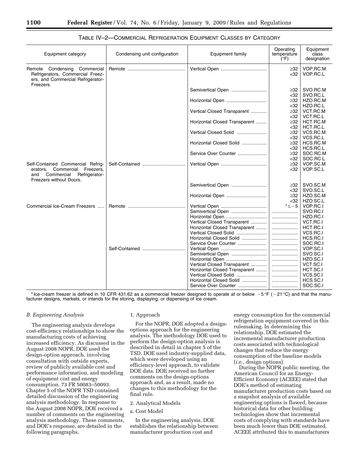| Equipment category                                                                                    | Condensing unit configuration | Equipment family              | Operating<br>temperature<br>$(\circ \mathsf{F})$ | Equipment<br>class<br>designation |
|-------------------------------------------------------------------------------------------------------|-------------------------------|-------------------------------|--------------------------------------------------|-----------------------------------|
| Remote Condensing Commercial<br>Refrigerators, Commercial Freez-<br>ers, and Commercial Refrigerator- |                               |                               | $\geq$ 32<br>$32$                                | VOP.RC.M<br>VOP.RC.L              |
| Freezers.                                                                                             |                               | Semivertical Open             | $\geq$ 32                                        | SVO.RC.M                          |
|                                                                                                       |                               |                               | $32$                                             | SVO.RC.L                          |
|                                                                                                       |                               | Horizontal Open               | $\geq$ 32                                        | HZO.RC.M                          |
|                                                                                                       |                               |                               | <32                                              | HZO.RC.L                          |
|                                                                                                       |                               | Vertical Closed Transparent   | $\geq$ 32                                        | VCT.RC.M                          |
|                                                                                                       |                               |                               | $32$                                             | VCT.RC.L                          |
|                                                                                                       |                               | Horizontal Closed Transparent | $\geq$ 32                                        | HCT.RC.M                          |
|                                                                                                       |                               |                               | $32$                                             | HCT.RC.L                          |
|                                                                                                       |                               | Vertical Closed Solid         | $\geq$ 32                                        | VCS.RC.M                          |
|                                                                                                       |                               |                               | $32$                                             | VCS.RC.L                          |
|                                                                                                       |                               | Horizontal Closed Solid       | $\geq$ 32                                        | HCS.RC.M                          |
|                                                                                                       |                               |                               | $32$                                             | HCS.RC.L                          |
|                                                                                                       |                               | Service Over Counter          | $\geq$ 32                                        | SOC.RC.M                          |
|                                                                                                       |                               |                               | <32                                              | SOC.RC.L                          |
| Self-Contained Commercial Refrig-                                                                     | Self-Contained                |                               | $\geq$ 32                                        | VOP.SC.M                          |
| erators, Commercial<br>Freezers,<br>Commercial<br>and<br>Refrigerator-<br>Freezers without Doors.     |                               |                               | $32$                                             | VOP.SC.L                          |
|                                                                                                       |                               | Semivertical Open             | $\geq$ 32                                        | SVO.SC.M                          |
|                                                                                                       |                               |                               | $32$                                             | SVO.SC.L                          |
|                                                                                                       |                               | Horizontal Open               | $\geq 32$                                        | HZO.SC.M                          |
|                                                                                                       |                               |                               | $32$                                             | HZO.SC.L                          |
| Commercial Ice-Cream Freezers                                                                         |                               | Vertical Open                 | $* \leq -5$                                      | VOP.RC.I                          |
|                                                                                                       |                               | Semivertical Open             | .                                                | SVO.RC.I                          |
|                                                                                                       |                               | Horizontal Open               | .                                                | HZO.RC.I                          |
|                                                                                                       |                               | Vertical Closed Transparent   |                                                  | VCT.RC.I                          |
|                                                                                                       |                               | Horizontal Closed Transparent |                                                  | HCT.RC.I                          |
|                                                                                                       |                               | Vertical Closed Solid         |                                                  | VCS.RC.I                          |
|                                                                                                       |                               | Horizontal Closed Solid       | .                                                | HCS.RC.I                          |
|                                                                                                       |                               | Service Over Counter          |                                                  | SOC.RC.I                          |
|                                                                                                       | Self-Contained                |                               |                                                  | VOP.SC.I                          |
|                                                                                                       |                               | Semivertical Open             | .                                                | SVO.SC.I                          |
|                                                                                                       |                               | Horizontal Open               | .                                                | HZO.SC.I                          |
|                                                                                                       |                               | Vertical Closed Transparent   |                                                  | VCT.SC.I                          |
|                                                                                                       |                               | Horizontal Closed Transparent |                                                  | HCT.SC.I                          |
|                                                                                                       |                               | Vertical Closed Solid         | .                                                | VCS.SC.I                          |
|                                                                                                       |                               |                               |                                                  | HCS.SC.I                          |
|                                                                                                       |                               |                               |                                                  | SOC.SC.I                          |

#### TABLE IV–2—COMMERCIAL REFRIGERATION EQUIPMENT CLASSES BY CATEGORY

\* Ice-cream freezer is defined in 10 CFR 431.62 as a commercial freezer designed to operate at or below  $-5\degree$ F ( $-21\degree$ C) and that the manufacturer designs, markets, or intends for the storing, displaying, or dispensing of ice cream.

#### *B. Engineering Analysis*

The engineering analysis develops cost-efficiency relationships to show the manufacturing costs of achieving increased efficiency. As discussed in the August 2008 NOPR, DOE used the design-option approach, involving consultation with outside experts, review of publicly available cost and performance information, and modeling of equipment cost and energy consumption. 73 FR 50083–50093. Chapter 5 of the NOPR TSD contained detailed discussion of the engineering analysis methodology. In response to the August 2008 NOPR, DOE received a number of comments on the engineering analysis methodology. These comments, and DOE's response, are detailed in the following paragraphs.

#### 1. Approach

For the NOPR, DOE adopted a designoptions approach for the engineering analysis. The methodology DOE used to perform the design-option analysis is described in detail in chapter 5 of the TSD. DOE used industry-supplied data, which were developed using an efficiency-level approach, to validate DOE data. DOE received no further comments on the design-options approach and, as a result, made no changes to this methodology for the final rule.

#### 2. Analytical Models

## a. Cost Model

In the engineering analysis, DOE establishes the relationship between manufacturer production cost and

energy consumption for the commercial refrigeration equipment covered in this rulemaking. In determining this relationship, DOE estimated the incremental manufacturer production costs associated with technological changes that reduce the energy consumption of the baseline models (*i.e.*, design options).

During the NOPR public meeting, the American Council for an Energy-Efficient Economy (ACEEE) stated that DOE's method of estimating manufacturer production costs based on a snapshot analysis of available engineering options is flawed, because historical data for other building technologies show that incremental costs of complying with standards have been much lower than DOE estimated. ACEEE attributed this to manufacturers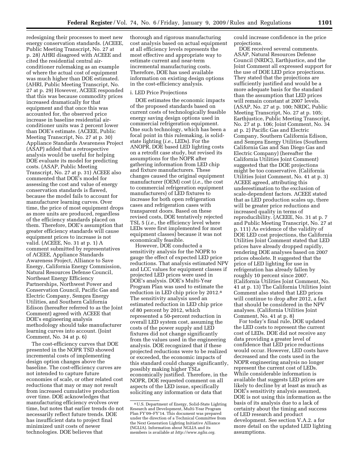redesigning their processes to meet new energy conservation standards. (ACEEE, Public Meeting Transcript, No. 27 at p. 28) AHRI disagreed with ACEEE and cited the residential central airconditioner rulemaking as an example of where the actual cost of equipment was much higher than DOE estimated. (AHRI, Public Meeting Transcript, No. 27 at p. 29) However, ACEEE responded that this was because commodity prices increased dramatically for that equipment and that once this was accounted for, the observed price increase in baseline residential airconditioner units was 2 percent lower than DOE's estimate. (ACEEE, Public Meeting Transcript, No. 27 at p. 30) Appliance Standards Awareness Project (ASAP) added that a retrospective analysis would be useful for helping DOE evaluate its model for predicting costs. (ASAP, Public Meeting Transcript, No. 27 at p. 31) ACEEE also commented that DOE's model for assessing the cost and value of energy conservation standards is flawed, because the model fails to account for manufacturer learning curves. Over time, the price of most equipment drops as more units are produced, regardless of the efficiency standards placed on them. Therefore, DOE's assumption that greater efficiency standards will cause equipment prices to increase is not valid. (ACEEE, No. 31 at p. 1) A comment submitted by representatives of ACEEE, Appliance Standards Awareness Project, Alliance to Save Energy, California Energy Commission, Natural Resources Defense Council, Northeast Energy Efficiency Partnerships, Northwest Power and Conservation Council, Pacific Gas and Electric Company, Sempra Energy Utilities, and Southern California Edison (hereafter referred to as the Joint Comment) agreed with ACEEE that DOE's engineering analysis methodology should take manufacturer learning curves into account. (Joint Comment, No. 34 at p. 6)

The cost-efficiency curves that DOE presented in the NOPR TSD showed incremental costs of implementing design option changes above the baseline. The cost-efficiency curves are not intended to capture future economies of scale, or other related cost reductions that may or may not result from increased cumulative production over time. DOE acknowledges that manufacturing efficiency evolves over time, but notes that earlier trends do not necessarily reflect future trends. DOE has insufficient data to project final minimized unit costs of newer technologies. DOE believes that

thorough and rigorous manufacturing cost analysis based on actual equipment at all efficiency levels represents the most effective and appropriate way to estimate current and near-term incremental manufacturing costs. Therefore, DOE has used available information on existing design options in the cost-efficiency analysis.

#### i. LED Price Projections

DOE estimates the economic impacts of the proposed standards based on current costs of technologically feasible energy saving design options used in commercial refrigeration equipment. One such technology, which has been a focal point in this rulemaking, is solidstate lighting (*i.e.*, LEDs). For the ANOPR, DOE based LED lighting costs on a retrofit case study, but revised its assumptions for the NOPR after gathering information from LED chip and fixture manufacturers. These changes caused the original equipment manufacturer (OEM) cost (*i.e.*, the cost to commercial refrigeration equipment manufacturers) of LED fixtures to increase for both open refrigeration cases and refrigeration cases with transparent doors. Based on these revised costs, DOE tentatively rejected TSL 5 (*i.e.*, the efficiency level where LEDs were first implemented for most equipment classes) because it was not economically feasible.

However, DOE conducted a sensitivity analysis for the NOPR to gauge the effect of expected LED price reductions. That analysis estimated NPV and LCC values for equipment classes if projected LED prices were used in DOE's analysis. DOE's Multi-Year Program Plan was used to estimate the reduction in LED chip price by 2012.8 The sensitivity analysis used an estimated reduction in LED chip price of 80 percent by 2012, which represented a 50-percent reduction in overall LED system cost, assuming the costs of the power supply and LED fixtures did not change significantly from the values used in the engineering analysis. DOE recognized that if these projected reductions were to be realized or exceeded, the economic impacts of this standard could change significantly, possibly making higher TSLs economically justified. Therefore, in the NOPR, DOE requested comment on all aspects of the LED issue, specifically soliciting any information or data that

could increase confidence in the price projections.

DOE received several comments. ASAP, Natural Resources Defense Council (NRDC), Earthjustice, and the Joint Comment all expressed support for the use of DOE LED price projections. They stated that the projections are sufficiently justified and would be a more adequate basis for the standard than the assumption that LED prices will remain constant at 2007 levels. (ASAP, No. 27 at p. 100; NRDC, Public Meeting Transcript, No. 27 at p. 105; Earthjustice, Public Meeting Transcript, No. 27 at p. 106; Joint Comment, No. 34 at p. 2) Pacific Gas and Electric Company, Southern California Edison, and Sempra Energy Utilities (Southern California Gas and San Diego Gas and Electric Company) (hereafter the California Utilities Joint Comment) suggested that the DOE projections might be too conservative. (California Utilities Joint Comment, No. 41 at p. 3) ACEEE agreed, attributing this underestimation to the exclusion of scale-dependent factors. ACEEE stated that as LED production scales up, there will be greater price reductions and increased quality in terms of reproducibility. (ACEEE, No. 31 at p. 7 and Public Meeting Transcript, No. 27 at p. 111) As evidence of the validity of DOE LED cost projections, the California Utilities Joint Comment stated that LED prices have already dropped rapidly, rendering DOE analyses based on 2007 prices obsolete. It suggested that the price of LED lighting for use in refrigeration has already fallen by roughly 10 percent since 2007. (California Utilities Joint Comment, No. 41 at p. 13) The California Utilities Joint Comment also stated that LED prices will continue to drop after 2012, a fact that should be considered in the NPV analyses. (California Utilities Joint Comment, No. 41 at p. 8)

For today's final rule, DOE updated the LED costs to represent the current cost of LEDs. DOE did not receive any data providing a greater level of confidence that LED price reductions would occur. However, LED costs have decreased and the costs used in the NOPR engineering analysis no longer represent the current cost of LEDs. While considerable information is available that suggests LED prices are likely to decline by at least as much as DOE's sensitivity analysis assumed, DOE is not using this information as the basis of its analysis due to a lack of certainty about the timing and success of LED research and product development. See section V.A.2. a for more detail on the updated LED lighting assumptions.

<sup>8</sup>U.S. Department of Energy, Solid-State Lighting Research and Development, Multi-Year Program Plan FY'09–FY'14. This document was prepared under the direction of a Technical Committee from the Next Generation Lighting Initiative Alliance (NGLIA). Information about NGLIA and its members is available at *http://www.nglia.org.*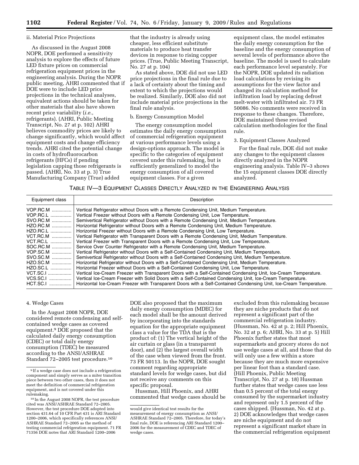#### ii. Material Price Projections

As discussed in the August 2008 NOPR, DOE performed a sensitivity analysis to explore the effects of future LED fixture prices on commercial refrigeration equipment prices in the engineering analysis. During the NOPR public meeting, AHRI commented that if DOE were to include LED price projections in the technical analyses, equivalent actions should be taken for other materials that also have shown recent price variability (*i.e.*, refrigerants). (AHRI, Public Meeting Transcript, No. 27 at p. 102) AHRI believes commodity prices are likely to change significantly, which would affect equipment costs and change efficiency trends. AHRI cited the potential change in costs of hydrofluorocarbon refrigerants (HFCs) if pending legislation capping those refrigerants is passed. (AHRI, No. 33 at p. 3) True Manufacturing Company (True) added

that the industry is already using cheaper, less efficient substitute materials to produce heat transfer devices in response to rising copper prices. (True, Public Meeting Transcript, No. 27 at p. 104)

As stated above, DOE did not use LED price projections in the final rule due to a lack of certainty about the timing and extent to which the projections would be realized. Similarly, DOE also did not include material price projections in the final rule analysis.

#### b. Energy Consumption Model

The energy consumption model estimates the daily energy consumption of commercial refrigeration equipment at various performance levels using a design-options approach. The model is specific to the categories of equipment covered under this rulemaking, but is sufficiently generalized to model the energy consumption of all covered equipment classes. For a given

equipment class, the model estimates the daily energy consumption for the baseline and the energy consumption of several levels of performance above the baseline. The model is used to calculate each performance level separately. For the NOPR, DOE updated its radiation load calculations by revising its assumptions for the view factor and changed its calculation method for infiltration load by replacing defrost melt-water with infiltrated air. 73 FR 50086. No comments were received in response to these changes. Therefore, DOE maintained these revised calculation methodologies for the final rule.

#### 3. Equipment Classes Analyzed

For the final rule, DOE did not make any changes to the equipment classes directly analyzed in the NOPR engineering analysis. Table IV–3 shows the 15 equipment classes DOE directly analyzed.

TABLE IV—3 EQUIPMENT CLASSES DIRECTLY ANALYZED IN THE ENGINEERING ANALYSIS

| Equipment class | Description                                                                                                       |
|-----------------|-------------------------------------------------------------------------------------------------------------------|
| VOP.RC.M        | Vertical Refrigerator without Doors with a Remote Condensing Unit, Medium Temperature.                            |
| VOP.RC.L        | Vertical Freezer without Doors with a Remote Condensing Unit, Low Temperature.                                    |
| SVO.RC.M        | Semivertical Refrigerator without Doors with a Remote Condensing Unit, Medium Temperature.                        |
| HZO.RC.M        | Horizontal Refrigerator without Doors with a Remote Condensing Unit, Medium Temperature.                          |
| HZO.RC.L        | Horizontal Freezer without Doors with a Remote Condensing Unit, Low Temperature.                                  |
| <b>VCT.RC.M</b> | Vertical Refrigerator with Transparent Doors with a Remote Condensing Unit, Medium Temperature.                   |
| <b>VCT.RC.L</b> | Vertical Freezer with Transparent Doors with a Remote Condensing Unit, Low Temperature.                           |
| SOC.RC.M        | Service Over Counter Refrigerator with a Remote Condensing Unit, Medium Temperature.                              |
| VOP.SC.M        | Vertical Refrigerator without Doors with a Self-Contained Condensing Unit, Medium Temperature.                    |
| SVO.SC.M        | Semivertical Refrigerator without Doors with a Self-Contained Condensing Unit, Medium Temperature.                |
| HZO.SC.M        | Horizontal Refrigerator without Doors with a Self-Contained Condensing Unit, Medium Temperature.                  |
| HZO.SC.L        | Horizontal Freezer without Doors with a Self-Contained Condensing Unit, Low Temperature.                          |
| VCT.SC.I        | Vertical Ice-Cream Freezer with Transparent Doors with a Self-Contained Condensing Unit, Ice-Cream Temperature.   |
| VCS.SC.I        | Vertical Ice-Cream Freezer with Solid Doors with a Self-Contained Condensing Unit, Ice-Cream Temperature.         |
| HCT.SC.I        | Horizontal Ice-Cream Freezer with Transparent Doors with a Self-Contained Condensing Unit, Ice-Cream Temperature. |

#### 4. Wedge Cases

In the August 2008 NOPR, DOE considered remote condensing and selfcontained wedge cases as covered equipment.9 DOE proposed that the calculated daily energy consumption (CDEC) or total daily energy consumption (TDEC) be measured according to the ANSI/ASHRAE Standard 72–2005 test procedure.10

DOE also proposed that the maximum daily energy consumption (MDEC) for each model shall be the amount derived by incorporating into the standards equation for the appropriate equipment class a value for the TDA that is the product of: (1) The vertical height of the air curtain or glass (in a transparent door), and (2) the largest overall width of the case when viewed from the front. 73 FR 50113. In the NOPR, DOE sought comment regarding appropriate standard levels for wedge cases, but did not receive any comments on this specific proposal.

Hussman, Hill Phoenix, and AHRI commented that wedge cases should be

excluded from this rulemaking because they are niche products that do not represent a significant part of the commercial refrigeration industry. (Hussman, No. 42 at p. 2; Hill Phoenix, No. 32 at p. 6; AHRI, No. 33 at p. 5) Hill Phoenix further states that most supermarkets and grocery stores do not use wedge cases at all, and those that do will only use a few within a store because they are much more expensive per linear foot than a standard case. (Hill Phoenix, Public Meeting Transcript, No. 27 at p. 18) Hussman further states that wedge cases use less than 0.5 percent of the total energy consumed by the supermarket industry and represent only 1.5 percent of the cases shipped. (Hussman, No. 42 at p. 2) DOE acknowledges that wedge cases are niche equipment and do not represent a significant market share in the commercial refrigeration equipment

<sup>9</sup> If a wedge case does not include a refrigeration component and simply serves as a miter transition piece between two other cases, then it does not meet the definition of commercial refrigeration equipment, and is not covered under this rulemaking.

<sup>10</sup> In the August 2008 NOPR, the test procedure cited was ANSI/ASHRAE Standard 72–2005. However, the test procedure DOE adopted into section 431.64 of 10 CFR Part 431 is ARI Standard 1200–2006, which specifically references ANSI/ ASHRAE Standard 72–2005 as the method of testing commercial refrigeration equipment. 71 FR 71356 DOE notes that ARI Standard 1200–2006

would give identical test results for the measurement of energy consumption as ANSI/ ASHRAE Standard 72–2005. Therefore, for today's final rule, DOE is referencing ARI Standard 1200– 2006 for the measurement of CDEC and TDEC of wedge cases.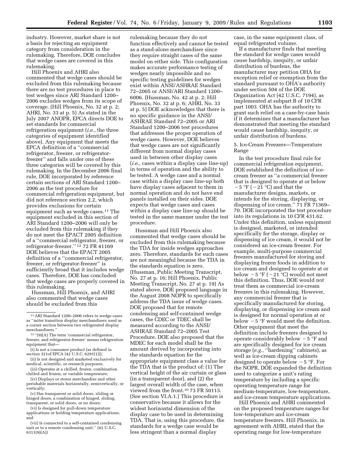industry. However, market share is not a basis for rejecting an equipment category from consideration in the rulemaking. Therefore, DOE concludes that wedge cases are covered in this rulemaking.

Hill Phoenix and AHRI also commented that wedge cases should be excluded from this rulemaking because there are no test procedures in place to test wedges since ARI Standard 1200– 2006 excludes wedges from its scope of coverage. (Hill Phoenix, No. 32 at p. 2; AHRI, No. 33 at p. 5) As stated in the July 2007 ANOPR, EPCA directs DOE to set standards for commercial refrigeration equipment (*i.e.*, the three categories of equipment identified above). Any equipment that meets the EPCA definition of a ''commercial refrigerator, freezer, or refrigeratorfreezer'' and falls under one of these three categories will be covered by this rulemaking. In the December 2006 final rule, DOE incorporated by reference certain sections of ARI Standard 1200– 2006 as the test procedure for commercial refrigeration equipment, but did not reference section 2.2, which provides exclusions for certain equipment such as wedge cases.11 The equipment excluded in this section of ARI Standard 1200–2006 will only be excluded from this rulemaking if they do not meet the EPACT 2005 definition of a ''commercial refrigerator, freezer, or refrigerator-freezer.'' 12 72 FR 41169 DOE believes that the EPACT 2005 definition of a ''commercial refrigerator, freezer, or refrigerator-freezer'' is sufficiently broad that it includes wedge cases. Therefore, DOE has concluded that wedge cases are properly covered in this rulemaking.

Hussman, Hill Phoenix, and AHRI also commented that wedge cases should be excluded from this

- (ii) Is not designed and marketed exclusively for medical, scientific, or research purposes;
- (iii) Operates at a chilled, frozen, combination chilled and frozen, or variable temperature;

(iv) Displays or stores merchandise and other perishable materials horizontally, semivertically, or vertically;

(v) Has transparent or solid doors, sliding or hinged doors, a combination of hinged, sliding, transparent, or solid doors, or no doors;

(vi) Is designed for pull-down temperature applications or holding temperature applications; and

(vii) Is connected to a self-contained condensing unit or to a remote condensing unit.'' (42 U.S.C. 6311(9)(A))

rulemaking because they do not function effectively and cannot be tested as a stand-alone merchandiser since they require straight cases of the same model on either side. This configuration makes accurate performance testing of wedges nearly impossible and no specific testing guidelines for wedges exist within ANSI/ASHRAE Standard 72–2005 or ANSI/ARI Standard 1200– 6006. (Hussman, No. 42 at p. 2; Hill Phoenix, No. 32 at p. 6; AHRI, No. 33 at p. 5) DOE acknowledges that there is no specific guidance in the ANSI/ ASHRAE Standard 72–2005 or ARI Standard 1200–2006 test procedures that addresses the proper operation of wedge cases. However, DOE believes that wedge cases are not significantly different from normal display cases used in between other display cases (*i.e.*, cases within a display case line-up) in terms of operation and the ability to be tested. A wedge case and a normal case within a display case line-up both have display cases adjacent to them in normal operation and do not have end panels installed on their sides. DOE expects that wedge cases and cases within a display case line-up should be tested in the same manner under the test procedure.

Hussman and Hill Phoenix also commented that wedge cases should be excluded from this rulemaking because the TDA for inside wedges approaches zero. Therefore, standards for such cases are not meaningful because the TDA in the standards equation is zero. (Hussman, Public Meeting Transcript, No. 27 at p. 16; Hill Phoenix, Public Meeting Transcript, No. 27 at p. 19) As stated above, DOE proposed language in the August 2008 NOPR to specifically address the TDA issue of wedge cases. DOE proposed that for remote condensing and self-contained wedge cases, the CDEC or TDEC shall be measured according to the ANSI/ ASHRAE Standard 72–2005 Test Procedure. DOE also proposed that the MDEC for each model shall be the amount derived by incorporating into the standards equation for the appropriate equipment class a value for the TDA that is the product of: (1) The vertical height of the air curtain or glass (in a transparent door), and (2) the largest overall width of the case, when viewed from the front.10 73 FR 50113. (See section VI.A.1.) This procedure is conservative because it allows for the widest horizontal dimension of the display case to be used in determining TDA. That is, using this procedure, the standards for a wedge case would be less stringent than a normal display

case, in the same equipment class, of equal refrigerated volume.

If a manufacturer finds that meeting the standard for wedge cases would cause hardship, inequity, or unfair distribution of burdens, the manufacturer may petition OHA for exception relief or exemption from the standard pursuant to OHA's authority under section 504 of the DOE Organization Act (42 U.S.C. 7194), as implemented at subpart B of 10 CFR part 1003. OHA has the authority to grant such relief on a case-by-case basis if it determines that a manufacturer has demonstrated that meeting the standard would cause hardship, inequity, or unfair distribution of burdens.

#### 5. Ice-Cream Freezers—Temperature Range

In the test procedure final rule for commercial refrigeration equipment, DOE established the definition of icecream freezer as ''a commercial freezer that is designed to operate at or below  $-5$  °F ( $-21$  °C) and that the manufacturer designs, markets, or intends for the storing, displaying, or dispensing of ice cream.'' 71 FR 71369– 70. DOE incorporated the test procedure into its regulations in 10 CFR 431.62. Under this definition, unless equipment is designed, marketed, or intended specifically for the storage, display or dispensing of ice cream, it would not be considered an ice-cream freezer. For example, multi-purpose commercial freezers manufactured for storing and displaying frozen foods in addition to ice cream and designed to operate at or below  $-5$  °F ( $-21$  °C) would not meet this definition. Thus, DOE would not treat them as commercial ice-cream freezers in this rulemaking. However, any commercial freezer that is specifically manufactured for storing, displaying, or dispensing ice cream and is designed for normal operation at or below  $-5$  °F would meet the definition. Other equipment that meet the definition include freezers designed to operate considerably below  $-5$  °F and are specifically designed for ice cream storage (*e.g.*, ''hardening'' cabinets), as well as ice-cream dipping cabinets designed to operate below  $-5$  °F. For the NOPR, DOE expanded the definition used to categorize a unit's rating temperature by including a specific operating temperature range for medium-temperature, low-temperature, and ice-cream temperature applications.

Hill Phoenix and AHRI commented on the proposed temperature ranges for low-temperature and ice-cream temperature freezers. Hill Phoenix, in agreement with AHRI, stated that the operating range for low-temperature

<sup>11</sup>ARI Standard 1200–2006 refers to wedge cases as ''miter transition display merchandisers used as a corner section between two refrigerated display merchandisers.''

<sup>12</sup> ''(9)(A) The term 'commercial refrigerator, freezer, and refrigerator-freezer' means refrigeration equipment that—

<sup>(</sup>i) Is not a consumer product (as defined in section 321of EPCA [42 U.S.C. 6291(1)]);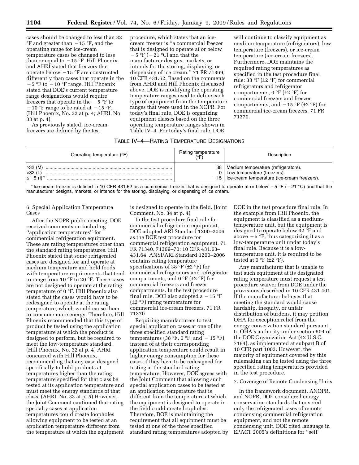cases should be changed to less than 32  $\mathrm{P}F$  and greater than  $-15$   $\mathrm{P}F$ , and the operating range for ice-cream temperature cases be changed to less than or equal to  $-15$  °F. Hill Phoenix and AHRI stated that freezers that operate below  $-15$  °F are constructed differently than cases that operate in the  $-5$  °F to  $-10$  °F range. Hill Phoenix stated that DOE's current temperature range designations would require freezers that operate in the  $-5$  °F to  $-10$  °F range to be rated at  $-15$  °F. (Hill Phoenix, No. 32 at p. 4; AHRI, No. 33 at p. 4)

As previously stated, ice-cream freezers are defined by the test

procedure, which states that an icecream freezer is ''a commercial freezer that is designed to operate at or below  $-5$  °F ( $-21$  °C) and that the manufacturer designs, markets, or intends for the storing, displaying, or dispensing of ice cream.'' 71 FR 71369; 10 CFR 431.62. Based on the comments from AHRI and Hill Phoenix discussed above, DOE is modifying the operating temperature ranges used to define each type of equipment from the temperature ranges that were used in the NOPR. For today's final rule, DOE is organizing equipment classes based on the three operating temperature ranges shown in Table IV–4. For today's final rule, DOE

will continue to classify equipment as medium temperature (refrigerators), low temperature (freezers), or ice-cream temperature (ice-cream freezers). Furthermore, DOE maintains the required rating temperatures as specified in the test procedure final rule: 38 °F ( $\pm$ 2 °F) for commercial refrigerators and refrigerator compartments,  $0 \degree F$  ( $\pm 2 \degree F$ ) for commercial freezers and freezer compartments, and  $-15$  °F ( $\pm$ 2 °F) for commercial ice-cream freezers. 71 FR 71370.

#### TABLE IV–4—RATING TEMPERATURE DESIGNATIONS

| Operating temperature (°F)  | Rating temperature | Description                                                                                                                    |
|-----------------------------|--------------------|--------------------------------------------------------------------------------------------------------------------------------|
| $\geq$ 32 (M)<br>$<$ 32 (L) |                    | 38   Medium temperature (refrigerators).<br>Low temperature (freezers).<br>$-15$   Ice-cream temperature (ice-cream freezers). |

\* Ice-cream freezer is defined in 10 CFR 431.62 as a commercial freezer that is designed to operate at or below  $-5$  °F ( $-21$  °C) and that the manufacturer designs, markets, or intends for the storing, displaying, or dispensing of ice cream.

6. Special Application Temperature Cases

After the NOPR public meeting, DOE received comments on including ''application temperatures'' for commercial refrigeration equipment. These are rating temperatures other than the standard rating temperatures. Hill Phoenix stated that some refrigerated cases are designed for and operate at medium temperature and hold foods with temperature requirements that tend to range from 10 °F to 20 °F. These cases are not designed to operate at the rating temperature of 0 °F. Hill Phoenix also stated that the cases would have to be redesigned to operate at the rating temperature, which would cause them to consume more energy. Therefore, Hill Phoenix recommended that this type of product be tested using the application temperature at which the product is designed to perform, but be required to meet the low-temperature standard. (Hill Phoenix, No. 32 at p. 4) AHRI concurred with Hill Phoenix, recommending that any case designed specifically to hold products at temperatures higher than the rating temperature specified for that class be tested at its application temperature and must meet the energy standards of that class. (AHRI, No. 33 at p. 5) However, the Joint Comment cautioned that rating specialty cases at application temperatures could create loopholes allowing equipment to be tested at an application temperature different from the temperature at which the equipment

is designed to operate in the field. (Joint Comment, No. 34 at p. 4)

In the test procedure final rule for commercial refrigeration equipment, DOE adopted ARI Standard 1200–2006 as the DOE test procedure for commercial refrigeration equipment. 71 FR 71340, 71369–70; 10 CFR 431.63– 431.64. ANSI/ARI Standard 1200–2006 contains rating temperature specifications of 38 °F ( $\pm$ 2 °F) for commercial refrigerators and refrigerator compartments, and  $0 \text{ }^{\circ}F$  ( $\pm 2 \text{ }^{\circ}F$ ) for commercial freezers and freezer compartments. In the test procedure final rule, DOE also adopted a  $-15$  °F (±2 °F) rating temperature for commercial ice-cream freezers. 71 FR 71370.

Requiring manufacturers to test special application cases at one of the three specified standard rating temperatures (38 °F, 0 °F, and  $-15$  °F) instead of at their corresponding application temperature could result in higher energy consumption for these cases if they have to be redesigned for testing at the standard rating temperature. However, DOE agrees with the Joint Comment that allowing such special application cases to be tested at an application temperature that is different from the temperature at which the equipment is designed to operate in the field could create loopholes. Therefore, DOE is maintaining the requirement that all equipment must be tested at one of the three specified standard rating temperatures adopted by DOE in the test procedure final rule. In the example from Hill Phoenix, the equipment is classified as a mediumtemperature unit, but the equipment is designed to operate below 32 °F and above  $-5$  °F, thus categorizing it as a low-temperature unit under today's final rule. Because it is a lowtemperature unit, it is required to be tested at 0  $\mathrm{P}$  ( $\pm 2 \mathrm{P}$ ).

Any manufacturer that is unable to test such equipment at its designated rating temperature must request a test procedure waiver from DOE under the provisions described in 10 CFR 431.401. If the manufacturer believes that meeting the standard would cause hardship, inequity, or unfair distribution of burdens, it may petition OHA for exception relief from the energy conservation standard pursuant to OHA's authority under section 504 of the DOE Organization Act (42 U.S.C. 7194), as implemented at subpart B of 10 CFR part 1003. However, the majority of equipment covered by this rulemaking can be tested using the three specified rating temperatures provided in the test procedure.

#### 7. Coverage of Remote Condensing Units

In the framework document, ANOPR, and NOPR, DOE considered energy conservation standards that covered only the refrigerated cases of remote condensing commercial refrigeration equipment, and not the remote condensing unit. DOE cited language in EPACT 2005's definitions for ''self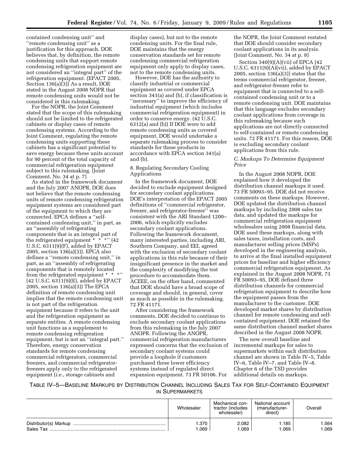contained condensing unit'' and ''remote condensing unit'' as a justification for this approach. DOE believes that, by definition, the remote condensing units that support remote condensing refrigeration equipment are not considered an ''integral part'' of the refrigeration equipment. (EPACT 2005, Section 136(a)(3)) As a result, DOE stated in the August 2008 NOPR that remote condensing units would not be considered in this rulemaking.

For the NOPR, the Joint Comment stated that the scope of this rulemaking should not be limited to the refrigerated cabinets or display cases of remote condensing systems. According to the Joint Comment, regulating the remote condensing units supporting these cabinets has a significant potential to save energy because these units account for 90 percent of the total capacity of commercial refrigeration equipment subject to this rulemaking. (Joint Comment, No. 34 at p. 7)

As stated in the framework document and the July 2007 ANOPR, DOE does not believe that the remote condensing units of remote condensing refrigeration equipment systems are considered part of the equipment to which they are connected. EPCA defines a ''selfcontained condensing unit,'' in part, as an ''assembly of refrigerating components that is an integral part of the refrigerated equipment  $* * *$ '' (42) U.S.C. 6311(9)(F), added by EPACT 2005, section 136(a)(3)). EPCA also defines a ''remote condensing unit,'' in part, as an ''assembly of refrigerating components that is remotely located from the refrigerated equipment \* \* \*'' (42 U.S.C. 6311(9)(E), added by EPACT 2005, section 136(a)(3)) The EPCA definition of remote condensing unit implies that the remote condensing unit is not part of the refrigeration equipment because it refers to the unit and the refrigeration equipment as separate entities. A remote condensing unit functions as a supplement to remote condensing refrigeration equipment, but is not an ''integral part.'' Therefore, energy conservation standards for remote condensing commercial refrigerators, commercial freezers, and commercial refrigeratorfreezers apply only to the refrigerated equipment (*i.e.*, storage cabinets and

display cases), but not to the remote condensing units. For the final rule, DOE maintains that the energy conservation standards set for remote condensing commercial refrigeration equipment only apply to display cases, not to the remote condensing units.

However, DOE has the authority to classify industrial or commercial equipment as covered under EPCA section 341(a) and (b), if classification is ''necessary'' to improve the efficiency of industrial equipment (which includes commercial refrigeration equipment) in order to conserve energy. (42 U.S.C. 6312(a) and (b)) If DOE were to add remote condensing units as covered equipment, DOE would undertake a separate rulemaking process to consider standards for these products in accordance with EPCA section 341(a) and (b).

#### 8. Regulating Secondary Cooling Applications

In the framework document, DOE decided to exclude equipment designed for secondary coolant applications. DOE's interpretation of the EPACT 2005 definitions of ''commercial refrigerator, freezer, and refrigerator-freezer'' was consistent with the ARI Standard 1200– 2006, which explicitly excludes secondary coolant applications. Following the framework document, many interested parties, including ARI, Southern Company, and EEI, agreed with the exclusion of secondary coolant applications in this rule because of their insignificant presence in the market and the complexity of modifying the test procedure to accommodate them. ACEEE, on the other hand, commented that DOE should have a broad scope of coverage and should, in general, cover as much as possible in the rulemaking. 72 FR 41171.

After considering the framework comments, DOE decided to continue to exclude secondary coolant applications from this rulemaking in the July 2007 ANOPR. Following the ANOPR, commercial refrigeration manufacturers expressed concerns that the exclusion of secondary coolant systems could provide a loophole if customers purchased these lower efficiency systems instead of regulated direct expansion equipment. 73 FR 50106. For

the NOPR, the Joint Comment restated that DOE should consider secondary coolant applications in its analysis. (Joint Comment, No. 34 at p. 8)

Section  $340(9)(A)(vii)$  of EPCA (42) U.S.C. 6311(9)(A)(vii), added by EPACT 2005, section 136(a)(3)) states that the terms commercial refrigerator, freezer, and refrigerator-freezer refer to equipment that is connected to a selfcontained condensing unit or to a remote condensing unit. DOE maintains that this language excludes secondary coolant applications from coverage in this rulemaking because such applications are not directly connected to self-contained or remote condensing units. 72 FR 41171. For this reason, DOE is excluding secondary coolant applications from this rule.

#### *C. Markups To Determine Equipment Price*

In the August 2008 NOPR, DOE explained how it developed the distribution channel markups it used. 73 FR 50093–95. DOE did not receive comments on these markups. However, DOE updated the distribution channel markups by including 2008 sales tax data, and updated the markups for commercial refrigeration equipment wholesalers using 2008 financial data. DOE used these markups, along with sales taxes, installation costs, and manufacturer selling prices (MSPs) developed in the engineering analysis, to arrive at the final installed equipment prices for baseline and higher efficiency commercial refrigeration equipment. As explained in the August 2008 NOPR, 73 FR 50093–95, DOE defined three distribution channels for commercial refrigeration equipment to describe how the equipment passes from the manufacturer to the customer. DOE developed market shares by distribution channel for remote condensing and selfcontained equipment. DOE retained the same distribution channel market shares described in the August 2008 NOPR.

The new overall baseline and incremental markups for sales to supermarkets within each distribution channel are shown in Table IV–5, Table IV–6, Table IV–7, and Table IV–8. Chapter 6 of the TSD provides additional details on markups.

TABLE IV–5—BASELINE MARKUPS BY DISTRIBUTION CHANNEL INCLUDING SALES TAX FOR SELF-CONTAINED EQUIPMENT IN SUPERMARKETS

|           | Wholesaler   | Mechanical con-<br>tractor (includes<br>wholesaler) | National account<br>(manufacturer-<br>direct) | Overall      |
|-----------|--------------|-----------------------------------------------------|-----------------------------------------------|--------------|
| Sales Tax | .370<br>.069 | 2.082<br>1.069                                      | 1.185<br>1.069                                | .564<br>.069 |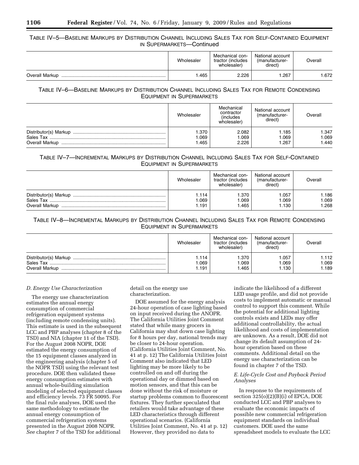## TABLE IV–5—BASELINE MARKUPS BY DISTRIBUTION CHANNEL INCLUDING SALES TAX FOR SELF-CONTAINED EQUIPMENT IN SUPERMARKETS—Continued

|                | Wholesaler | Mechanical con-<br>tractor (includes<br>wholesaler) | National account<br>(manufacturer-<br>direct) | Overall |
|----------------|------------|-----------------------------------------------------|-----------------------------------------------|---------|
| Overall Markup | .465       | 2.226                                               | .267                                          | .672    |

## TABLE IV–6—BASELINE MARKUPS BY DISTRIBUTION CHANNEL INCLUDING SALES TAX FOR REMOTE CONDENSING EQUIPMENT IN SUPERMARKETS

|                | Wholesaler              | Mechanical<br>contractor<br><i>(includes)</i><br>wholesaler) | National account<br>(manufacturer-<br>direct) | Overall                 |
|----------------|-------------------------|--------------------------------------------------------------|-----------------------------------------------|-------------------------|
| Overall Markup | 1.370<br>0.069<br>I.465 | 2.082<br>1.069<br>2.226                                      | 1.185<br>1.069<br>1.267                       | 1.347<br>1.069<br>1.440 |

## TABLE IV–7—INCREMENTAL MARKUPS BY DISTRIBUTION CHANNEL INCLUDING SALES TAX FOR SELF-CONTAINED EQUIPMENT IN SUPERMARKETS

|                                                             | Wholesaler             | Mechanical con-<br>tractor (includes<br>wholesaler) | National account<br>(manufacturer-<br>direct) | Overall               |
|-------------------------------------------------------------|------------------------|-----------------------------------------------------|-----------------------------------------------|-----------------------|
| Distributor(s) Markup<br>Sales Tax<br><b>Overall Markup</b> | .114<br>0.069<br>1.191 | 1.370<br>069<br>.465                                | 1.057<br>1.069<br>1.130                       | 1.186<br>069<br>1.268 |

## TABLE IV–8—INCREMENTAL MARKUPS BY DISTRIBUTION CHANNEL INCLUDING SALES TAX FOR REMOTE CONDENSING EQUIPMENT IN SUPERMARKETS

|                                                             | Wholesaler            | Mechanical con-<br>tractor (includes<br>wholesaler) | National account<br>manufacturer-<br>direct) | Overall                |
|-------------------------------------------------------------|-----------------------|-----------------------------------------------------|----------------------------------------------|------------------------|
| Distributor(s) Markup<br>Sales Tax<br><b>Overall Markup</b> | .114<br>.069<br>1.191 | .370<br>.069<br>.465                                | 1.057<br>1.069<br>1.130                      | 1.112<br>.069<br>l.189 |

#### *D. Energy Use Characterization*

The energy use characterization estimates the annual energy consumption of commercial refrigeration equipment systems (including remote condensing units). This estimate is used in the subsequent LCC and PBP analyses (chapter 8 of the TSD) and NIA (chapter 11 of the TSD). For the August 2008 NOPR, DOE estimated the energy consumption of the 15 equipment classes analyzed in the engineering analysis (chapter 5 of the NOPR TSD) using the relevant test procedure. DOE then validated these energy consumption estimates with annual whole-building simulation modeling of selected equipment classes and efficiency levels. 73 FR 50095. For the final rule analyses, DOE used the same methodology to estimate the annual energy consumption of commercial refrigeration systems presented in the August 2008 NOPR. *See* chapter 7 of the TSD for additional

detail on the energy use characterization.

DOE assumed for the energy analysis 24-hour operation of case lighting based on input received during the ANOPR. The California Utilities Joint Comment stated that while many grocers in California may shut down case lighting for 8 hours per day, national trends may be closer to 24-hour operation. (California Utilities Joint Comment, No. 41 at p. 12) The California Utilities Joint Comment also indicated that LED lighting may be more likely to be controlled on and off during the operational day or dimmed based on motion sensors, and that this can be done without the risk of moisture or startup problems common to fluorescent fixtures. They further speculated that retailers would take advantage of these LED characteristics through different operational scenarios. (California Utilities Joint Comment, No. 41 at p. 12) However, they provided no data to

indicate the likelihood of a different LED usage profile, and did not provide costs to implement automatic or manual control to support this comment. While the potential for additional lighting controls exists and LEDs may offer additional controllability, the actual likelihood and costs of implementation are unknown. As a result, DOE did not change its default assumption of 24 hour operation based on these comments. Additional detail on the energy use characterization can be found in chapter 7 of the TSD.

#### *E. Life-Cycle Cost and Payback Period Analyses*

In response to the requirements of section 325(o)(2)(B)(i) of EPCA, DOE conducted LCC and PBP analyses to evaluate the economic impacts of possible new commercial refrigeration equipment standards on individual customers. DOE used the same spreadsheet models to evaluate the LCC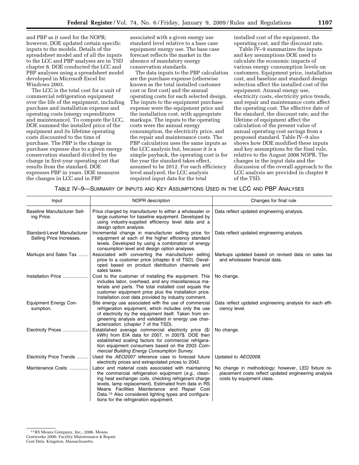and PBP as it used for the NOPR; however, DOE updated certain specific inputs to the models. Details of the spreadsheet model and of all the inputs to the LCC and PBP analyses are in TSD chapter 8. DOE conducted the LCC and PBP analyses using a spreadsheet model developed in Microsoft Excel for Windows 2003.

The LCC is the total cost for a unit of commercial refrigeration equipment over the life of the equipment, including purchase and installation expense and operating costs (energy expenditures and maintenance). To compute the LCC, DOE summed the installed price of the equipment and its lifetime operating costs discounted to the time of purchase. The PBP is the change in purchase expense due to a given energy conservation standard divided by the change in first-year operating cost that results from the standard. DOE expresses PBP in years. DOE measures the changes in LCC and in PBP

associated with a given energy use standard level relative to a base case equipment energy use. The base case forecast reflects the market in the absence of mandatory energy conservation standards.

The data inputs to the PBP calculation are the purchase expense (otherwise known as the total installed customer cost or first cost) and the annual operating costs for each selected design. The inputs to the equipment purchase expense were the equipment price and the installation cost, with appropriate markups. The inputs to the operating costs were the annual energy consumption, the electricity price, and the repair and maintenance costs. The PBP calculation uses the same inputs as the LCC analysis but, because it is a simple payback, the operating cost is for the year the standard takes effect, assumed to be 2012. For each efficiency level analyzed, the LCC analysis required input data for the total

installed cost of the equipment, the operating cost, and the discount rate.

Table IV–9 summarizes the inputs and key assumptions DOE used to calculate the economic impacts of various energy consumption levels on customers. Equipment price, installation cost, and baseline and standard design selection affect the installed cost of the equipment. Annual energy use, electricity costs, electricity price trends, and repair and maintenance costs affect the operating cost. The effective date of the standard, the discount rate, and the lifetime of equipment affect the calculation of the present value of annual operating cost savings from a proposed standard. Table IV–9 also shows how DOE modified these inputs and key assumptions for the final rule, relative to the August 2008 NOPR. The changes in the input data and the discussion of the overall approach to the LCC analysis are provided in chapter 8 of the TSD.

TABLE IV–9—SUMMARY OF INPUTS AND KEY ASSUMPTIONS USED IN THE LCC AND PBP ANALYSES

| Input                                                   | <b>NOPR</b> description                                                                                                                                                                                                                                                                                                                                                                      | Changes for final rule                                                                                                                  |
|---------------------------------------------------------|----------------------------------------------------------------------------------------------------------------------------------------------------------------------------------------------------------------------------------------------------------------------------------------------------------------------------------------------------------------------------------------------|-----------------------------------------------------------------------------------------------------------------------------------------|
| <b>Baseline Manufacturer Sell-</b><br>ing Price.        | Price charged by manufacturer to either a wholesaler or<br>large customer for baseline equipment. Developed by<br>using industry-supplied efficiency level data and a<br>design option analysis.                                                                                                                                                                                             | Data reflect updated engineering analysis.                                                                                              |
| Standard-Level Manufacturer<br>Selling Price Increases. | Incremental change in manufacturer selling price for<br>equipment at each of the higher efficiency standard<br>levels. Developed by using a combination of energy<br>consumption level and design option analyses.                                                                                                                                                                           | Data reflect updated engineering analysis.                                                                                              |
| Markups and Sales Tax                                   | Associated with converting the manufacturer selling<br>price to a customer price (chapter 6 of TSD). Devel-<br>oped based on product distribution channels and<br>sales taxes.                                                                                                                                                                                                               | Markups updated based on revised data on sales tax<br>and wholesaler financial data.                                                    |
| Installation Price                                      | Cost to the customer of installing the equipment. This<br>includes labor, overhead, and any miscellaneous ma-<br>terials and parts. The total installed cost equals the<br>customer equipment price plus the installation price.<br>Installation cost data provided by industry comment.                                                                                                     | No change.                                                                                                                              |
| <b>Equipment Energy Con-</b><br>sumption.               | Site energy use associated with the use of commercial<br>refrigeration equipment, which includes only the use<br>of electricity by the equipment itself. Taken from en-<br>gineering analysis and validated in energy use char-<br>acterization. (chapter 7 of the TSD).                                                                                                                     | Data reflect updated engineering analysis for each effi-<br>ciency level.                                                               |
| Electricity Prices                                      | Established average commercial electricity price (\$/<br>kWh) from EIA data for 2007, in 2007\$. DOE then<br>established scaling factors for commercial refrigera-<br>tion equipment consumers based on the 2003 Com-<br>mercial Building Energy Consumption Survey.                                                                                                                         | No change.                                                                                                                              |
| Electricity Price Trends                                | Used the AEO2007 reference case to forecast future<br>electricity prices and extrapolated prices to 2042.                                                                                                                                                                                                                                                                                    | Updated to AEO2008.                                                                                                                     |
| Maintenance Costs                                       | Labor and material costs associated with maintaining<br>the commercial refrigeration equipment (e.g., clean-<br>ing heat exchanger coils, checking refrigerant charge<br>levels, lamp replacement). Estimated from data in RS<br>Means Facilities Maintenance and Repair Cost<br>Data. <sup>13</sup> Also considered lighting types and configura-<br>tions for the refrigeration equipment. | No change in methodology; however, LED fixture re-<br>placement costs reflect updated engineering analysis<br>costs by equipment class. |

<sup>13</sup>RS Means Company, Inc., 2006. Means Costworks 2006: Facility Maintenance & Repair

Cost Data. Kingston, Massachusetts.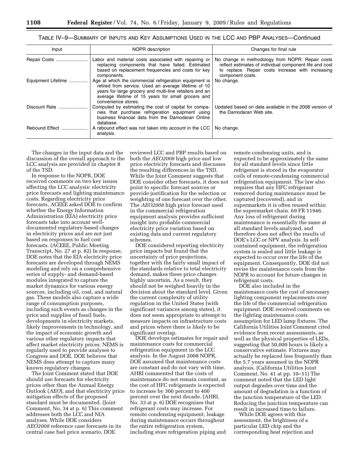| Table IV—9—SUMMARY OF INPUTS AND KEY ASSUMPTIONS USED IN THE LCC AND PBP ANALYSES—Continued |  |
|---------------------------------------------------------------------------------------------|--|
|---------------------------------------------------------------------------------------------|--|

| Input              | NOPR description                                                                                                                                                                                                                                       | Changes for final rule                                                                                                                                                               |
|--------------------|--------------------------------------------------------------------------------------------------------------------------------------------------------------------------------------------------------------------------------------------------------|--------------------------------------------------------------------------------------------------------------------------------------------------------------------------------------|
| Repair Costs       | Labor and material costs associated with repairing or<br>replacing components that have failed. Estimated<br>based on replacement frequencies and costs for key<br>components.                                                                         | No change in methodology from NOPR. Repair costs<br>reflect estimates of individual component life and cost<br>to replace. Repair costs increase with increasing<br>component costs. |
| Equipment Lifetime | Age at which the commercial refrigeration equipment is<br>retired from service. Used an average lifetime of 10<br>years for large grocery and multi-line retailers and an<br>average lifetime of 15 years for small grocers and<br>convenience stores. | No change.                                                                                                                                                                           |
| Discount Rate      | Computed by estimating the cost of capital for compa-<br>nies that purchase refrigeration equipment using<br>business financial data from the Damodaran Online<br>database.                                                                            | Updated based on data available in the 2008 version of<br>the Damodaran Web site.                                                                                                    |
| Rebound Effect     | A rebound effect was not taken into account in the LCC<br>analysis.                                                                                                                                                                                    | No change.                                                                                                                                                                           |

The changes in the input data and the discussion of the overall approach to the LCC analysis are provided in chapter 8 of the TSD.

In response to the NOPR, DOE received comments on two key issues affecting the LCC analysis: electricity price forecasts and lighting maintenance costs. Regarding electricity price forecasts, ACEEE asked DOE to confirm whether the Energy Information Administration (EIA) electricity price forecasts take into account welldocumented regulatory-based changes in electricity prices and are not just based on responses to fuel cost forecasts. (ACEEE, Public Meeting Transcript, No. 27 at p. 82) In response, DOE notes that the EIA electricity price forecasts are developed through NEMS modeling and rely on a comprehensive series of supply- and demand-based modules integrated to capture the market dynamics for various energy sources, including oil, coal, and natural gas. These models also capture a wide range of consumption purposes, including such events as changes in the price and supplies of fossil fuels, developments in electricity markets, likely improvements in technology, and the impact of economic growth and various other regulatory impacts that affect market electricity prices. NEMS is regularly used to provide analyses to Congress and DOE. DOE believes that NEMS does attempt to capture many known regulatory changes.

The Joint Comment stated that DOE should use forecasts for electricity prices other than the Annual Energy Outlook (*AEO*), and that electricity price mitigation effects of the proposed standard must be documented. (Joint Comment, No. 34 at p. 6) This comment addresses both the LCC and NIA analyses. While DOE considers *AEO2008* reference case forecasts in its central case fuel price scenario, DOE

reviewed LCC and PBP results based on both the *AEO2008* high price and low price electricity forecasts and discusses the resulting differences in the TSD. While the Joint Comment suggests that DOE consider other forecasts, it does not point to specific forecast sources or provide justification for the selection or weighting of one forecast over the other. The *AEO2008* high price forecast used in the commercial refrigeration equipment analysis provides sufficient insight into probable commercial electricity price variation based on existing data and current regulatory schemes.

DOE considered reporting electricity price impacts but found that the uncertainty of price projections, together with the fairly small impact of the standards relative to total electricity demand, makes these price changes highly uncertain. As a result, they should not be weighed heavily in the decision about the standard level. Given the current complexity of utility regulation in the United States (with significant variances among states), it does not seem appropriate to attempt to measure impacts on infrastructure costs and prices where there is likely to be significant overlap.

DOE develops estimates for repair and maintenance costs for commercial refrigeration equipment in the LCC analysis. In the August 2008 NOPR, DOE assumed that maintenance costs are constant and do not vary with time. AHRI commented that the costs of maintenance do not remain constant, as the cost of HFC refrigerants is expected to increase by 300 percent to 400 percent over the next decade. (AHRI, No. 33 at p. 6) DOE recognizes that refrigerant costs may increase. For remote condensing equipment, leakage during maintenance occurs throughout the entire refrigeration system, including store refrigeration piping and

remote condensing units, and is expected to be approximately the same for all standard levels since little refrigerant is stored in the evaporator coils of remote-condensing commercial refrigeration equipment. The law also requires that any HFC refrigerant removed during maintenance must be captured (recovered), and in supermarkets it is often reused within the supermarket chain. 69 FR 11946. Any loss of refrigerant during maintenance is essentially the same at all standard levels analyzed, and therefore does not affect the results of DOE's LCC or NPV analysis. In selfcontained equipment, the refrigeration system is sealed and little leakage is expected to occur over the life of the equipment. Consequently, DOE did not revise the maintenance costs from the NOPR to account for future changes in refrigerant costs.

DOE also included in the maintenance costs the cost of necessary lighting component replacements over the life of the commercial refrigeration equipment. DOE received comments on the lighting maintenance costs assumption for LED lamp fixtures. The California Utilities Joint Comment cited evidence from recent assessments, as well as the physical properties of LEDs, suggesting that 50,000 hours is likely a conservative estimate. Fixtures may actually be replaced less frequently than the 5.7 years assumed in the NOPR analysis. (California Utilities Joint Comment, No. 41 at pp. 10–11) The comment noted that the LED light output degrades over time and the amount of degradation is a function of the junction temperature of the LED. Reducing the junction temperature can result in increased time to failure.

While DOE agrees with this assessment, the brightness of a particular LED chip and the corresponding heat rejection and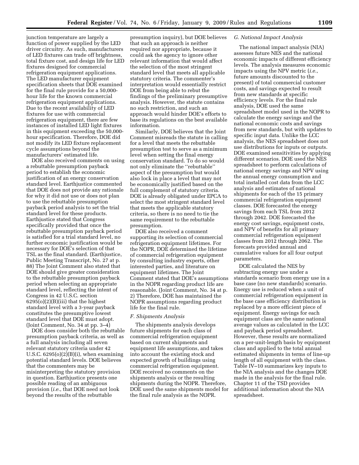junction temperature are largely a function of power supplied by the LED driver circuitry. As such, manufacturers of LED fixtures can trade off brightness, total fixture cost, and design life for LED fixtures designed for commercial refrigeration equipment applications. The LED manufacturer equipment specification sheets that DOE examined for the final rule provide for a 50,000 hour life for the known commercial refrigeration equipment applications. Due to the recent availability of LED fixtures for use with commercial refrigeration equipment, there are few instances of installed LED light fixtures in this equipment exceeding the 50,000 hour specification. Therefore, DOE did not modify its LED fixture replacement cycle assumptions beyond the manufacturers' estimated life.

DOE also received comments on using a rebuttable presumption payback period to establish the economic justification of an energy conservation standard level. Earthjustice commented that DOE does not provide any rationale for why it did not use or does not plan to use the rebuttable presumption payback period analysis to set the trial standard level for these products. Earthjustice stated that Congress specifically provided that once the rebuttable presumption payback period is satisfied for a trial standard level, no further economic justification would be necessary for DOE's selection of that TSL as the final standard. (Earthjustice, Public Meeting Transcript, No. 27 at p. 88) The Joint Comment also stated that DOE should give greater consideration to the rebuttable presumption payback period when selecting an appropriate standard level, reflecting the intent of Congress in 42 U.S.C. section 6295(o)(2)(B)(iii) that the highest standard level with a 3-year payback constitutes the presumptive lowest standard level that DOE must adopt. (Joint Comment, No. 34 at pp. 3–4)

DOE does consider both the rebuttable presumption payback criteria, as well as a full analysis including all seven relevant statutory criteria under 42 U.S.C.  $6295(0)(2)(B)(i)$ , when examining potential standard levels. DOE believes that the commenters may be misinterpreting the statutory provision in question. Earthjustice presents one possible reading of an ambiguous provision (*i.e.*, that DOE need not look beyond the results of the rebuttable

presumption inquiry), but DOE believes that such an approach is neither required nor appropriate, because it could ask the agency to ignore other relevant information that would affect the selection of the most stringent standard level that meets all applicable statutory criteria. The commenter's interpretation would essentially restrict DOE from being able to rebut the findings of the preliminary presumptive analysis. However, the statute contains no such restriction, and such an approach would hinder DOE's efforts to base its regulations on the best available information.

Similarly, DOE believes that the Joint Comment misreads the statute in calling for a level that meets the rebuttable presumption test to serve as a minimum level when setting the final energy conservation standard. To do so would not only eliminate the ''rebuttable'' aspect of the presumption but would also lock in place a level that may not be economically justified based on the full complement of statutory criteria. DOE is already obligated under EPCA to select the most stringent standard level that meets the applicable statutory criteria, so there is no need to tie the same requirement to the rebuttable presumption.

DOE also received a comment supporting its selection of commercial refrigeration equipment lifetimes. For the NOPR, DOE determined the lifetime of commercial refrigeration equipment by consulting industry experts, other interested parties, and literature on equipment lifetimes. The Joint Comment stated that DOE's assumptions in the NOPR regarding product life are reasonable. (Joint Comment, No. 34 at p. 2) Therefore, DOE has maintained the NOPR assumptions regarding product life for the final rule.

#### *F. Shipments Analysis*

The shipments analysis develops future shipments for each class of commercial refrigeration equipment based on current shipments and equipment life assumptions, and takes into account the existing stock and expected growth of buildings using commercial refrigeration equipment. DOE received no comments on the shipments analysis or the resulting shipments during the NOPR. Therefore, DOE used the same shipments model for the final rule analysis as the NOPR.

#### *G. National Impact Analysis*

The national impact analysis (NIA) assesses future NES and the national economic impacts of different efficiency levels. The analysis measures economic impacts using the NPV metric (*i.e.*, future amounts discounted to the present) of total commercial customer costs, and savings expected to result from new standards at specific efficiency levels. For the final rule analysis, DOE used the same spreadsheet model used in the NOPR to calculate the energy savings and the national economic costs and savings from new standards, but with updates to specific input data. Unlike the LCC analysis, the NES spreadsheet does not use distributions for inputs or outputs. DOE examined sensitivities by applying different scenarios. DOE used the NES spreadsheet to perform calculations of national energy savings and NPV using the annual energy consumption and total installed cost data from the LCC analysis and estimates of national shipments for each of the 15 primary commercial refrigeration equipment classes. DOE forecasted the energy savings from each TSL from 2012 through 2042. DOE forecasted the energy cost savings, equipment costs, and NPV of benefits for all primary commercial refrigeration equipment classes from 2012 through 2062. The forecasts provided annual and cumulative values for all four output parameters.

DOE calculated the NES by subtracting energy use under a standards scenario from energy use in a base case (no new standards) scenario. Energy use is reduced when a unit of commercial refrigeration equipment in the base case efficiency distribution is replaced by a more efficient piece of equipment. Energy savings for each equipment class are the same national average values as calculated in the LCC and payback period spreadsheet. However, these results are normalized on a per-unit-length basis by equipment class and applied to the total annual estimated shipments in terms of line-up length of all equipment with the class. Table IV–10 summarizes key inputs to the NIA analysis and the changes DOE made in the analysis for the final rule. Chapter 11 of the TSD provides additional information about the NIA spreadsheet.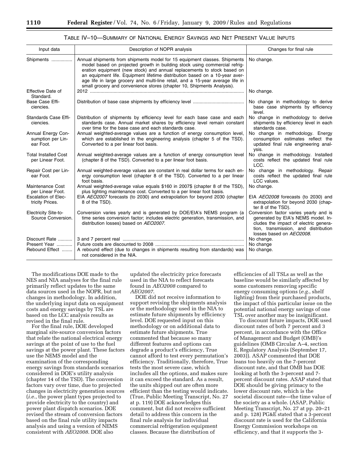| Input data                                           | Description of NOPR analysis                                                                                                                                                                                                                                                                                                                                                                                                                                                  | Changes for final rule                                                                                                                                                                    |
|------------------------------------------------------|-------------------------------------------------------------------------------------------------------------------------------------------------------------------------------------------------------------------------------------------------------------------------------------------------------------------------------------------------------------------------------------------------------------------------------------------------------------------------------|-------------------------------------------------------------------------------------------------------------------------------------------------------------------------------------------|
| Shipments                                            | Annual shipments from shipments model for 15 equipment classes. Shipments<br>model based on projected growth in building stock using commercial refrig-<br>eration equipment (new stock) and annual replacements to stock based on<br>an equipment life. Equipment lifetime distribution based on a 10-year aver-<br>age life in large grocery and multi-line retail, and a 15-year average life in<br>small grocery and convenience stores (chapter 10, Shipments Analysis). | No change.                                                                                                                                                                                |
| Effective Date of<br>Standard.                       |                                                                                                                                                                                                                                                                                                                                                                                                                                                                               | No change.                                                                                                                                                                                |
| Base Case Effi-<br>ciencies.                         |                                                                                                                                                                                                                                                                                                                                                                                                                                                                               | No change in methodology to derive<br>base case shipments by efficiency<br>level.                                                                                                         |
| Standards Case Effi-<br>ciencies.                    | Distribution of shipments by efficiency level for each base case and each<br>standards case. Annual market shares by efficiency level remain constant<br>over time for the base case and each standards case.                                                                                                                                                                                                                                                                 | No change in methodology to derive<br>shipments by efficiency level in each<br>standards case.                                                                                            |
| Annual Energy Con-<br>sumption per Lin-<br>ear Foot. | Annual weighted-average values are a function of energy consumption level.<br>which are established in the engineering analysis (chapter 5 of the TSD).<br>Converted to a per linear foot basis.                                                                                                                                                                                                                                                                              | No change in methodology. Energy<br>consumption estimates reflect the<br>updated final rule engineering anal-<br>ysis.                                                                    |
| <b>Total Installed Cost</b><br>per Linear Foot.      | Annual weighted-average values are a function of energy consumption level<br>(chapter 8 of the TSD). Converted to a per linear foot basis.                                                                                                                                                                                                                                                                                                                                    | No change in methodology. Installed<br>costs reflect the updated final rule<br>LCC.                                                                                                       |
| Repair Cost per Lin-<br>ear Foot.                    | Annual weighted-average values are constant in real dollar terms for each en-<br>ergy consumption level (chapter 8 of the TSD). Converted to a per linear<br>foot basis.                                                                                                                                                                                                                                                                                                      | No change in methodology. Repair<br>costs reflect the updated final rule<br>LCC values.                                                                                                   |
| Maintenance Cost<br>per Linear Foot.                 | Annual weighted-average value equals \$160 in 2007\$ (chapter 8 of the TSD),<br>plus lighting maintenance cost. Converted to a per linear foot basis.                                                                                                                                                                                                                                                                                                                         | No change.                                                                                                                                                                                |
| <b>Escalation of Elec-</b><br>tricity Prices.        | EIA AEO2007 forecasts (to 2030) and extrapolation for beyond 2030 (chapter<br>8 of the TSD).                                                                                                                                                                                                                                                                                                                                                                                  | EIA AEO2008 forecasts (to 2030) and<br>extrapolation for beyond 2030 (chap-<br>ter 8 of the TSD).                                                                                         |
| <b>Electricity Site-to-</b><br>Source Conversion.    | Conversion varies yearly and is generated by DOE/EIA's NEMS program (a<br>time series conversion factor; includes electric generation, transmission, and<br>distribution losses) based on AEO2007.                                                                                                                                                                                                                                                                            | Conversion factor varies yearly and is<br>generated by EIA's NEMS model. In-<br>cludes the impact of electric genera-<br>tion, transmission, and distribution<br>losses based on AEO2008. |
| Discount Rate                                        |                                                                                                                                                                                                                                                                                                                                                                                                                                                                               | No change.                                                                                                                                                                                |
| Present Year<br>Rebound Effect                       | A rebound effect (due to changes in shipments resulting from standards) was<br>not considered in the NIA.                                                                                                                                                                                                                                                                                                                                                                     | No change<br>No change.                                                                                                                                                                   |

| Table IV—10—Summary of National Energy Savings and Net Present Value Inputs |  |
|-----------------------------------------------------------------------------|--|
|-----------------------------------------------------------------------------|--|

The modifications DOE made to the NES and NIA analyses for the final rule primarily reflect updates to the same data sources used in the NOPR, but not changes in methodology. In addition, the underlying input data on equipment costs and energy savings by TSL are based on the LCC analysis results as revised in the final rule.

For the final rule, DOE developed marginal site-source conversion factors that relate the national electrical energy savings at the point of use to the fuel savings at the power plant. These factors use the NEMS model and the examination of the corresponding energy savings from standards scenarios considered in DOE's utility analysis (chapter 14 of the TSD). The conversion factors vary over time, due to projected changes in electricity generation sources (*i.e.*, the power plant types projected to provide electricity to the country) and power plant dispatch scenarios. DOE revised the stream of conversion factors based on the final rule utility impacts analysis and using a version of NEMS consistent with *AEO2008*. DOE also

updated the electricity price forecasts used in the NIA to reflect forecasts found in *AEO2008* compared to *AEO2007*.

DOE did not receive information to support revising the shipments analysis or the methodology used in the NIA to estimate future shipments by efficiency level. DOE requested input on this methodology or on additional data to estimate future shipments. True commented that because so many different features and options can degrade a product's efficiency, True cannot afford to test every permutation's efficiency. Traditionally, therefore, True tests the most severe case, which includes all the options, and makes sure it can exceed the standard. As a result, the units shipped out are often more efficient than the testing would indicate. (True, Public Meeting Transcript, No. 27 at p. 119) DOE acknowledges this comment, but did not receive sufficient detail to address this concern in the final rule analysis for individual commercial refrigeration equipment classes. Because the distribution of

efficiencies of all TSLs as well as the baseline would be similarly affected by some customers removing specific energy consuming options (*e.g.*, shelf lighting) from their purchased products, the impact of this particular issue on the potential national energy savings of one TSL over another may be insignificant.

To discount future impacts, DOE used discount rates of both 7 percent and 3 percent, in accordance with the Office of Management and Budget (OMB)'s guidelines (OMB Circular A–4, section E, Regulatory Analysis (September 17, 2003)). ASAP commented that DOE leans too heavily on the 7-percent discount rate, and that OMB has DOE looking at both the 3-percent and 7 percent discount rates. ASAP stated that DOE should be giving primacy to the lower discount rate, which is the societal discount rate—the time value of the society as a whole. (ASAP, Public Meeting Transcript, No. 27 at pp. 20–21 and p. 128) PG&E stated that a 3-percent discount rate is used for the California Energy Commission workshops on efficiency, and that it supports the 3-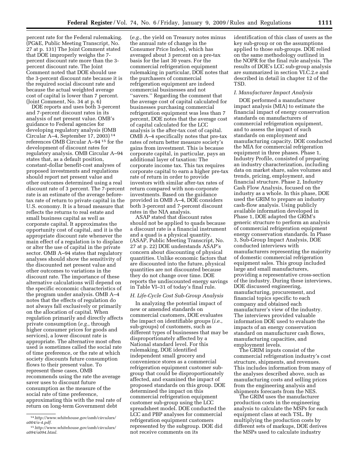percent rate for the Federal rulemaking. (PG&E, Public Meeting Transcript, No. 27 at p. 131) The Joint Comment stated that DOE improperly weighs the 7 percent discount rate more than the 3 percent discount rate. The Joint Comment noted that DOE should use the 3-percent discount rate because it is the required social discount rate and because the actual weighted average cost of capital is lower than 7 percent. (Joint Comment, No. 34 at p. 6)

DOE reports and uses both 3-percent and 7-percent discount rates in its analysis of net present value. OMB's guidance to Federal agencies for developing regulatory analysis (OMB Circular A–4, September 17, 2003) 14 references OMB Circular A–94 15 for the development of discount rates for regulatory analysis. OMB Circular A–94 states that, as a default position, constant-dollar benefit-cost analyses of proposed investments and regulations should report net present value and other outcomes determined using a real discount rate of 3 percent. The 7-percent rate is an estimate of the average beforetax rate of return to private capital in the U.S. economy. It is a broad measure that reflects the returns to real estate and small business capital as well as corporate capital. It approximates the opportunity cost of capital, and it is the appropriate discount rate whenever the main effect of a regulation is to displace or alter the use of capital in the private sector. OMB A–94 states that regulatory analyses should show the sensitivity of the discounted net present value and other outcomes to variations in the discount rate. The importance of these alternative calculations will depend on the specific economic characteristics of the program under analysis. OMB A–4 notes that the effects of regulation do not always fall exclusively or primarily on the allocation of capital. When regulation primarily and directly affects private consumption (*e.g.*, through higher consumer prices for goods and services), a lower discount rate is appropriate. The alternative most often used is sometimes called the social rate of time preference, or the rate at which society discounts future consumption flows to their present value. To represent these cases, OMB recommends using the rate the average saver uses to discount future consumption as the measure of the social rate of time preference, approximating this with the real rate of return on long-term Government debt

(*e.g.*, the yield on Treasury notes minus the annual rate of change in the Consumer Price Index), which has averaged about 3 percent on a pre-tax basis for the last 30 years. For the commercial refrigeration equipment rulemaking in particular, DOE notes that the purchasers of commercial refrigeration equipment are indeed commercial businesses and not ''savers.'' Regarding the comment that the average cost of capital calculated for businesses purchasing commercial refrigeration equipment was less than 7 percent, DOE notes that the average cost of capital calculated for the LCC analysis is the after-tax cost of capital. OMB A–4 specifically notes that pre-tax rates of return better measure society's gains from investment. This is because corporate capital, in particular, pays an additional layer of taxation: The corporate income tax. This tax requires corporate capital to earn a higher pre-tax rate of return in order to provide investors with similar after-tax rates of return compared with non-corporate investments. Based on the guidance provided in OMB A–4, DOE considers both 3-percent and 7-percent discount rates in the NIA analysis.

ASAP stated that discount rates should not be applied to quads because a discount rate is a financial instrument and a quad is a physical quantity. (ASAP, Public Meeting Transcript, No. 27 at p. 22) DOE understands ASAP's concern about discounting of physical quantities. Unlike economic factors that are discounted into the future, physical quantities are not discounted because they do not change over time. DOE reports the undiscounted energy savings in Table VI–31 of today's final rule.

#### *H. Life-Cycle Cost Sub-Group Analysis*

In analyzing the potential impact of new or amended standards on commercial customers, DOE evaluates the impact on identifiable groups (*i.e.*, sub-groups) of customers, such as different types of businesses that may be disproportionately affected by a National standard level. For this rulemaking, DOE identified independent small grocery and convenience stores as a commercial refrigeration equipment customer subgroup that could be disproportionately affected, and examined the impact of proposed standards on this group. DOE determined the impact on this commercial refrigeration equipment customer sub-group using the LCC spreadsheet model. DOE conducted the LCC and PBP analyses for commercial refrigeration equipment customers represented by the subgroup. DOE did not receive comments on its

identification of this class of users as the key sub-group or on the assumptions applied to those sub-groups. DOE relied on the same methodology outlined in the NOPR for the final rule analysis. The results of DOE's LCC sub-group analysis are summarized in section VI.C.2.e and described in detail in chapter 12 of the TSD.

#### *I. Manufacturer Impact Analysis*

DOE performed a manufacturer impact analysis (MIA) to estimate the financial impact of energy conservation standards on manufacturers of commercial refrigeration equipment, and to assess the impact of such standards on employment and manufacturing capacity. DOE conducted the MIA for commercial refrigeration equipment in three phases. Phase 1, Industry Profile, consisted of preparing an industry characterization, including data on market share, sales volumes and trends, pricing, employment, and financial structure. Phase 2, Industry Cash Flow Analysis, focused on the industry as a whole. In this phase, DOE used the GRIM to prepare an industry cash-flow analysis. Using publicly available information developed in Phase 1, DOE adapted the GRIM's generic structure to perform an analysis of commercial refrigeration equipment energy conservation standards. In Phase 3, Sub-Group Impact Analysis, DOE conducted interviews with manufacturers representing the majority of domestic commercial refrigeration equipment sales. This group included large and small manufacturers, providing a representative cross-section of the industry. During these interviews, DOE discussed engineering, manufacturing, procurement, and financial topics specific to each company and obtained each manufacturer's view of the industry. The interviews provided valuable information DOE used to evaluate the impacts of an energy conservation standard on manufacturer cash flows, manufacturing capacities, and employment levels.

The GRIM inputs consist of the commercial refrigeration industry's cost structure, shipments, and revenues. This includes information from many of the analyses described above, such as manufacturing costs and selling prices from the engineering analysis and shipments forecasts from the NES.

The GRIM uses the manufacturer production costs in the engineering analysis to calculate the MSPs for each equipment class at each TSL. By multiplying the production costs by different sets of markups, DOE derives the MSPs used to calculate industry

<sup>14</sup>*http://www.whitehouse.gov/omb/circulars/ a004/a-4.pdf.* 

<sup>15</sup>*http://www.whitehouse.gov/omb/circulars/ a094/a094.html.*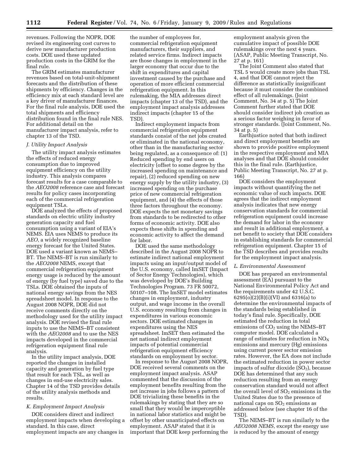revenues. Following the NOPR, DOE revised its engineering cost curves to derive new manufacturer production costs. DOE used these updated production costs in the GRIM for the final rule.

The GRIM estimates manufacturer revenues based on total-unit-shipment forecasts and the distribution of these shipments by efficiency. Changes in the efficiency mix at each standard level are a key driver of manufacturer finances. For the final rule analysis, DOE used the total shipments and efficiency distribution found in the final rule NES. For additional detail on the manufacturer impact analysis, refer to chapter 13 of the TSD.

#### *J. Utility Impact Analysis*

The utility impact analysis estimates the effects of reduced energy consumption due to improved equipment efficiency on the utility industry. This analysis compares forecast results for a case comparable to the *AEO2008* reference case and forecast results for policy cases incorporating each of the commercial refrigeration equipment TSLs.

DOE analyzed the effects of proposed standards on electric utility industry generation capacity and fuel consumption using a variant of EIA's NEMS. EIA uses NEMS to produce its *AEO*, a widely recognized baseline energy forecast for the United States. DOE used a variant known as NEMS– BT. The NEMS–BT is run similarly to the *AEO2008* NEMS, except that commercial refrigeration equipment energy usage is reduced by the amount of energy (by fuel type) saved due to the TSLs. DOE obtained the inputs of national energy savings from the NES spreadsheet model. In response to the August 2008 NOPR, DOE did not receive comments directly on the methodology used for the utility impact analysis. DOE revised the final rule inputs to use the NEMS–BT consistent with the *AEO2008* and to use the NES impacts developed in the commercial refrigeration equipment final rule analysis.

In the utility impact analysis, DOE reported the changes in installed capacity and generation by fuel type that result for each TSL, as well as changes in end-use electricity sales. Chapter 14 of the TSD provides details of the utility analysis methods and results.

#### *K. Employment Impact Analysis*

DOE considers direct and indirect employment impacts when developing a standard. In this case, direct employment impacts are any changes in

the number of employees for, commercial refrigeration equipment manufacturers, their suppliers, and related service firms. Indirect impacts are those changes in employment in the larger economy that occur due to the shift in expenditures and capital investment caused by the purchase and operation of more efficient commercial refrigeration equipment. In this rulemaking, the MIA addresses direct impacts (chapter 13 of the TSD), and the employment impact analysis addresses indirect impacts (chapter 15 of the TSD).

Indirect employment impacts from commercial refrigeration equipment standards consist of the net jobs created or eliminated in the national economy, other than in the manufacturing sector being regulated, as a consequence of: (1) Reduced spending by end users on electricity (offset to some degree by the increased spending on maintenance and repair), (2) reduced spending on new energy supply by the utility industry, (3) increased spending on the purchase price of new commercial refrigeration equipment, and (4) the effects of those three factors throughout the economy. DOE expects the net monetary savings from standards to be redirected to other forms of economic activity. DOE also expects these shifts in spending and economic activity to affect the demand for labor.

DOE used the same methodology described in the August 2008 NOPR to estimate indirect national employment impacts using an input/output model of the U.S. economy, called ImSET (Impact of Sector Energy Technologies), which was developed by DOE's Building Technologies Program. 73 FR 50072, 50107–108. The ImSET model estimates changes in employment, industry output, and wage income in the overall U.S. economy resulting from changes in expenditures in various economic sectors. DOE estimated changes in expenditures using the NES spreadsheet. ImSET then estimated the net national indirect employment impacts of potential commercial refrigeration equipment efficiency standards on employment by sector.

In response to the August 2008 NOPR, DOE received several comments on the employment impact analysis. ASAP commented that the discussion of the employment benefits resulting from the net increase in jobs follows a pattern of DOE trivializing these benefits in the rulemakings by stating that they are so small that they would be imperceptible in national labor statistics and might be offset by other unanticipated effects on employment. ASAP stated that it is important that DOE keep performing the

employment analysis given the cumulative impact of possible DOE rulemakings over the next 4 years. (ASAP, Public Meeting Transcript, No. 27 at p. 161)

The Joint Comment also stated that TSL 5 would create more jobs than TSL 4, and that DOE cannot reject the difference as statistically insignificant because it must consider the combined effect of all rulemakings. (Joint Comment, No. 34 at p. 5) The Joint Comment further stated that DOE should consider indirect job creation as a serious factor weighing in favor of stronger standards. (Joint Comment, No. 34 at p. 5)

Earthjustice noted that both indirect and direct employment benefits are shown to provide positive employment in the respective employment and MIA analyses and that DOE should consider this in the final rule. (Earthjustice, Public Meeting Transcript, No. 27 at p. 166)

DOE considers the employment impacts without quantifying the net economic value of such impacts. DOE agrees that the indirect employment analysis indicates that new energy conservation standards for commercial refrigeration equipment could increase the demand for labor in the economy and result in additional employment, a net benefit to society that DOE considers in establishing standards for commercial refrigeration equipment. Chapter 15 of the TSD describes and provides results for the employment impact analysis.

#### *L. Environmental Assessment*

DOE has prepared an environmental assessment (EA) pursuant to the National Environmental Policy Act and the requirements under 42 U.S.C. 6295(o)(2)(B)(i)(VI) and 6316(a) to determine the environmental impacts of the standards being established in today's final rule. Specifically, DOE estimated the reduction in total emissions of  $CO<sub>2</sub>$  using the NEMS–BT computer model. DOE calculated a range of estimates for reduction in  $NO<sub>x</sub>$ emissions and mercury (Hg) emissions using current power sector emission rates. However, the EA does not include the estimated reduction in power sector impacts of sulfur dioxide  $(SO<sub>2</sub>)$ , because DOE has determined that any such reduction resulting from an energy conservation standard would not affect the overall level of  $SO<sub>2</sub>$  emissions in the United States due to the presence of national caps on  $SO<sub>2</sub>$  emissions as addressed below (see chapter 16 of the TSD).

The NEMS–BT is run similarly to the *AEO2008 NEMS,* except the energy use is reduced by the amount of energy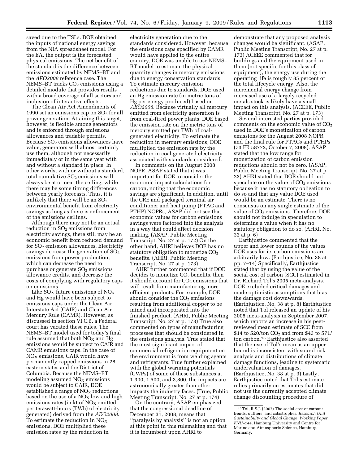electricity generation due to the

saved due to the TSLs. DOE obtained the inputs of national energy savings from the NIA spreadsheet model. For the EA, the output is the forecasted physical emissions. The net benefit of the standard is the difference between emissions estimated by NEMS–BT and the *AEO2008* reference case. The  $NEMS-BT$  tracks  $CO<sub>2</sub>$  emissions using a detailed module that provides results with a broad coverage of all sectors and inclusion of interactive effects.

The Clean Air Act Amendments of 1990 set an emissions cap on  $SO<sub>2</sub>$  for all power generation. Attaining this target, however, is flexible among generators and is enforced through emissions allowances and tradable permits. Because  $SO<sub>2</sub>$  emissions allowances have value, generators will almost certainly use them, although not necessarily immediately or in the same year with and without a standard in place. In other words, with or without a standard, total cumulative  $SO<sub>2</sub>$  emissions will always be at or near the ceiling, while there may be some timing differences between yearly forecasts. Thus, it is unlikely that there will be an  $SO<sub>2</sub>$ environmental benefit from electricity savings as long as there is enforcement of the emissions ceilings.

Although there may not be an actual reduction in  $SO<sub>2</sub>$  emissions from electricity savings, there still may be an economic benefit from reduced demand for  $SO<sub>2</sub>$  emission allowances. Electricity savings decrease the generation of  $SO<sub>2</sub>$ emissions from power production, which can decrease the need to purchase or generate  $SO<sub>2</sub>$  emissions allowance credits, and decrease the costs of complying with regulatory caps on emissions.

Like  $SO_2$ , future emissions of  $NO_X$ and Hg would have been subject to emissions caps under the Clean Air Interstate Act (CAIR) and Clean Air Mercury Rule (CAMR). However, as discussed in section VI.C.6, a Federal court has vacated these rules. The NEMS–BT model used for today's final rule assumed that both  $NO<sub>x</sub>$  and Hg emissions would be subject to CAIR and CAMR emissions caps. In the case of  $NO<sub>X</sub>$  emissions, CAIR would have permanently capped emissions in 28 eastern states and the District of Columbia. Because the NEMS–BT modeling assumed  $NO<sub>X</sub>$  emissions would be subject to CAIR, DOE established a range of  $NO<sub>x</sub>$  reductions based on the use of a  $NO<sub>X</sub>$  low and high emissions rates (in  $kt$  of  $NO<sub>X</sub>$  emitted per terawatt-hours (TWh) of electricity generated) derived from the *AEO2008*. To estimate the reduction in  $NO<sub>x</sub>$ emissions, DOE multiplied these emission rates by the reduction in

standards considered. However, because the emissions caps specified by CAMR would have applied to the entire country, DOE was unable to use NEMS– BT model to estimate the physical quantity changes in mercury emissions due to energy conservation standards. To estimate mercury emission reductions due to standards, DOE used an Hg emission rate (in metric tons of Hg per energy produced) based on *AEO2008*. Because virtually all mercury emitted from electricity generation is from coal-fired power plants, DOE based the emission rate on the metric tons of mercury emitted per TWh of coalgenerated electricity. To estimate the reduction in mercury emissions, DOE multiplied the emission rate by the reduction in coal-generated electricity associated with standards considered.

In comments on the August 2008 NOPR, ASAP stated that it was important for DOE to consider the economic impact calculations for carbon, noting that the economic savings are significant. In addition, until the CRE and packaged terminal air conditioner and heat pump (PTAC and PTHP) NOPRs, ASAP did not see that economic values for carbon emissions savings were factored into the analysis in a way that could affect decision making. (ASAP, Public Meeting Transcript, No. 27 at p. 172) On the other hand, AHRI believes DOE has no statutory obligation to monetize CO<sub>2</sub> benefits. (AHRI, Public Meeting Transcript, No. 27 at p. 173)

AHRI further commented that if DOE decides to monetize  $CO<sub>2</sub>$  benefits, then it should account for  $CO<sub>2</sub>$  emissions that will result from manufacturing more efficient products. For example, DOE should consider the  $CO<sub>2</sub>$  emissions resulting from additional copper to be mined and incorporated into the finished product. (AHRI, Public Meeting Transcript, No. 27 at p. 173) True also commented on types of manufacturing processes that should be considered in the emissions analysis. True stated that the most significant impact of commercial refrigeration equipment on the environment is from welding agents and refrigerants. True further explained with the global warming potentials (GWPs) of some of these substances at 1,300, 1,500, and 3,800, the impacts are astronomically greater than other impacts the industry faces. (True, Public Meeting Transcript, No. 27 at p. 174)

On the contrary, ASAP emphasized that the congressional deadline of December 31, 2008, means that ''paralysis by analysis'' is not an option at this point in this rulemaking and that it is incumbent upon AHRI to

demonstrate that any proposed analysis changes would be significant. (ASAP, Public Meeting Transcript, No. 27 at p. 173) ACEEE commented that for buildings and the equipment used in them (not specific for this class of equipment), the energy use during the operating life is roughly 85 percent of the total lifecycle energy. Also, the incremental energy change from increased use of a largely recycled metals stock is likely have a small impact on this analysis. (ACEEE, Public Meeting Transcript, No. 27 at p. 173)

Several interested parties provided comments on the economic value of  $CO<sub>2</sub>$ used in DOE's monetization of carbon emissions for the August 2008 NOPR and the final rule for PTACs and PTHPs (73 FR 58772, October 7, 2008). ASAP stated that the low range for monetization of carbon emission reductions should not be zero. (ASAP, Public Meeting Transcript, No. 27 at p. 23) AHRI stated that DOE should not speculate on the value of  $CO<sub>2</sub>$  emissions because it has no statutory obligation to do so and that any value DOE used would be an estimate. There is no consensus on any single estimate of the value of  $CO<sub>2</sub>$  emissions. Therefore, DOE should not indulge in speculation to determine a value when it has no statutory obligation to do so. (AHRI, No. 33 at p. 6)

Earthjustice commented that the upper and lower bounds of the values DOE uses for its carbon emissions are arbitrarily low. (Earthjustice, No. 38 at pp. 7–14) Specifically, Earthjustice stated that by using the value of the social cost of carbon (SCC) estimated in Dr. Richard Tol's 2005 meta-analysis, DOE excluded critical damages and made optimistic assumptions that bias the damage cost downwards. (Earthjustice, No. 38 at p. 8) Earthjustice noted that Tol released an update of his 2005 meta-analysis in September 2007, which reports an increase in his peerreviewed mean estimate of SCC from \$14 to \$20/ton  $CO_2$  and from \$43 to \$71/ ton carbon.16 Earthjustice also asserted that the use of Tol's mean as an upper bound is inconsistent with sound risk analysis and distributions of climate damage functions, leading to systematic undervaluation of damages. (Earthjustice, No. 38 at p. 9) Lastly, Earthjustice noted that Tol's estimate relies primarily on estimates that did not use the currently accepted climate change discounting procedure of

<sup>16</sup>Tol, R.S.J. (2007) The social cost of carbon: trends, outliers, and catastrophes. *Research Unit Sustainability and Global Change, Working Paper FNU–144,* Hamburg University and Centre for Marine and Atmospheric Science, Hamburg, Germany.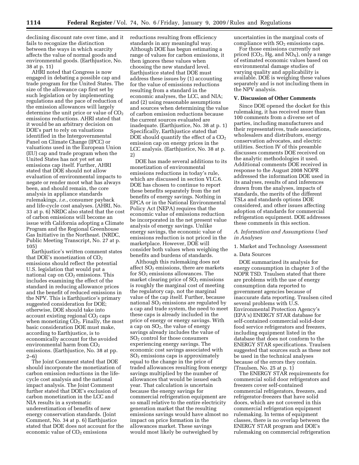declining discount rate over time, and it fails to recognize the distinction between the ways in which scarcity affects the value of normal goods and environmental goods. (Earthjustice, No. 38 at p. 11)

AHRI noted that Congress is now engaged in debating a possible cap and trade program for the United States. The size of the allowance cap first set by such legislation or by implementing regulations and the pace of reduction of the emission allowances will largely determine the unit price or value of  $CO<sub>2</sub>$ emissions reductions. AHRI stated that it would be an arbitrary decision on DOE's part to rely on valuations identified in the Intergovernmental Panel on Climate Change (IPCC) or valuations used in the European Union (EU) cap and trade program when the United States has not yet set an emissions cap itself. Further, AHRI stated that DOE should not allow evaluation of environmental impacts to negate or render moot what has always been, and should remain, the core analysis in appliance standards rulemakings, *i.e.*, consumer payback and life-cycle cost analyses. (AHRI, No. 33 at p. 6) NRDC also stated that the cost of carbon emissions will become an issue with California adopting a Climate Program and the Regional Greenhouse Gas Initiative in the Northeast. (NRDC, Public Meeting Transcript, No. 27 at p. 105)

Earthjustice's written comment states that DOE's monetization of  $CO<sub>2</sub>$ emissions should reflect the potential U.S. legislation that would put a national cap on  $CO<sub>2</sub>$  emissions. This includes examining the effect of the standard in reducing allowance prices and the benefit of reduced emissions in the NPV. This is Earthjustice's primary suggested consideration for DOE; otherwise, DOE should take into  $account existing regional CO<sub>2</sub> caps$ when monetizing  $CO<sub>2</sub>$ . Finally, the most basic consideration DOE must make, according to Earthjustice, is to economically account for the avoided environmental harm from  $CO<sub>2</sub>$ emissions. (Earthjustice, No. 38 at pp.  $2 - 6$ 

The Joint Comment stated that DOE should incorporate the monetization of carbon emission reductions in the lifecycle cost analysis and the national impact analysis. The Joint Comment further stated that DOE's exclusion of carbon monetization in the LCC and NIA results in a systematic underestimation of benefits of new energy conservation standards. (Joint Comment, No. 34 at p. 6) Earthjustice stated that DOE does not account for the economic value of CO<sub>2</sub> emissions

reductions resulting from efficiency standards in any meaningful way. Although DOE has begun estimating a range of values for carbon emissions, it then ignores these values when choosing the new standard level. Earthjustice stated that DOE must address these issues by (1) accounting for the value of emissions reductions resulting from a standard in the economic analyses, the LCC, and NIA; and (2) using reasonable assumptions and sources when determining the value of carbon emission reductions because the current sources evaluated are inadequate. (Earthjustice, No. 38 at p. 1) Specifically, Earthjustice stated that DOE should quantify the effect of a  $CO<sub>2</sub>$ emission cap on energy prices in the LCC analysis. (Earthjustice, No. 38 at p. 2)

DOE has made several additions to its monetization of environmental emissions reductions in today's rule, which are discussed in section VI.C.6. DOE has chosen to continue to report these benefits separately from the net benefits of energy savings. Nothing in EPCA or in the National Environmental Policy Act (NEPA) requires that the economic value of emissions reduction be incorporated in the net present value analysis of energy savings. Unlike energy savings, the economic value of emissions reduction is not priced in the marketplace. However, DOE will consider both values when weighing the benefits and burdens of standards.

Although this rulemaking does not affect  $SO<sub>2</sub>$  emissions, there are markets for SO<sub>2</sub> emissions allowances. The market clearing price of  $SO<sub>2</sub>$  emissions is roughly the marginal cost of meeting the regulatory cap, not the marginal value of the cap itself. Further, because national  $SO<sub>2</sub>$  emissions are regulated by a cap and trade system, the need to meet these caps is already included in the price of energy or energy savings. With a cap on SO2, the value of energy savings already includes the value of SO2 control for those consumers experiencing energy savings. The economic cost savings associated with  $SO<sub>2</sub>$  emissions caps is approximately equal to the change in the price of traded allowances resulting from energy savings multiplied by the number of allowances that would be issued each year. That calculation is uncertain because the energy savings for commercial refrigeration equipment are so small relative to the entire electricity generation market that the resulting emissions savings would have almost no impact on price formation in the allowances market. These savings would most likely be outweighed by

uncertainties in the marginal costs of compliance with  $SO<sub>2</sub>$  emissions caps.

For those emissions currently not priced (CO<sub>2</sub>, Hg, and NO<sub>x</sub>), only a range of estimated economic values based on environmental damage studies of varying quality and applicability is available. DOE is weighing these values separately and is not including them in the NPV analysis.

#### **V. Discussion of Other Comments**

Since DOE opened the docket for this rulemaking, it has received more than 100 comments from a diverse set of parties, including manufacturers and their representatives, trade associations, wholesalers and distributors, energy conservation advocates, and electric utilities. Section IV of this preamble discusses comments DOE received on the analytic methodologies it used. Additional comments DOE received in response to the August 2008 NOPR addressed the information DOE used in its analyses, results of and inferences drawn from the analyses, impacts of standards, the merits of the different TSLs and standards options DOE considered, and other issues affecting adoption of standards for commercial refrigeration equipment. DOE addresses these comments in this section.

#### *A. Information and Assumptions Used in Analyses*

1. Market and Technology Assessment

#### a. Data Sources

DOE summarized its analysis for energy consumption in chapter 3 of the NOPR TSD. Traulsen stated that there are problems with the use of energy consumption data reported to government agencies because of inaccurate data reporting. Traulsen cited several problems with U.S. Environmental Protection Agency's (EPA's) ENERGY STAR database for self-contained commercial solid-door food service refrigerators and freezers, including equipment listed in the database that does not conform to the ENERGY STAR specifications. Traulsen suggested that sources such as these not be used in the technical analyses because of the errors they contain. (Traulsen, No. 25 at p. 1)

The ENERGY STAR requirements for commercial solid door refrigerators and freezers cover self-contained commercial refrigerators, freezers, and refrigerator-freezers that have solid doors, which are not covered in this commercial refrigeration equipment rulemaking. In terms of equipment classes, there is no overlap between the ENERGY STAR program and DOE's rulemaking on commercial refrigeration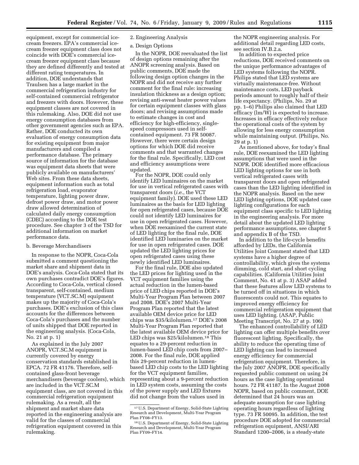equipment, except for commercial icecream freezers. EPA's commercial icecream freezer equipment class does not coincide with DOE's commercial icecream freezer equipment class because they are defined differently and tested at different rating temperatures. In addition, DOE understands that Traulsen has a large market in the commercial refrigeration industry for self-contained commercial refrigerator and freezers with doors. However, these equipment classes are not covered in this rulemaking. Also, DOE did not use energy consumption databases from other government agencies such as EPA. Rather, DOE conducted its own evaluation of energy consumption data for existing equipment from major manufacturers and compiled a performance database. The primary source of information for the database was equipment data sheets that were publicly available on manufacturers' Web sites. From these data sheets, equipment information such as total refrigeration load, evaporator temperature, lighting power draw, defrost power draw, and motor power draw allowed determination of calculated daily energy consumption (CDEC) according to the DOE test procedure. See chapter 3 of the TSD for additional information on market performance data.

#### b. Beverage Merchandisers

In response to the NOPR, Coca-Cola submitted a comment questioning the market share and shipment data in DOE's analysis. Coca-Cola stated that its own purchases contradict DOE's figures. According to Coca-Cola, vertical closed transparent, self-contained, medium temperature (VCT.SC.M) equipment makes up the majority of Coca-Cola's purchases. DOE's exclusion of this class accounts for the differences between Coca-Cola's purchases and the number of units shipped that DOE reported in the engineering analysis. (Coca-Cola, No. 21 at p. 1)

As explained in the July 2007 ANOPR, VCT.SC.M equipment is currently covered by energy conservation standards established in EPCA. 72 FR 41176. Therefore, selfcontained glass-front beverage merchandisers (beverage coolers), which are included in the VCT.SC.M equipment class, are not covered in this commercial refrigeration equipment rulemaking. As a result, all the shipment and market share data reported in the engineering analysis are valid for the classes of commercial refrigeration equipment covered in this rulemaking.

#### 2. Engineering Analysis

#### a. Design Options

In the NOPR, DOE reevaluated the list of design options remaining after the ANOPR screening analysis. Based on public comments, DOE made the following design option changes in the NOPR and did not receive any further comment for the final rule: increasing insulation thickness as a design option; revising anti-sweat heater power values for certain equipment classes with glass doors; and revising assumptions made to estimate changes in cost and efficiency for high-efficiency, singlespeed compressors used in selfcontained equipment. 73 FR 50087. However, there were certain design options for which DOE did receive comments and that warranted changes for the final rule. Specifically, LED cost and efficiency assumptions were updated.

For the NOPR, DOE could only identify LED luminaires on the market for use in vertical refrigerated cases with transparent doors (*i.e.*, the VCT equipment family). DOE used these LED luminaires as the basis for LED lighting for open refrigerated cases, because DOE could not identify LED luminaires for use in open refrigerated cases. However, when DOE reexamined the current state of LED lighting for the final rule, DOE identified LED luminaries on the market for use in open refrigerated cases. DOE updated the LED lighting prices for open refrigerated cases using these newly identified LED luminaires.

For the final rule, DOE also updated the LED prices for lighting used in the VCT equipment families using the actual reduction in the lumen-based price of LED chips reported in DOE's Multi-Year Program Plan between 2007 and 2008. DOE's 2007 Multi-Year Program Plan reported that the latest available OEM device price for LED chips was \$35/kilolumen.17 DOE's 2008 Multi-Year Program Plan reported that the latest available OEM device price for LED chips was \$25/kilolumen.<sup>18</sup> This equates to a 29-percent reduction in lumen-based LED chip costs from 2007– 2008. For the final rule, DOE applied this 29-percent reduction in lumenbased LED chip costs to the LED lighting for the VCT equipment families, representing about a 9-percent reduction in LED system costs, assuming the costs of the power supply and LED fixtures did not change from the values used in

the NOPR engineering analysis. For additional detail regarding LED costs, see section IV.B.2.a.

In addition to expected price reductions, DOE received comments on the unique performance advantages of LED systems following the NOPR. Philips stated that LED systems are virtually maintenance-free. Without maintenance costs, LED payback periods amount to roughly half of their life expectancy. (Philips, No. 29 at pp. 1–6) Philips also claimed that LED efficacy (lm/W) is expected to increase. Increases in efficacy effectively reduce the operational costs of the system by allowing for less energy consumption while maintaining output. (Philips, No. 29 at p. 1)

As mentioned above, for today's final rule, DOE reexamined the LED lighting assumptions that were used in the NOPR. DOE identified more efficacious LED lighting options for use in both vertical refrigerated cases with transparent doors and open refrigerated cases than the LED lighting identified in the NOPR analysis. Based on the new LED lighting options, DOE updated case lighting configurations for each equipment class specific to LED lighting in the engineering analysis. For more detail about the updated LED lighting performance assumptions, see chapter 5 and appendix B of the TSD.

In addition to the life-cycle benefits afforded by LEDs, the California Utilities Joint Comment stated that LED systems have a higher degree of controllability, which gives the systems dimming, cold start, and short cycling capabilities. (California Utilities Joint Comment, No. 41 at p. 3) ASAP added that these features allow LED systems to be turned off in situations in which fluorescents could not. This equates to improved energy efficiency for commercial refrigeration equipment that uses LED lighting. (ASAP, Public Meeting Transcript, No. 27 at p. 106)

The enhanced controllability of LED lighting can offer multiple benefits over fluorescent lighting. Specifically, the ability to reduce the operating time of LED lighting can lead to increased energy efficiency for commercial refrigeration equipment. Therefore, in the July 2007 ANOPR, DOE specifically requested public comment on using 24 hours as the case lighting operational hours. 72 FR 41187. In the August 2008 NOPR, based on public comment, DOE determined that 24 hours was an adequate assumption for case lighting operating hours regardless of lighting type. 73 FR 50095. In addition, the test procedure DOE adopted for commercial refrigeration equipment, ANSI/ARI Standard 1200–2006, is a steady-state

<sup>17</sup>U.S. Department of Energy, Solid-State Lighting Research and Development, Multi-Year Program Plan FY08–FY13.

<sup>18</sup>U.S. Department of Energy, Solid-State Lighting Research and Development, Multi-Year Program Plan FY09–FY14.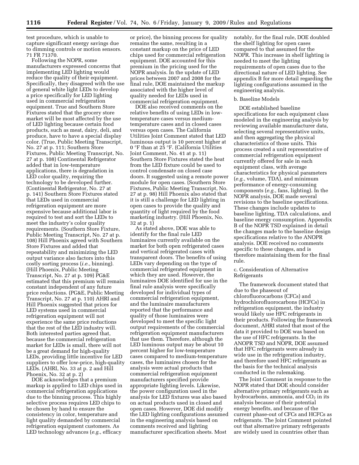test procedure, which is unable to capture significant energy savings due to dimming controls or motion sensors. 71 FR 71370.

Following the NOPR, some manufacturers expressed concerns that implementing LED lighting would reduce the quality of their equipment. Specifically, they disagreed with the use of general white light LEDs to develop a price specifically for LED lighting used in commercial refrigeration equipment. True and Southern Store Fixtures stated that the grocery store market will be most affected by the use of LED lighting because certain food products, such as meat, dairy, deli, and produce, have to have a special display color. (True, Public Meeting Transcript, No. 27 at p. 111; Southern Store Fixtures, Public Meeting Transcript, No. 27 at p. 108) Continental Refrigerator added that in low-temperature applications, there is degradation in LED color quality, requiring the technology to be developed further. (Continental Refrigerator, No. 27 at p. 141) Southern Store Fixtures stated that LEDs used in commercial refrigeration equipment are more expensive because additional labor is required to test and sort the LEDs to meet the industry's color quality requirements. (Southern Store Fixture, Public Meeting Transcript, No. 27 at p. 108) Hill Phoenix agreed with Southern Store Fixtures and added that repeatability and minimizing the LED output variance also factors into this costly sorting process (*i.e.*, binning). (Hill Phoenix, Public Meeting Transcript, No. 27 at p. 109) PG&E estimated that this premium will remain constant independent of any future price reductions. (PG&E, Public Meeting Transcript, No. 27 at p. 110) AHRI and Hill Phoenix suggested that prices for LED systems used in commercial refrigeration equipment will not experience the same price reductions that the rest of the LED industry will. Both interested parties agreed that, because the commercial refrigeration market for LEDs is small, there will not be a great demand for high-quality LEDs, providing little incentive for LED suppliers to offer low-price, high-quality LEDs. (AHRI, No. 33 at p. 2 and Hill Phoenix, No. 32 at p. 2)

DOE acknowledges that a premium markup is applied to LED chips used in commercial refrigeration applications due to the binning process. This highly selective process requires LED chips to be chosen by hand to ensure the consistency in color, temperature and light quality demanded by commercial refrigeration equipment customers. As LED technology advances (*e.g.*, efficacy

or price), the binning process for quality remains the same, resulting in a constant markup on the price of LED chips used for commercial refrigeration equipment. DOE accounted for this premium in the pricing used for the NOPR analysis. In the update of LED prices between 2007 and 2008 for the final rule, DOE maintained the markup associated with the higher level of quality needed for LEDs used in commercial refrigeration equipment.

DOE also received comments on the relative benefits of using LEDs in lowtemperature cases versus mediumtemperature cases and in closed cases versus open cases. The California Utilities Joint Comment stated that LED luminous output is 10 percent higher at 0 °F than at 25 °F. (California Utilities Joint Comment, No. 41 at p. 11) Southern Store Fixtures stated the heat from the LED fixture could be used to control condensate on closed case doors. It suggested using a remote power module for open cases. (Southern Store Fixtures, Public Meeting Transcript, No. 27 at p. 98) Hill Phoenix also stated that it is still a challenge for LED lighting in open cases to provide the quality and quantity of light required by the food marketing industry. (Hill Phoenix, No. 32 at p. 1)

As stated above, DOE was able to identify for the final rule LED luminaires currently available on the market for both open refrigerated cases and vertical refrigerated cases with transparent doors. The benefits of using LEDs vary depending on the type of commercial refrigerated equipment in which they are used. However, the luminaires DOE identified for use in the final rule analysis were specifically developed for individual types of commercial refrigeration equipment, and the luminaire manufacturers reported that the performance and quality of those luminaires were developed to meet the specific light output requirements of the commercial refrigeration equipment manufacturers that use them. Therefore, although the LED luminous output may be about 10 percent higher for low-temperature cases compared to medium-temperature cases, the luminaires chosen for the analysis were actual products that commercial refrigeration equipment manufacturers specified provide appropriate lighting levels. Likewise, the power configuration used in the analysis for LED fixtures was also based on actual products used in closed and open cases. However, DOE did modify the LED lighting configurations assumed in the engineering analysis based on comments received and lighting manufacturer specification sheets. Most

notably, for the final rule, DOE doubled the shelf lighting for open cases compared to that assumed for the NOPR. This increase in shelf lighting is needed to meet the lighting requirements of open cases due to the directional nature of LED lighting. See appendix B for more detail regarding the lighting configurations assumed in the engineering analysis.

#### b. Baseline Models

DOE established baseline specifications for each equipment class modeled in the engineering analysis by reviewing available manufacturer data, selecting several representative units, and then aggregating the physical characteristics of those units. This process created a unit representative of commercial refrigeration equipment currently offered for sale in each equipment class, with average characteristics for physical parameters (*e.g.*, volume, TDA), and minimum performance of energy-consuming components (*e.g.*, fans, lighting). In the NOPR analysis, DOE made several revisions to the baseline specifications. These changes include updates to baseline lighting, TDA calculations, and baseline energy consumption. Appendix B of the NOPR TSD explained in detail the changes made to the baseline design specifications relative to the ANOPR analysis. DOE received no comments specific to these changes, and is therefore maintaining them for the final rule.

#### c. Consideration of Alternative Refrigerants

The framework document stated that due to the phaseout of chlorofluorocarbons (CFCs) and hydrochlorofluorocarbons (HCFCs) in refrigeration equipment, the industry would likely use HFC refrigerants in their products. Following the framework document, AHRI stated that most of the data it provided to DOE was based on the use of HFC refrigerants. In the ANOPR TSD and NOPR, DOE assumed that HFC refrigerants were already in wide use in the refrigeration industry, and therefore used HFC refrigerants as the basis for the technical analysis conducted in the rulemaking.

The Joint Comment in response to the NOPR stated that DOE should consider alternative primary refrigerants such as hydrocarbons, ammonia, and  $CO<sub>2</sub>$  in its analysis because of their potential energy benefits, and because of the current phase-out of CFCs and HCFCs as refrigerants. The Joint Comment pointed out that alternative primary refrigerants are widely used in countries other than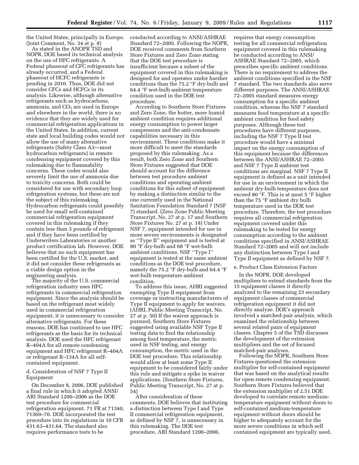the United States, principally in Europe. (Joint Comment, No. 34 at p. 8)

As stated in the ANOPR TSD and NOPR, DOE based its technical analysis on the use of HFC refrigerants. A Federal phaseout of CFC refrigerants has already occurred, and a Federal phaseout of HCFC refrigerants is pending in 2010. Thus, DOE did not consider CFCs and HCFCs in its analysis. Likewise, although alternative refrigerants such as hydrocarbons, ammonia, and  $CO<sub>2</sub>$  are used in Europe and elsewhere in the world, there is no evidence that they are widely used for commercial refrigeration applications in the United States. In addition, current state and local building codes would not allow the use of many alternative refrigerants (Safety Class A3—most hydrocarbon refrigerants) in remote condensing equipment covered by this rulemaking due to flammability concerns. These codes would also severely limit the use of ammonia due to toxicity concerns. Both could be considered for use with secondary loop refrigeration systems, but these are not the subject of this rulemaking. Hydrocarbon refrigerants could possibly be used for small self-contained commercial refrigeration equipment covered in this rulemaking if they contain less than 3 pounds of refrigerant and if they have been certified by Underwriters Laboratories or another product certification lab. However, DOE believes that no such equipment has been certified for the U.S. market, and it did not consider these refrigerants as a viable design option in the engineering analysis.

The majority of the U.S. commercial refrigeration industry uses HFC refrigerants in commercial refrigeration equipment. Since the analysis should be based on the refrigerant most widely used in commercial refrigeration equipment, it is unnecessary to consider alternative refrigerants. For these reasons, DOE has continued to use HFC refrigerants as the basis for its technical analysis. DOE used the HFC refrigerant R–404A for all remote condensing equipment and HFC refrigerant R–404A or refrigerant R–134A for all selfcontained equipment.

#### d. Consideration of NSF 7 Type II Equipment

On December 8, 2006, DOE published a final rule in which it adopted ANSI/ ARI Standard 1200–2006 as the DOE test procedure for commercial refrigeration equipment. 71 FR at 71340, 71369–70. DOE incorporated the test procedure into its regulations in 10 CFR 431.63–431.64. The standard also requires performance tests to be

conducted according to ANSI/ASHRAE Standard 72–2005. Following the NOPR, DOE received comments from Southern Store Fixtures and Zero Zone stating that the DOE test procedure is insufficient because a subset of the equipment covered in this rulemaking is designed for and operates under harsher conditions than the 75.2 °F dry-bulb and 64.4 °F wet-bulb ambient temperature condition used in the DOE test procedure.

According to Southern Store Fixtures and Zero Zone, the hotter, more humid ambient condition requires additional energy consumption to power larger compressors and the anti-condensate capabilities necessary in this environment. These conditions make it more difficult to meet the standards proposed by this rulemaking. As a result, both Zero Zone and Southern Store Fixtures suggested that DOE should account for the difference between test procedure ambient conditions and operating ambient conditions for this subset of equipment by making a distinction similar to the one currently used in the National Sanitation Foundation Standard 7 (NSF 7) standard. (Zero Zone Public Meeting Transcript, No. 27 at p. 17 and Southern Store Fixtures No. 27 at p. 18) Under NSF 7, equipment intended for use in more severe environments is designated as ''Type II'' equipment and is tested at 80 °F dry-bulb and 68 °F wet-bulb ambient conditions. NSF ''Type I'' equipment is tested at the same ambient conditions as the DOE test procedure, namely the 75.2 °F dry-bulb and 64.4 °F wet-bulb temperature ambient condition.

To address this issue, AHRI suggested exempting Type II equipment from coverage or instructing manufacturers of Type II equipment to apply for waivers. (AHRI, Public Meeting Transcript, No. 27 at p. 50) If the waiver approach is pursued, Southern Store Fixtures suggested using available NSF Type II testing data to find the relationship among food temperature, the metric used in NSF testing, and energy consumption, the metric used in the DOE test procedure. This relationship would allow at least some Type II equipment to be considered fairly under this rule and mitigate a spike in waiver applications. (Southern Store Fixtures, Public Meeting Transcript, No. 27 at p. 54)

After consideration of these comments, DOE believes that instituting a distinction between Type I and Type II commercial refrigeration equipment, as defined by NSF 7, is unnecessary in this rulemaking. The DOE test procedure, ARI Standard 1200–2006,

requires that energy consumption testing for all commercial refrigeration equipment covered in this rulemaking be conducted according to ANSI/ ASHRAE Standard 72–2005, which prescribes specific ambient conditions. There is no requirement to address the ambient conditions specified in the NSF 7 standard. The two standards also serve different purposes. The ANSI/ASHRAE 72–2005 standard measures energy consumption for a specific ambient condition, whereas the NSF 7 standard measures food temperature at a specific ambient condition for food safety purposes. Although these test procedures have different purposes, including the NSF 7 Type II test procedure would have a minimal impact on the energy consumption of this equipment because the differences between the ANSI/ASHRAE 72–2005 and NSF 7 Type II ambient test conditions are marginal. NSF 7 Type II equipment is defined as a unit intended for use in an environment in which the ambient dry-bulb temperature does not exceed 80 °F. This is at most 5 °F higher than the 75 °F ambient dry bulb temperature used in the DOE test procedure. Therefore, the test procedure requires all commercial refrigeration equipment covered under this rulemaking to be tested for energy consumption according to the ambient conditions specified in ANSI/ASHRAE Standard 72–2005 and will not include any distinction between Type I and Type II equipment as defined by NSF 7.

#### e. Product Class Extension Factors

In the NOPR, DOE developed multipliers to extend standards from the 15 equipment classes it directly analyzed to the remaining 23 secondary equipment classes of commercial refrigeration equipment it did not directly analyze. DOE's approach involved a matched-pair analysis, which examined the relationship between several related pairs of equipment classes. Chapter 5 of the TSD discusses the development of the extension multipliers and the set of focused matched-pair analyses.

Following the NOPR, Southern Store Fixtures questioned the extension multiplier for self-contained equipment that was based on the analytical results for open remote condensing equipment. Southern Store Fixtures believed that the extension multiplier of 2.51 DOE developed to correlate remote mediumtemperature equipment without doors to self-contained medium-temperature equipment without doors should be higher to adequately account for the more severe conditions in which self contained equipment are typically used,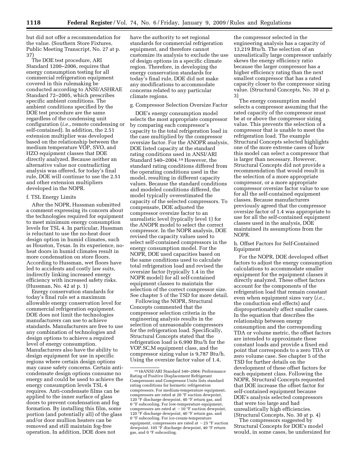but did not offer a recommendation for the value. (Southern Store Fixtures, Public Meeting Transcript, No. 27 at p. 37)

The DOE test procedure, ARI Standard 1200–2006, requires that energy consumption testing for all commercial refrigeration equipment covered in this rulemaking be conducted according to ANSI/ASHRAE Standard 72–2005, which prescribes specific ambient conditions. The ambient conditions specified by the DOE test procedure are the same regardless of the condensing unit configuration (*i.e.*, remote condensing or self-contained). In addition, the 2.51 extension multiplier was developed based on the relationship between the medium temperature VOP, SVO, and HZO equipment classes that DOE directly analyzed. Because neither an alternative value nor contradicting analysis was offered, for today's final rule, DOE will continue to use the 2.51 and other extension multipliers developed in the NOPR.

#### f. TSL Energy Limits

After the NOPR, Hussman submitted a comment expressing its concern about the technologies required for equipment to meet minimum energy consumption levels for TSL 4. In particular, Hussman is reluctant to use the no-heat door design option in humid climates, such as Houston, Texas. In its experience, noheat doors in humid climates result in more condensation on store floors. According to Hussman, wet floors have led to accidents and costly law suits, indirectly linking increased energy efficiency with increased safety risks. (Hussman, No. 42 at p. 1)

Energy conservation standards for today's final rule set a maximum allowable energy conservation level for commercial refrigeration equipment. DOE does not limit the technologies manufacturers can use to achieve standards. Manufacturers are free to use any combination of technologies and design options to achieve a required level of energy consumption. Manufacturers also have the ability to design equipment for use in specific regions where certain design options may cause safety concerns. Certain anticondensate design options consume no energy and could be used to achieve the energy consumption levels TSL 4 requires. Anti-condensate films can be applied to the inner surface of glass doors to prevent condensation and fog formation. By installing this film, some portion (and potentially all) of the glass and/or door mullion heaters can be removed and still maintain fog-free operation. In addition, DOE does not

have the authority to set regional standards for commercial refrigeration equipment, and therefore cannot customize its analysis to exclude the use of design options in a specific climate region. Therefore, in developing the energy conservation standards for today's final rule, DOE did not make any modifications to accommodate concerns related to any particular climate regions.

#### g. Compressor Selection Oversize Factor

DOE's energy consumption model selects the most appropriate compressor by comparing each compressor's capacity to the total refrigeration load in the case multiplied by the compressor oversize factor. For the ANOPR analysis, DOE listed capacity at the standard rating conditions used in ANSI/ARI Standard 540–2004.19 However, the standard rating conditions differed from the operating conditions used in the model, resulting in different capacity values. Because the standard conditions and modeled conditions differed, the model typically overestimated the capacity of the selected compressors. To compensate, DOE adjusted the compressor oversize factor to an unrealistic level (typically level 1) for the ANOPR model to select the correct compressor. In the NOPR analysis, DOE revised the capacity values used to select self-contained compressors in the energy consumption model. For the NOPR, DOE used capacities based on the same conditions used to calculate total refrigeration load and revised the oversize factor (typically 1.4 in the NOPR model) for all self-contained equipment classes to maintain the selection of the correct compressor size. See chapter 5 of the TSD for more detail.

Following the NOPR, Structural Concepts commented that the compressor selection criteria in the engineering analysis results in the selection of unreasonable compressors for the refrigeration load. Specifically, Structural Concepts stated that the refrigeration load is 6,990 Btu/h for the VOP.SC.M equipment class, and the compressor sizing value is 9,787 Btu/h. Using the oversize factor value of 1.4,

the compressor selected in the engineering analysis has a capacity of 13,219 Btu/h. The selection of an unrealistically large compressor unfairly skews the energy efficiency ratio because the larger compressor has a higher efficiency rating than the next smallest compressor that has a rated capacity closer to the compressor sizing value. (Structural Concepts, No. 30 at p. 3)

The energy consumption model selects a compressor assuming that the rated capacity of the compressor must be at or above the compressor sizing value. This prevents the selection of a compressor that is unable to meet the refrigeration load. The example Structural Concepts selected highlights one of the more extreme cases of how this model can select a compressor that is larger than necessary. However, Structural Concepts did not provide a recommendation that would result in the selection of a more appropriate compressor, or a more appropriate compressor oversize factor value to use for all the self-contained equipment classes. Because manufacturers previously agreed that the compressor oversize factor of 1.4 was appropriate to use for all the self-contained equipment classes used in the analysis, DOE maintained its assumptions from the NOPR.

#### h. Offset Factors for Self-Contained Equipment

For the NOPR, DOE developed offset factors to adjust the energy consumption calculations to accommodate smaller equipment for the equipment classes it directly analyzed. These offset factors account for the components of the refrigeration load that remain constant even when equipment sizes vary (*i.e.*, the conduction end effects) and disproportionately affect smaller cases. In the equation that describes the relationship between energy consumption and the corresponding TDA or volume metric, the offset factors are intended to approximate these constant loads and provide a fixed end point that corresponds to a zero TDA or zero volume case. See chapter 5 of the TSD for further details on the development of these offset factors for each equipment class. Following the NOPR, Structural Concepts requested that DOE increase the offset factor for self-contained equipment because DOE's analysis selected compressors that were too large and had unrealistically high efficiencies. (Structural Concepts, No. 30 at p. 4)

The compressors suggested by Structural Concepts for DOE's model would, in some cases, be undersized for

<sup>19</sup> 18ANSI/ARI Standard 540–2004: Performance Rating of Positive Displacement Refrigerant Compressors and Compressor Units lists standard rating conditions for hermetic refrigeration compressors. For medium-temperature equipment, compressors are rated at 20 °F suction dewpoint, 120 °F discharge dewpoint, 40 °F return gas, and 0 °F subcooling. For low-temperature equipment, compressors are rated at  $-10$  °F suction dewpoint, 120 °F discharge dewpoint, 40 °F return gas, and 0 °F subcooling. For ice-cream-temperature equipment, compressors are rated at  $-25$  °F suction dewpoint, 105 °F discharge dewpoint, 40 °F return gas, and 0 °F subcooling.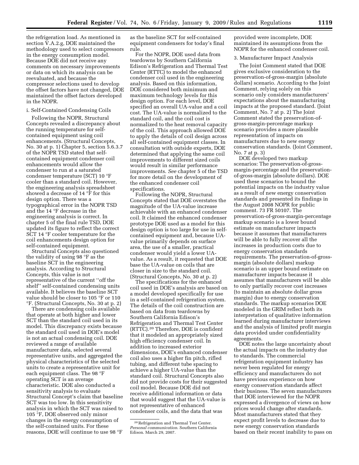the refrigeration load. As mentioned in section V.A.2.g, DOE maintained the methodology used to select compressors in the energy consumption model. Because DOE did not receive any comments on necessary improvements or data on which its analysis can be reevaluated, and because the compressor selections used to develop the offset factors have not changed, DOE maintained the offset factors developed in the NOPR.

#### i. Self-Contained Condensing Coils

Following the NOPR, Structural Concepts revealed a discrepancy about the running temperature for selfcontained equipment using coil enhancements. (Structural Concepts, No. 30 at p. 1) Chapter 5, section 5.6.3.7 of the NOPR TSD stated that selfcontained equipment condenser coil enhancements would allow the condenser to run at a saturated condenser temperature (SCT) 10 °F cooler than a standard coil. However, the engineering analysis spreadsheet showed a decrease of 14 °F for this design option. There was a typographical error in the NOPR TSD and the 14 °F decrease in the engineering analysis is correct. In chapter 5 of the final rule TSD, DOE updated its figure to reflect the correct SCT 14 °F cooler temperature for the coil enhancements design option for self-contained equipment.

Structural Concepts also questioned the validity of using 98 °F as the baseline SCT in the engineering analysis. According to Structural Concepts, this value is not representative of the current ''off the shelf'' self-contained condensing units available. It believes the baseline SCT value should be closer to 105 °F or 110 °F. (Structural Concepts, No. 30 at p. 2)

There are condensing coils available that operate at both higher and lower SCT than the standard coil used in its model. This discrepancy exists because the standard coil used in DOE's model is not an actual condensing coil. DOE reviewed a range of available manufacturer data, selected several representative units, and aggregated the physical characteristics of the selected units to create a representative unit for each equipment class. The 98 °F operating SCT is an average characteristic. DOE also conducted a sensitivity analysis to evaluate Structural Concept's claim that baseline SCT was too low. In this sensitivity analysis in which the SCT was raised to 105 °F, DOE observed only minor changes in the energy consumption of the self-contained units. For these reasons, DOE will continue to use 98 °F

as the baseline SCT for self-contained equipment condensers for today's final rule.

For the NOPR, DOE used data from teardowns by Southern California Edison's Refrigeration and Thermal Test Center (RTTC) to model the enhanced condenser coil used in the engineering analysis. Based on this information, DOE considered both minimum and maximum technology levels for this design option. For each level, DOE specified an overall UA-value and a coil cost. The UA-value is normalized to the standard coil, and the coil cost is normalized to the heat removal capacity of the coil. This approach allowed DOE to apply the details of coil design across all self-contained equipment classes. In consultation with outside experts, DOE determined that applying the same coil improvements to different sized coils would result in similar performance improvements. *See* chapter 5 of the TSD for more detail on the development of the enhanced condenser coil specifications.

Following the NOPR, Structural Concepts stated that DOE overstates the magnitude of the UA-value increase achievable with an enhanced condenser coil. It claimed the enhanced condenser prototype DOE used as a model for this design option is too large for use in selfcontained equipment and, because UAvalue primarily depends on surface area, the use of a smaller, practical condenser would yield a lower UAvalue. As a result, it requested that DOE base the UA-value on coils that are closer in size to the standard coil. (Structural Concepts, No. 30 at p. 2)

The specifications for the enhanced coil used in DOE's analysis are based on a model developed specifically for use in a self-contained refrigeration system. The details of the coil construction are based on data from teardowns by Southern California Edison's Refrigeration and Thermal Test Center (RTTC).20 Therefore, DOE is confident that it modeled an appropriately sized high efficiency condenser coil. In addition to increased exterior dimensions, DOE's enhanced condenser coil also uses a higher fin pitch, rifled tubing, and different tube spacing to achieve a higher UA-value than the standard coil. Structural Concepts also did not provide costs for their suggested coil model. Because DOE did not receive additional information or data that would suggest that the UA-value is not representative of enhanced condenser coils, and the data that was

provided were incomplete, DOE maintained its assumptions from the NOPR for the enhanced condenser coil.

## 3. Manufacturer Impact Analysis

The Joint Comment stated that DOE gives exclusive consideration to the preservation-of-gross-margin (absolute dollars) scenario. According to the Joint Comment, relying solely on this scenario only considers manufacturers' expectations about the manufacturing impacts at the proposed standard. (Joint Comment, No. 7 at p. 2) The Joint Comment stated the preservation-ofgross-margin-percentage markup scenario provides a more plausible representation of impacts on manufacturers due to new energy conservation standards. (Joint Comment, No. 7 at p. 3)

DOE developed two markup scenarios: The preservation-of-grossmargin-percentage and the preservationof-gross-margin (absolute dollars). DOE used these scenarios to bound the potential impacts on the industry value as a result of new energy conservation standards and presented its findings in the August 2008 NOPR for public comment. 73 FR 50107. The preservation-of-gross-margin-percentage markup scenario is a lower bound estimate on manufacturer impacts because it assumes that manufacturers will be able to fully recover all the increases in production costs due to energy conservation standards requirements. The preservation-of-grossmargin (absolute dollars) markup scenario is an upper bound estimate on manufacturer impacts because it assumes that manufacturers will be able to only partially recover cost increases (to maintain an absolute dollar gross margin) due to energy conservation standards. The markup scenarios DOE modeled in the GRIM reflect both its interpretation of qualitative information learned during manufacturer interviews and the analysis of limited profit margin data provided under confidentiality agreements.

DOE notes the large uncertainty about the actual impacts on the industry due to standards. The commercial refrigeration equipment industry has never been regulated for energy efficiency and manufacturers do not have previous experience on how energy conservation standards affect their business. The seven manufacturers that DOE interviewed for the NOPR expressed a divergence of views on how prices would change after standards. Most manufacturers stated that they expect profit levels to decrease due to new energy conservation standards based on their recent inability to pass on

<sup>20</sup>Refrigeration and Thermal Test Center. *Personal communication*. Southern California Edison. March 29, 2007.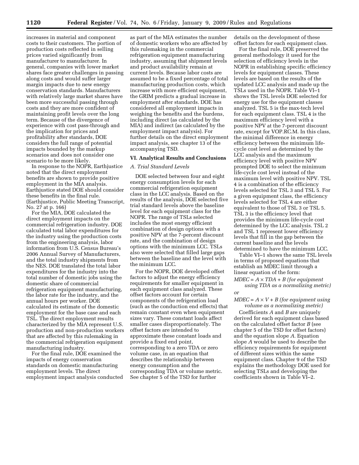increases in material and component costs to their customers. The portion of production costs reflected in selling prices varied significantly from manufacturer to manufacturer. In general, companies with lower market shares face greater challenges in passing along costs and would suffer larger margin impacts due to new energy conservation standards. Manufacturers with relatively large market shares have been more successful passing through costs and they are more confident of maintaining profit levels over the long term. Because of the divergence of experience with cost pass-through and the implication for prices and profitability after standards, DOE considers the full range of potential impacts bounded by the markup scenarios and does not consider one scenario to be more likely.

In response to the NOPR, Earthjustice noted that the direct employment benefits are shown to provide positive employment in the MIA analysis. Earthjustice stated DOE should consider these benefits in the final rule. (Earthjustice, Public Meeting Transcript, No. 27 at p. 166)

For the MIA, DOE calculated the direct employment impacts on the commercial refrigeration industry. DOE calculated total labor expenditures for the industry using the production costs from the engineering analysis, labor information from U.S. Census Bureau's 2006 Annual Survey of Manufacturers, and the total industry shipments from the NES. DOE translated the total labor expenditures for the industry into the total number of domestic jobs using the domestic share of commercial refrigeration equipment manufacturing, the labor rate for the industry, and the annual hours per worker. DOE calculated its estimate of the domestic employment for the base case and each TSL. The direct employment results characterized by the MIA represent U.S. production and non-production workers that are affected by this rulemaking in the commercial refrigeration equipment manufacturing industry.

For the final rule, DOE examined the impacts of energy conservation standards on domestic manufacturing employment levels. The direct employment impact analysis conducted

as part of the MIA estimates the number of domestic workers who are affected by this rulemaking in the commercial refrigeration equipment manufacturing industry, assuming that shipment levels and product availability remain at current levels. Because labor costs are assumed to be a fixed percentage of total manufacturing production costs, which increase with more efficient equipment, the GRIM predicts a gradual increase in employment after standards. DOE has considered all employment impacts in weighing the benefits and the burdens, including direct (as calculated by the MIA) and indirect (as calculated by the employment impact analysis). For further details on the direct employment impact analysis, see chapter 13 of the accompanying TSD.

## **VI. Analytical Results and Conclusions**

#### *A. Trial Standard Levels*

DOE selected between four and eight energy consumption levels for each commercial refrigeration equipment class in the LCC analysis. Based on the results of the analysis, DOE selected five trial standard levels above the baseline level for each equipment class for the NOPR. The range of TSLs selected includes the most energy efficient combination of design options with a positive NPV at the 7-percent discount rate, and the combination of design options with the minimum LCC. TSLs also were selected that filled large gaps between the baseline and the level with the minimum LCC.

For the NOPR, DOE developed offset factors to adjust the energy efficiency requirements for smaller equipment in each equipment class analyzed. These offset factors account for certain components of the refrigeration load (such as the conduction end effects) that remain constant even when equipment sizes vary. These constant loads affect smaller cases disproportionately. The offset factors are intended to approximate these constant loads and provide a fixed end point, corresponding to a zero TDA or zero volume case, in an equation that describes the relationship between energy consumption and the corresponding TDA or volume metric. See chapter 5 of the TSD for further

details on the development of these offset factors for each equipment class.

For the final rule, DOE preserved the general methodology it used for the selection of efficiency levels in the NOPR in establishing specific efficiency levels for equipment classes. These levels are based on the results of the updated LCC analysis and made up the TSLs used in the NOPR. Table VI–1 shows the TSL levels DOE selected for energy use for the equipment classes analyzed. TSL 5 is the max-tech level for each equipment class. TSL 4 is the maximum efficiency level with a positive NPV at the 7-percent discount rate, except for VOP.RC.M. In this class, the minimal difference in energy efficiency between the minimum lifecycle cost level as determined by the LCC analysis and the maximum efficiency level with positive NPV prompted DOE to select the minimum life-cycle cost level instead of the maximum level with positive NPV. TSL 4 is a combination of the efficiency levels selected for TSL 3 and TSL 5. For a given equipment class, the efficiency levels selected for TSL 4 are either equivalent to those of TSL 3 or TSL 5. TSL 3 is the efficiency level that provides the minimum life-cycle cost determined by the LCC analysis. TSL 2 and TSL 1 represent lower efficiency levels that fill in the gap between the current baseline and the levels determined to have the minimum LCC.

Table VI–1 shows the same TSL levels in terms of proposed equations that establish an MDEC limit through a linear equation of the form:

*MDEC = A* × *TDA + B (for equipment using TDA as a normalizing metric)* 

*or* 

#### $MDEC = A \times V + B$  (for equipment using *volume as a normalizing metric)*

Coefficients *A* and *B* are uniquely derived for each equipment class based on the calculated offset factor *B* (see chapter 5 of the TSD for offset factors) and the equation slope *A*. Equation slope *A* would be used to describe the efficiency requirements for equipment of different sizes within the same equipment class. Chapter 9 of the TSD explains the methodology DOE used for selecting TSLs and developing the coefficients shown in Table VI–2.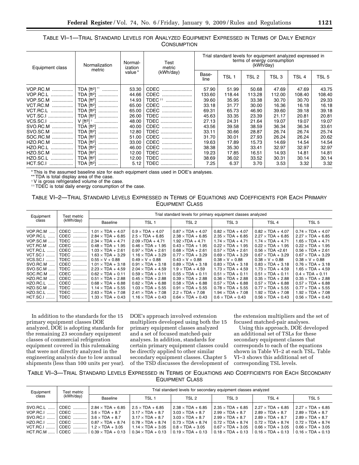## TABLE VI–1—TRIAL STANDARD LEVELS FOR ANALYZED EQUIPMENT EXPRESSED IN TERMS OF DAILY ENERGY **CONSUMPTION**

| Equipment class  | Normalization<br>metric           | Normal-<br>ization | Test<br>metric     | Trial standard levels for equipment analyzed expressed in<br>terms of energy consumption<br>(kWh/day) |                  |        |        |                  |        |
|------------------|-----------------------------------|--------------------|--------------------|-------------------------------------------------------------------------------------------------------|------------------|--------|--------|------------------|--------|
|                  |                                   | value*             | (kWh/day)          | Base-<br>line                                                                                         | TSL <sub>1</sub> | TSL 2  | TSL 3  | TSL <sub>4</sub> | TSL 5  |
| VOP.RC.M         | TDA $[ft^2]$ <sup>**</sup>        | 53.30              | CDEC               | 57.90                                                                                                 | 51.99            | 50.68  | 47.69  | 47.69            | 43.75  |
|                  | TDA [ft <sup>2</sup> ]            | 44.66              | CDEC               | 133.60                                                                                                | 118.44           | 113.28 | 112.00 | 108.40           | 108.40 |
| VOP.SC.M         | TDA $[ft^2]$                      | 14.93              | TDEC <sup>++</sup> | 39.60                                                                                                 | 35.95            | 33.38  | 30.70  | 30.70            | 29.33  |
| VCT.RC.M         | TDA $[ft^2]$                      | 65.00              | CDEC               | 33.18                                                                                                 | 31.77            | 30.00  | 16.36  | 16.18            | 16.18  |
| VCT.RC.L         | TDA [ft <sup>2</sup> ]            | 65.00              | CDEC               | 69.31                                                                                                 | 65.73            | 46.90  | 39.60  | 39.18            | 39.18  |
| <b>VCT.SC.I </b> | TDA [ft <sup>2</sup> ]            | 26.00              | TDEC               | 45.63                                                                                                 | 33.35            | 23.39  | 21.17  | 20.81            | 20.81  |
| VCS.SC.I         | V [ft <sup>3</sup> ] $^{\dagger}$ | 48.00              | TDEC               | 27.13                                                                                                 | 24.31            | 21.64  | 19.07  | 19.07            | 19.07  |
| SVO.RC.M         | TDA [ft <sup>2</sup> ]            | 40.00              | CDEC               | 43.56                                                                                                 | 39.58            | 38.59  | 36.34  | 36.34            | 33.61  |
|                  | TDA [ft <sup>2</sup> ]            | 12.80              | TDEC               | 33.11                                                                                                 | 30.66            | 28.87  | 26.74  | 26.74            | 25.74  |
| SOC.RC.M         | <b>TDA</b> [ft <sup>2</sup> ]     | 51.00              | CDEC               | 31.70                                                                                                 | 30.01            | 27.93  | 26.24  | 26.24            | 20.62  |
| HZO.RC.M         | TDA [ft <sup>2</sup> ]            | 33.00              | CDEC               | 19.63                                                                                                 | 17.89            | 15.73  | 14.69  | 14.54            | 14.54  |
|                  |                                   | 46.00              | CDEC               | 38.38                                                                                                 | 35.30            | 33.41  | 32.97  | 32.97            | 32.97  |
| HZO.SC.M         | TDA [ft <sup>2</sup> ]            | 12.00              | TDEC               | 19.23                                                                                                 | 17.85            | 16.51  | 14.93  | 14.81            | 14.81  |
| HZO.SC.L         | TDA [ft <sup>2</sup> ]            | 12.00              | TDEC               | 38.69                                                                                                 | 36.02            | 33.52  | 30.31  | 30.14            | 30.14  |
|                  |                                   | 5.12               | TDEC               | 7.25                                                                                                  | 6.37             | 3.70   | 3.53   | 3.32             | 3.32   |

\* This is the assumed baseline size for each equipment class used in DOE's analyses.

\*\* TDA is total display area of the case.

†V is gross refrigerated volume of the case.

th TDEC is total daily energy consumption of the case.

## TABLE VI–2—TRIAL STANDARD LEVELS EXPRESSED IN TERMS OF EQUATIONS AND COEFFICIENTS FOR EACH PRIMARY EQUIPMENT CLASS

| Equipment                                                                                                                                                                                                | Test metric                                                                                                                                                                                | Trial standard levels for primary equipment classes analyzed                                                                                                                                                                                                                                                                                                                                                                   |                                                                                                                                                                                                                                                                                                                                                                                                                              |                                                                                                                                                                                                                                                                                                                                                                                                                              |                                                                                                                                                                                                                                                                                                                                                                                                                               |                                                                                                                                                                                                                                                                                                                                                                                                                                |                                                                                                                                                                                                                                                                                                                                                                                                                               |
|----------------------------------------------------------------------------------------------------------------------------------------------------------------------------------------------------------|--------------------------------------------------------------------------------------------------------------------------------------------------------------------------------------------|--------------------------------------------------------------------------------------------------------------------------------------------------------------------------------------------------------------------------------------------------------------------------------------------------------------------------------------------------------------------------------------------------------------------------------|------------------------------------------------------------------------------------------------------------------------------------------------------------------------------------------------------------------------------------------------------------------------------------------------------------------------------------------------------------------------------------------------------------------------------|------------------------------------------------------------------------------------------------------------------------------------------------------------------------------------------------------------------------------------------------------------------------------------------------------------------------------------------------------------------------------------------------------------------------------|-------------------------------------------------------------------------------------------------------------------------------------------------------------------------------------------------------------------------------------------------------------------------------------------------------------------------------------------------------------------------------------------------------------------------------|--------------------------------------------------------------------------------------------------------------------------------------------------------------------------------------------------------------------------------------------------------------------------------------------------------------------------------------------------------------------------------------------------------------------------------|-------------------------------------------------------------------------------------------------------------------------------------------------------------------------------------------------------------------------------------------------------------------------------------------------------------------------------------------------------------------------------------------------------------------------------|
| class                                                                                                                                                                                                    | (kWh/day)                                                                                                                                                                                  | <b>Baseline</b>                                                                                                                                                                                                                                                                                                                                                                                                                | TSL <sub>1</sub>                                                                                                                                                                                                                                                                                                                                                                                                             | TSL <sub>2</sub>                                                                                                                                                                                                                                                                                                                                                                                                             | TSL <sub>3</sub>                                                                                                                                                                                                                                                                                                                                                                                                              | TSL <sub>4</sub>                                                                                                                                                                                                                                                                                                                                                                                                               | TSL <sub>5</sub>                                                                                                                                                                                                                                                                                                                                                                                                              |
| VOP.RC.M<br>VOP.RC.L<br><b>VOP.SC.M </b><br><b>VCT.RC.M </b><br>VCT.RC.L<br>VCT.SC.I<br>VCS.SC.I<br>SVO.RC.M<br>SVO.SC.M<br>SOC.RC.M<br>HZO.RC.M<br>HZO.RC.L<br><b>HZO.SC.M </b><br>HZO.SC.L<br>HCT.SC.I | CDEC<br>CDEC<br><b>TDEC</b><br>CDEC<br>CDEC<br>.<br><b>TDEC</b><br><b>TDEC</b><br>CDEC<br>TDEC<br>.<br>CDEC<br>.<br><b>CDEC</b><br>.<br>CDEC<br>.<br>TDEC<br>.<br>TDEC<br>.<br><b>TDEC</b> | $1.01 \times TDA + 4.07$<br>$2.84 \times TDA + 6.85$<br>$2.34 \times TDA + 4.71$<br>$0.48 \times TDA + 1.95$<br>$1.03 \times TDA + 2.61$<br>$1.63 \times TDA + 3.29$<br>$0.55 \times V + 0.88$<br>$1.01 \times TDA + 3.18$<br>$2.23 \times TDA + 4.59$<br>$0.62 \times TDA + 0.11$<br>$0.51 \times TDA + 2.88$<br>$0.68 \times TDA + 6.88$<br>$1.14 \times TDA + 5.55$<br>$2.63 \times TDA + 7.08$<br>$1.33 \times TDA + 0.43$ | $0.9 \times TDA + 4.07$<br>$2.5 \times TDA + 6.85$<br>$2.09 \times TDA + 4.71$<br>$0.46 \times TDA + 1.95$<br>$0.97 \times TDA + 2.61$<br>$1.16 \times TDA + 3.29$<br>$0.49 \times V + 0.88$<br>$0.91 \times TDA + 3.18$<br>$2.04 \times TDA + 4.59$<br>$0.59 \times TDA + 0.11$<br>$0.45 \times TDA + 2.88$<br>$0.62 \times TDA + 6.88$<br>$1.03 \times TDA + 5.55$<br>$2.41 \times TDA + 7.08$<br>$1.16 \times TDA + 0.43$ | $0.87 \times TDA + 4.07$<br>$2.38 \times TDA + 6.85$<br>$1.92 \times TDA + 4.71$<br>$0.43 \times TDA + 1.95$<br>$0.68 \times TDA + 2.61$<br>$0.77 \times TDA + 3.29$<br>$0.43 \times V + 0.88$<br>$0.89 \times TDA + 3.18$<br>$1.9 \times TDA + 4.59$<br>$0.55 \times TDA + 0.11$<br>$0.39 \times TDA + 2.88$<br>$0.58 \times TDA + 6.88$<br>$0.91 \times TDA + 5.55$<br>$2.2 \times TDA + 7.08$<br>$0.64 \times TDA + 0.43$ | $0.82 \times TDA + 4.07$<br>$2.35 \times TDA + 6.85$<br>$1.74 \times TDA + 4.71$<br>$0.22 \times TDA + 1.95$<br>$0.57 \times TDA + 2.61$<br>$0.69 \times TDA + 3.29$<br>$0.38 \times V + 0.88$<br>$0.83 \times TDA + 3.18$<br>$1.73 \times TDA + 4.59$<br>$0.51 \times TDA + 0.11$<br>$0.36 \times TDA + 2.88$<br>$0.57 \times TDA + 6.88$<br>$0.78 \times TDA + 5.55$<br>$1.94 \times TDA + 7.08$<br>$0.6 \times TDA + 0.43$ | $0.82 \times TDA + 4.07$<br>$2.27 \times TDA + 6.85$<br>$1.74 \times TDA + 4.71$<br>$0.22 \times TDA + 1.95$<br>$0.56 \times TDA + 2.61$<br>$0.67 \times TDA + 3.29$<br>$0.38 \times V + 0.88$<br>$0.83 \times TDA + 3.18$<br>$1.73 \times TDA + 4.59$<br>$0.51 \times TDA + 0.11$<br>$0.35 \times TDA + 2.88$<br>$0.57 \times TDA + 6.88$<br>$0.77 \times TDA + 5.55$<br>$1.92 \times TDA + 7.08$<br>$0.56 \times TDA + 0.43$ | $0.74 \times TDA + 4.07$<br>$2.27 \times TDA + 6.85$<br>$1.65 \times TDA + 4.71$<br>$0.22 \times TDA + 1.95$<br>$0.56 \times TDA + 2.61$<br>$0.67 \times TDA + 3.29$<br>$0.38 \times V + 0.88$<br>$0.76 \times TDA + 3.18$<br>$1.65 \times TDA + 4.59$<br>$0.4 \times TDA + 0.11$<br>$0.35 \times TDA + 2.88$<br>$0.57 \times TDA + 6.88$<br>$0.77 \times TDA + 5.55$<br>$1.92 \times TDA + 7.08$<br>$0.56 \times TDA + 0.43$ |

In addition to the standards for the 15 primary equipment classes DOE analyzed, DOE is adopting standards for the remaining 23 secondary equipment classes of commercial refrigeration equipment covered in this rulemaking that were not directly analyzed in the engineering analysis due to low annual shipments (less than 100 units per year).

DOE's approach involved extension multipliers developed using both the 15 primary equipment classes analyzed and a set of focused matched-pair analyses. In addition, standards for certain primary equipment classes could be directly applied to other similar secondary equipment classes. Chapter 5 of the TSD discusses the development of the extension multipliers and the set of focused matched-pair analyses.

Using this approach, DOE developed an additional set of TSLs for these secondary equipment classes that corresponds to each of the equations shown in Table VI–2 at each TSL. Table VI–3 shows this additional set of corresponding TSL levels.

#### TABLE VI–3—TRIAL STANDARD LEVELS EXPRESSED IN TERMS OF EQUATIONS AND COEFFICIENTS FOR EACH SECONDARY EQUIPMENT CLASS

| Equipment  | Test metric | Trial standard levels for secondary equipment classes analyzed |                          |                          |                          |                          |                          |
|------------|-------------|----------------------------------------------------------------|--------------------------|--------------------------|--------------------------|--------------------------|--------------------------|
| class      | (kWh/day)   | Baseline                                                       | TSL <sub>1</sub>         | TSL 2                    | TSL <sub>3</sub>         | TSL <sub>4</sub>         | TSL <sub>5</sub>         |
| SVO.RC.L   | CDEC        | $2.84 \times TDA + 6.85$                                       | $2.5 \times TDA + 6.85$  | $2.38 \times TDA + 6.85$ | $2.35 \times TDA + 6.85$ | $2.27 \times TDA + 6.85$ | $2.27 \times TDA + 6.85$ |
| VOP.RC.I   | CDEC        | $3.6 \times TDA + 8.7$                                         | $3.17 \times TDA + 8.7$  | $3.03 \times TDA + 8.7$  | $2.99 \times TDA + 8.7$  | $2.89 \times TDA + 8.7$  | $2.89 \times TDA + 8.7$  |
| SVO.RC.I   | CDEC        | $3.6 \times TDA + 8.7$                                         | $3.17 \times TDA + 8.7$  | $3.03 \times TDA + 8.7$  | $2.99 \times TDA + 8.7$  | $2.89 \times TDA + 8.7$  | $2.89 \times TDA + 8.7$  |
| $HZO.RC.I$ | CDEC        | $0.87 \times TDA + 8.74$                                       | $0.78 \times TDA + 8.74$ | $0.73 \times TDA + 8.74$ | $0.72 \times TDA + 8.74$ | $0.72 \times TDA + 8.74$ | $0.72 \times TDA + 8.74$ |
| $VCT.RC.1$ | CDEC        | $1.2 \times TDA + 3.05$                                        | $1.14 \times TDA + 3.05$ | $0.8 \times TDA + 3.05$  | $0.67 \times TDA + 3.05$ | $0.66 \times TDA + 3.05$ | $0.66 \times TDA + 3.05$ |
| $HCT$ RC M | + CDEC  '   | $0.39 \times TDA + 0.13$                                       | $0.34 \times TDA + 0.13$ | $0.19 \times TDA + 0.13$ | $0.18 \times TDA + 0.13$ | $0.16 \times TDA + 0.13$ | $0.16 \times TDA + 0.13$ |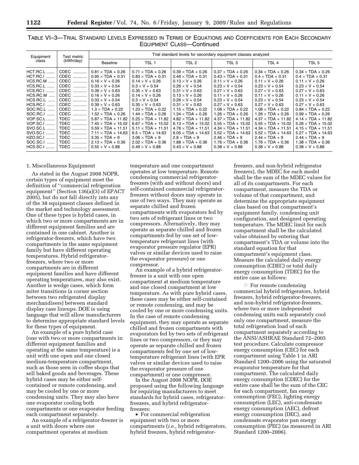| Equipment                                                                                                                                                                                                                                      | Test metric                                                                                                                                                  | Trial standard levels for secondary equipment classes analyzed                                                                                                                                                                                                                                                                                                                                                       |                                                                                                                                                                                                                                                                                                                                                                                                                    |                                                                                                                                                                                                                                                                                                                                                                                                                      |                                                                                                                                                                                                                                                                                                                                                                                                                       |                                                                                                                                                                                                                                                                                                                                                                                                                      |                                                                                                                                                                                                                                                                                                                                                                                                                      |  |
|------------------------------------------------------------------------------------------------------------------------------------------------------------------------------------------------------------------------------------------------|--------------------------------------------------------------------------------------------------------------------------------------------------------------|----------------------------------------------------------------------------------------------------------------------------------------------------------------------------------------------------------------------------------------------------------------------------------------------------------------------------------------------------------------------------------------------------------------------|--------------------------------------------------------------------------------------------------------------------------------------------------------------------------------------------------------------------------------------------------------------------------------------------------------------------------------------------------------------------------------------------------------------------|----------------------------------------------------------------------------------------------------------------------------------------------------------------------------------------------------------------------------------------------------------------------------------------------------------------------------------------------------------------------------------------------------------------------|-----------------------------------------------------------------------------------------------------------------------------------------------------------------------------------------------------------------------------------------------------------------------------------------------------------------------------------------------------------------------------------------------------------------------|----------------------------------------------------------------------------------------------------------------------------------------------------------------------------------------------------------------------------------------------------------------------------------------------------------------------------------------------------------------------------------------------------------------------|----------------------------------------------------------------------------------------------------------------------------------------------------------------------------------------------------------------------------------------------------------------------------------------------------------------------------------------------------------------------------------------------------------------------|--|
| class                                                                                                                                                                                                                                          | (kWh/day)                                                                                                                                                    | <b>Baseline</b>                                                                                                                                                                                                                                                                                                                                                                                                      | TSL <sub>1</sub>                                                                                                                                                                                                                                                                                                                                                                                                   | TSL 2                                                                                                                                                                                                                                                                                                                                                                                                                | TSL <sub>3</sub>                                                                                                                                                                                                                                                                                                                                                                                                      | TSL <sub>4</sub>                                                                                                                                                                                                                                                                                                                                                                                                     | TSL <sub>5</sub>                                                                                                                                                                                                                                                                                                                                                                                                     |  |
| <b>HCT.RC.L</b><br><b>HCT.RC.I</b><br><b>VCS.RC.M </b><br><b>VCS.RC.L</b><br><b>VCS.RC.I </b><br>$HCS.RC.M$<br><b>HCS.RC.L</b><br>HCS.RC.I<br>SOC.RC.L<br>SOC.RC.I<br><b>VOP.SC.L</b><br><b>VOP.SC.I </b><br>SVO.SC.L.<br>SVO.SC.I<br>HZO.SC.I | CDEC<br>CDEC<br>CDEC<br>CDEC<br>CDEC<br>CDEC<br>CDEC<br>CDEC<br>CDEC<br>CDEC<br>.<br><b>TDEC</b><br><b>TDEC</b><br><b>TDEC</b><br><b>TDEC</b><br><b>TDEC</b> | $0.81 \times TDA + 0.26$<br>$0.95 \times TDA + 0.31$<br>$0.16 \times V + 0.26$<br>$0.33 \times V + 0.54$<br>$0.39 \times V + 0.63$<br>$0.16 \times V + 0.26$<br>$0.33 \times V + 0.54$<br>$0.39 \times V + 0.63$<br>$1.3 \times TDA + 0.22$<br>$1.52 \times TDA + 0.26$<br>$5.87 \times TDA + 11.82$<br>$7.45 \times TDA + 15.02$<br>$5.59 \times TDA + 11.51$<br>$7.11 \times TDA + 14.63$<br>$3.35 \times TDA + 9$ | $0.71 \times TDA + 0.26$<br>$0.83 \times TDA + 0.31$<br>$0.14 \times V + 0.26$<br>$0.3 \times V + 0.54$<br>$0.35 \times V + 0.63$<br>$0.14 \times V + 0.26$<br>$0.3 \times V + 0.54$<br>$0.35 \times V + 0.63$<br>$1.23 \times TDA + 0.22$<br>$1.44 \times TDA + 0.26$<br>$5.25 \times TDA + 11.82$<br>$6.67 \times TDA + 15.02$<br>$5.11 \times TDA + 11.51$<br>$6.5 \times TDA + 14.63$<br>$3.06 \times TDA + 9$ | $0.39 \times TDA + 0.26$<br>$0.46 \times TDA + 0.31$<br>$0.13 \times V + 0.26$<br>$0.26 \times V + 0.54$<br>$0.31 \times V + 0.63$<br>$0.13 \times V + 0.26$<br>$0.26 \times V + 0.54$<br>$0.31 \times V + 0.63$<br>$1.15 \times TDA + 0.22$<br>$1.34 \times TDA + 0.26$<br>$4.82 \times TDA + 11.82$<br>$6.13 \times TDA + 15.02$<br>$4.76 \times TDA + 11.51$<br>$6.05 \times TDA + 14.63$<br>$2.8 \times TDA + 9$ | $0.37 \times TDA + 0.26$<br>$0.43 \times TDA + 0.31$<br>$0.11 \times V + 0.26$<br>$0.23 \times V + 0.54$<br>$0.27 \times V + 0.63$<br>$0.11 \times V + 0.26$<br>$0.23 \times V + 0.54$<br>$0.27 \times V + 0.63$<br>$1.08 \times TDA + 0.22$<br>$1.26 \times TDA + 0.26$<br>$4.37 \times TDA + 11.82$<br>$5.55 \times TDA + 15.02$<br>$4.34 \times TDA + 11.51$<br>$5.52 \times TDA + 14.63$<br>$2.46 \times TDA + 9$ | $0.34 \times TDA + 0.26$<br>$0.4 \times TDA + 0.31$<br>$0.11 \times V + 0.26$<br>$0.23 \times V + 0.54$<br>$0.27 \times V + 0.63$<br>$0.11 \times V + 0.26$<br>$0.23 \times V + 0.54$<br>$0.27 \times V + 0.63$<br>$1.08 \times TDA + 0.22$<br>$1.26 \times TDA + 0.26$<br>$4.37 \times TDA + 11.82$<br>$5.55 \times TDA + 15.02$<br>$4.34 \times TDA + 11.51$<br>$5.52 \times TDA + 14.63$<br>$2.44 \times TDA + 9$ | $0.34 \times TDA + 0.26$<br>$0.4 \times TDA + 0.31$<br>$0.11 \times V + 0.26$<br>$0.23 \times V + 0.54$<br>$0.27 \times V + 0.63$<br>$0.11 \times V + 0.26$<br>$0.23 \times V + 0.54$<br>$0.27 \times V + 0.63$<br>$0.84 \times TDA + 0.22$<br>$0.99 \times TDA + 0.26$<br>$4.14 \times TDA + 11.82$<br>$5.26 \times TDA + 15.02$<br>$4.15 \times TDA + 11.51$<br>$5.27 \times TDA + 14.63$<br>$2.44 \times TDA + 9$ |  |
| SOC.SC.I<br><b>HCS.SC.I </b>                                                                                                                                                                                                                   | <b>TDEC</b><br><b>TDEC</b>                                                                                                                                   | $2.13 \times TDA + 0.36$<br>$0.55 \times V + 0.88$                                                                                                                                                                                                                                                                                                                                                                   | $2.02 \times TDA + 0.36$<br>$0.49 \times V + 0.88$                                                                                                                                                                                                                                                                                                                                                                 | $1.88 \times TDA + 0.36$<br>$0.43 \times V + 0.88$                                                                                                                                                                                                                                                                                                                                                                   | $1.76 \times TDA + 0.36$<br>$0.38 \times V + 0.88$                                                                                                                                                                                                                                                                                                                                                                    | $1.76 \times TDA + 0.36$<br>$0.38 \times V + 0.88$                                                                                                                                                                                                                                                                                                                                                                   | $1.38 \times TDA + 0.36$<br>$0.38 \times V + 0.88$                                                                                                                                                                                                                                                                                                                                                                   |  |

TABLE VI–3—TRIAL STANDARD LEVELS EXPRESSED IN TERMS OF EQUATIONS AND COEFFICIENTS FOR EACH SECONDARY EQUIPMENT CLASS—Continued

#### 1. Miscellaneous Equipment

As stated in the August 2008 NOPR, certain types of equipment meet the definition of ''commercial refrigeration equipment'' (Section 136(a)(3) of EPACT 2005), but do not fall directly into any of the 38 equipment classes defined in the market and technology assessment. One of these types is hybrid cases, in which two or more compartments are in different equipment families and are contained in one cabinet. Another is refrigerator-freezers, which have two compartments in the same equipment family but have different operating temperatures. Hybrid refrigeratorfreezers, where two or more compartments are in different equipment families and have different operating temperatures, may also exist. Another is wedge cases, which form miter transitions (a corner section between two refrigerated display merchandisers) between standard display case lineups. DOE is using language that will allow manufacturers to determine appropriate standard levels for these types of equipment.

An example of a pure hybrid case (one with two or more compartments in different equipment families and operating at the same temperature) is a unit with one open and one closed medium-temperature compartment, such as those seen in coffee shops that sell baked goods and beverages. These hybrid cases may be either selfcontained or remote condensing, and may be cooled by one or more condensing units. They may also have one evaporator cooling both compartments or one evaporator feeding each compartment separately.

An example of a refrigerator-freezer is a unit with doors where one compartment operates at medium

temperature and one compartment operates at low temperature. Remote condensing commercial refrigeratorfreezers (with and without doors) and self-contained commercial refrigeratorfreezers without doors may operate in one of two ways. They may operate as separate chilled and frozen compartments with evaporators fed by two sets of refrigerant lines or two compressors. Alternatively, they may operate as separate chilled and frozen compartments fed by one set of lowtemperature refrigerant lines (with evaporator pressure regulator (EPR) valves or similar devices used to raise the evaporator pressure) or one compressor.

An example of a hybrid refrigeratorfreezer is a unit with one open compartment at medium temperature and one closed compartment at low temperature. As with pure hybrid cases, these cases may be either self-contained or remote condensing, and may be cooled by one or more condensing units. In the case of remote condensing equipment, they may operate as separate chilled and frozen compartments with evaporators fed by two sets of refrigerant lines or two compressors, or they may operate as separate chilled and frozen compartments fed by one set of lowtemperature refrigerant lines (with EPR valves or similar devices used to raise the evaporator pressure of one compartment) or one compressor.

In the August 2008 NOPR, DOE proposed using the following language for requiring manufacturers to meet standards for hybrid cases, refrigeratorfreezers, and hybrid refrigeratorfreezers:

• For commercial refrigeration equipment with two or more compartments (*i.e.*, hybrid refrigerators, hybrid freezers, hybrid refrigerator-

freezers, and non-hybrid refrigerator freezers), the MDEC for each model shall be the sum of the MDEC values for all of its compartments. For each compartment, measure the TDA or volume of that compartment, and determine the appropriate equipment class based on that compartment's equipment family, condensing unit configuration, and designed operating temperature. The MDEC limit for each compartment shall be the calculated value obtained by entering that compartment's TDA or volume into the standard equation for that compartment's equipment class. Measure the calculated daily energy consumption (CDEC) or total daily energy consumption (TDEC) for the entire case as follows:

 $\circ$  For remote condensing commercial hybrid refrigerators, hybrid freezers, hybrid refrigerator-freezers, and non-hybrid refrigerator-freezers, where two or more independent condensing units each separately cool only one compartment, measure the total refrigeration load of each compartment separately according to the ANSI/ASHRAE Standard 72–2005 test procedure. Calculate compressor energy consumption (CEC) for each compartment using Table 1 in ARI Standard 1200–2006 using the saturated evaporator temperature for that compartment. The calculated daily energy consumption (CDEC) for the entire case shall be the sum of the CEC for each compartment, fan energy consumption (FEC), lighting energy consumption (LEC), anti-condensate energy consumption (AEC), defrost energy consumption (DEC), and condensate evaporator pan energy consumption (PEC) (as measured in ARI Standard 1200–2006).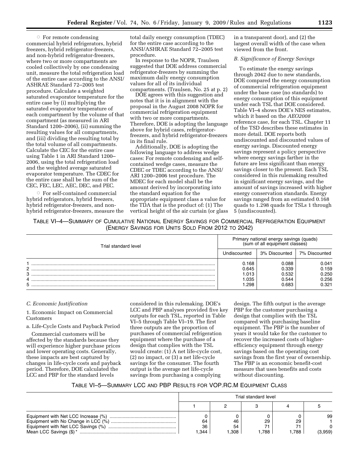**For remote condensing** commercial hybrid refrigerators, hybrid freezers, hybrid refrigerator-freezers, and non-hybrid refrigerator-freezers, where two or more compartments are cooled collectively by one condensing unit, measure the total refrigeration load of the entire case according to the ANSI/ ASHRAE Standard 72–2005 test procedure. Calculate a weighted saturated evaporator temperature for the entire case by (i) multiplying the saturated evaporator temperature of each compartment by the volume of that compartment (as measured in ARI Standard 1200–2006), (ii) summing the resulting values for all compartments, and (iii) dividing the resulting total by the total volume of all compartments. Calculate the CEC for the entire case using Table 1 in ARI Standard 1200– 2006, using the total refrigeration load and the weighted average saturated evaporator temperature. The CDEC for the entire case shall be the sum of the CEC, FEC, LEC, AEC, DEC, and PEC.

 $\circ\,$  For self-contained commercial hybrid refrigerators, hybrid freezers, hybrid refrigerator-freezers, and nonhybrid refrigerator-freezers, measure the total daily energy consumption (TDEC) for the entire case according to the ANSI/ASHRAE Standard 72–2005 test procedure.

In response to the NOPR, Traulsen suggested that DOE address commercial refrigerator-freezers by summing the maximum daily energy consumption values for all of its individual compartments. (Traulsen, No. 25 at p. 2)

DOE agrees with this suggestion and notes that it is in alignment with the proposal in the August 2008 NOPR for commercial refrigeration equipment with two or more compartments. Therefore, DOE is adopting the language above for hybrid cases, refrigeratorfreezers, and hybrid refrigerator-freezers in its final rule.

Additionally, DOE is adopting the following language to address wedge cases: For remote condensing and selfcontained wedge cases, measure the CDEC or TDEC according to the ANSI/ ARI 1200–2006 test procedure. The MDEC for each model shall be the amount derived by incorporating into the standard equation for the appropriate equipment class a value for the TDA that is the product of: (1) The vertical height of the air curtain (or glass in a transparent door), and (2) the largest overall width of the case when viewed from the front.

#### *B. Significance of Energy Savings*

To estimate the energy savings through 2042 due to new standards, DOE compared the energy consumption of commercial refrigeration equipment under the base case (no standards) to energy consumption of this equipment under each TSL that DOE considered. Table VI–4 shows DOE's NES estimates, which it based on the *AEO2008*  reference case, for each TSL. Chapter 11 of the TSD describes these estimates in more detail. DOE reports both undiscounted and discounted values of energy savings. Discounted energy savings represent a policy perspective where energy savings farther in the future are less significant than energy savings closer to the present. Each TSL considered in this rulemaking resulted in significant energy savings, and the amount of savings increased with higher energy conservation standards. Energy savings ranged from an estimated 0.168 quads to 1.298 quads for TSLs 1 through 5 (undiscounted).

| TABLE VI-4—SUMMARY OF CUMULATIVE NATIONAL ENERGY SAVINGS FOR COMMERCIAL REFRIGERATION EQUIPMENT |                                                   |  |  |
|-------------------------------------------------------------------------------------------------|---------------------------------------------------|--|--|
|                                                                                                 | (ENERGY SAVINGS FOR UNITS SOLD FROM 2012 TO 2042) |  |  |

| Trial standard level | Primary national energy savings (quads)<br>(sum of all equipment classes) |                |                |  |  |  |
|----------------------|---------------------------------------------------------------------------|----------------|----------------|--|--|--|
|                      |                                                                           | 3% Discounted  | 7% Discounted  |  |  |  |
| ◠                    | 0.168<br>0.645                                                            | 0.088<br>0.339 | 0.041<br>0.159 |  |  |  |
| 3                    | 1.013<br>1.035                                                            | 0.532<br>0.544 | 0.250<br>0.256 |  |  |  |
| 5                    | .298                                                                      | 0.683          | 0.321          |  |  |  |

#### *C. Economic Justification*

1. Economic Impact on Commercial Customers

a. Life-Cycle Costs and Payback Period

Commercial customers will be affected by the standards because they will experience higher purchase prices and lower operating costs. Generally, these impacts are best captured by changes in life-cycle costs and payback period. Therefore, DOE calculated the LCC and PBP for the standard levels

considered in this rulemaking. DOE's LCC and PBP analyses provided five key outputs for each TSL, reported in Table VI–5 through Table VI–19. The first three outputs are the proportion of purchases of commercial refrigeration equipment where the purchase of a design that complies with the TSL would create: (1) A net life-cycle cost, (2) no impact, or (3) a net life-cycle savings for the consumer. The fourth output is the average net life-cycle savings from purchasing a complying

design. The fifth output is the average PBP for the customer purchasing a design that complies with the TSL compared with purchasing baseline equipment. The PBP is the number of years it would take for the customer to recover the increased costs of higherefficiency equipment through energy savings based on the operating cost savings from the first year of ownership. The PBP is an economic benefit-cost measure that uses benefits and costs without discounting.

## TABLE VI–5—SUMMARY LCC AND PBP RESULTS FOR VOP.RC.M EQUIPMENT CLASS

| Trial standard level |      |      |      |         |
|----------------------|------|------|------|---------|
|                      |      |      |      |         |
|                      |      |      |      | 99      |
| 64                   | 46   | 29   | 29   |         |
| 36                   | 54   |      |      |         |
| 1.344                | .308 | .788 | .788 | (3,959) |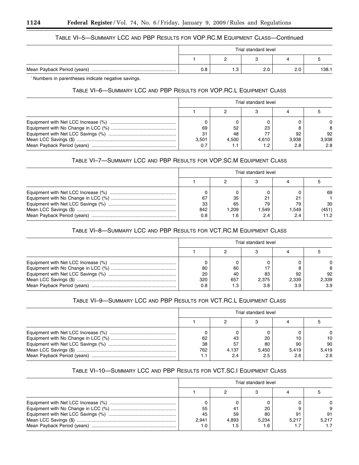## TABLE VI–5—SUMMARY LCC AND PBP RESULTS FOR VOP.RC.M EQUIPMENT CLASS—Continued

| Trial standard level |    |     |     |       |
|----------------------|----|-----|-----|-------|
|                      |    |     |     |       |
| 0.8                  | ں. | 2.0 | 2.0 | 138.1 |

\* Numbers in parentheses indicate negative savings.

## TABLE VI–6—SUMMARY LCC AND PBP RESULTS FOR VOP.RC.L EQUIPMENT CLASS

| Trial standard level |       |       |       |       |
|----------------------|-------|-------|-------|-------|
|                      |       |       |       |       |
|                      |       |       |       |       |
| 69                   | 52    | 23    |       | 8     |
| 31                   | 48    |       | 92    | 92    |
| 3.501                | 4.500 | 4.610 | 3.938 | 3,938 |
|                      | I . I |       | 2.8   | 2.8   |

## TABLE VI–7—SUMMARY LCC AND PBP RESULTS FOR VOP.SC.M EQUIPMENT CLASS

| Trial standard level |      |       |      |       |
|----------------------|------|-------|------|-------|
|                      |      |       |      |       |
|                      |      |       |      | 69    |
| 67                   | 35   | 21    | 21   |       |
| 33                   | 65   | 79    | 79   | 30    |
| 842                  | .209 | 1.549 | .549 | (451) |
| 0.8                  |      | 2.4   | 2.4  | 11.2  |

## TABLE VI–8—SUMMARY LCC AND PBP RESULTS FOR VCT.RC.M EQUIPMENT CLASS

| Trial standard level |     |       |       |          |
|----------------------|-----|-------|-------|----------|
|                      |     |       |       |          |
|                      |     |       |       | $\Omega$ |
| 80                   | 60  |       |       | 8        |
| 20                   | 40  | 83    | 92    | 92       |
| 320                  | 657 | 2.375 | 2.339 | 2,339    |
| 0.8                  |     | 3.8   | 3.9   | 3.9      |

## TABLE VI–9—SUMMARY LCC AND PBP RESULTS FOR VCT.RC.L EQUIPMENT CLASS

| Trial standard level |       |       |       |          |  |
|----------------------|-------|-------|-------|----------|--|
|                      |       |       |       |          |  |
|                      |       |       |       | $\Omega$ |  |
| 62                   | 43    | 20    | 10    | 10       |  |
| 38                   | 57    | 80    | 90    | 90       |  |
| 762                  | 4.137 | 5,450 | 5.419 | 5,419    |  |
|                      |       | 2.5   | 2.6   | 2.6      |  |

## TABLE VI–10—SUMMARY LCC AND PBP RESULTS FOR VCT.SC.I EQUIPMENT CLASS

| Trial standard level |       |       |       |       |
|----------------------|-------|-------|-------|-------|
|                      |       |       |       |       |
|                      |       |       |       |       |
| 55                   |       | 20    |       |       |
| 45                   | 59    | 80    | 91    | 91    |
| 2.941                | 4.893 | 5.234 | 5.217 | 5.217 |
|                      |       | 1.6   |       |       |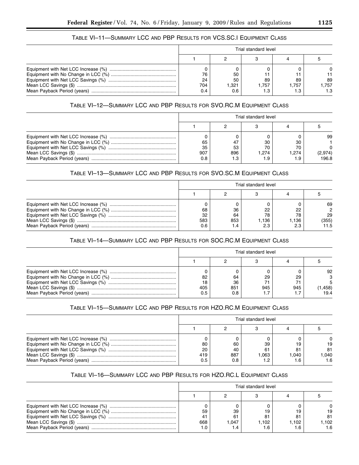## TABLE VI–11—SUMMARY LCC AND PBP RESULTS FOR VCS.SC.I EQUIPMENT CLASS

| Trial standard level |      |       |      |       |
|----------------------|------|-------|------|-------|
|                      |      |       |      |       |
|                      |      |       |      |       |
|                      | 50   |       |      |       |
| 24                   | 50   | 89    | 89   | 89    |
| 704                  | .321 | 1.757 | .757 | 1.757 |
|                      |      |       |      | 1.3   |

## TABLE VI–12—SUMMARY LCC AND PBP RESULTS FOR SVO.RC.M EQUIPMENT CLASS

| Trial standard level |      |       |       |         |
|----------------------|------|-------|-------|---------|
|                      |      |       |       |         |
|                      |      |       |       | 99      |
| 65                   |      | 30    | 30    |         |
| 35                   | 53   | 70    | 70    |         |
| 907                  | 896  | 1.274 | 1.274 | (2,974) |
| 0.8                  | . .3 | 1.9   |       | 196.8   |

## TABLE VI–13—SUMMARY LCC AND PBP RESULTS FOR SVO.SC.M EQUIPMENT CLASS

| Trial standard level |                 |                          |                         |                           |
|----------------------|-----------------|--------------------------|-------------------------|---------------------------|
|                      |                 |                          |                         |                           |
| 68<br>32<br>583      | 36<br>64<br>853 | 22<br>78<br>1.136<br>2.3 | 22<br>78<br>.136<br>2.3 | 69<br>29<br>(355)<br>11.5 |

## TABLE VI–14—SUMMARY LCC AND PBP RESULTS FOR SOC.RC.M EQUIPMENT CLASS

| Trial standard level |     |     |     |         |
|----------------------|-----|-----|-----|---------|
|                      |     |     |     |         |
|                      |     |     |     | 92      |
| 82                   | 64  | 29  | 29  |         |
|                      | 36  |     |     |         |
| 405                  | 851 | 945 | 945 | (458, ا |
|                      | 0.8 |     |     | 19.4    |

## TABLE VI–15—SUMMARY LCC AND PBP RESULTS FOR HZO.RC.M EQUIPMENT CLASS

| Trial standard level |            |          |          |             |  |  |  |  |  |
|----------------------|------------|----------|----------|-------------|--|--|--|--|--|
|                      |            |          |          |             |  |  |  |  |  |
| 80<br>20             | 60<br>40   | 39<br>61 | 19<br>81 | 19<br>81    |  |  |  |  |  |
| 419<br>0.5           | 887<br>0.8 | 1.063    | 1.040    | .040<br>1.6 |  |  |  |  |  |

## TABLE VI–16—SUMMARY LCC AND PBP RESULTS FOR HZO.RC.L EQUIPMENT CLASS

| Trial standard level |        |       |       |       |  |  |  |
|----------------------|--------|-------|-------|-------|--|--|--|
|                      |        |       |       |       |  |  |  |
|                      |        |       |       |       |  |  |  |
| 59                   | 39     |       | 19    | 19    |  |  |  |
| 41                   | 61     | 81    | 81    | 81    |  |  |  |
| 668                  | 047. ا | 1.102 | 1.102 | 1.102 |  |  |  |
|                      |        | 1.6   |       | 1.6   |  |  |  |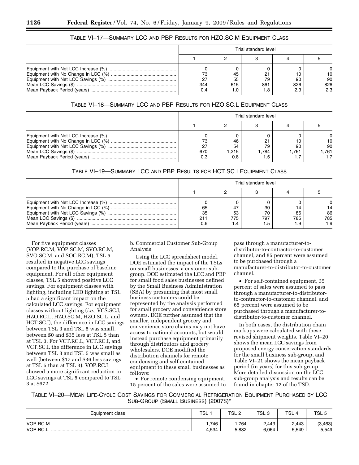## TABLE VI–17—SUMMARY LCC AND PBP RESULTS FOR HZO.SC.M EQUIPMENT CLASS

| Trial standard level |     |     |     |     |  |  |  |
|----------------------|-----|-----|-----|-----|--|--|--|
|                      |     |     |     |     |  |  |  |
|                      |     |     |     |     |  |  |  |
|                      | 45  |     |     | 10  |  |  |  |
| ົ                    | 55  | 79  | 90  | 90  |  |  |  |
| 344                  | 615 | 861 | 826 | 826 |  |  |  |
|                      |     |     | 2.3 | 2.3 |  |  |  |

## TABLE VI–18—SUMMARY LCC AND PBP RESULTS FOR HZO.SC.L EQUIPMENT CLASS

| Trial standard level |       |       |      |      |  |  |  |  |
|----------------------|-------|-------|------|------|--|--|--|--|
|                      |       |       |      |      |  |  |  |  |
|                      |       |       |      |      |  |  |  |  |
|                      | 46    |       |      | 10   |  |  |  |  |
|                      | 54    | 79    | 90   | 90   |  |  |  |  |
| 670                  | 1.215 | 1.784 | .761 | .761 |  |  |  |  |
|                      | 0.8   |       |      |      |  |  |  |  |

## TABLE VI–19—SUMMARY LCC AND PBP RESULTS FOR HCT.SC.I EQUIPMENT CLASS

| Trial standard level |           |                        |                   |                  |  |  |  |  |
|----------------------|-----------|------------------------|-------------------|------------------|--|--|--|--|
|                      |           |                        |                   |                  |  |  |  |  |
| 65<br>35             | 53<br>775 | 30<br>70<br>797<br>1.5 | 86<br>785<br>و. ، | 86<br>785<br>1.9 |  |  |  |  |

For five equipment classes (VOP.RC.M, VOP.SC.M, SVO.RC.M, SVO.SC.M, and SOC.RC.M), TSL 5 resulted in negative LCC savings compared to the purchase of baseline equipment. For all other equipment classes, TSL 5 showed positive LCC savings. For equipment classes with lighting, including LED lighting at TSL 5 had a significant impact on the calculated LCC savings. For equipment classes without lighting (*i.e.*, VCS.SC.I, HZO.RC.L, HZO.SC.M, HZO.SC.L, and HCT.SC.I), the difference in LCC savings between TSL 3 and TSL 5 was small, between \$0 and \$35 less at TSL 5 than at TSL 3. For VCT.RC.L, VCT.RC.I, and VCT.SC.I, the difference in LCC savings between TSL 3 and TSL 5 was small as well (between \$17 and \$36 less savings at TSL 5 than at TSL 3). VOP.RC.L showed a more significant reduction in LCC savings at TSL 5 compared to TSL 3 at \$672.

b. Commercial Customer Sub-Group Analysis

Using the LCC spreadsheet model, DOE estimated the impact of the TSLs on small businesses, a customer subgroup. DOE estimated the LCC and PBP for small food sales businesses defined by the Small Business Administration (SBA) by presuming that most small business customers could be represented by the analysis performed for small grocery and convenience store owners. DOE further assumed that the smaller, independent grocery and convenience store chains may not have access to national accounts, but would instead purchase equipment primarily through distributors and grocery wholesalers. DOE modified the distribution channels for remote condensing and self-contained equipment to these small businesses as follows:

• For remote condensing equipment, 15 percent of the sales were assumed to

pass through a manufacturer-todistributor-to-contractor-to-customer channel, and 85 percent were assumed to be purchased through a manufacturer-to-distributor-to-customer channel.

• For self-contained equipment, 35 percent of sales were assumed to pass through a manufacturer-to-distributorto-contractor-to-customer channel, and 65 percent were assumed to be purchased through a manufacturer-todistributor-to-customer channel.

In both cases, the distribution chain markups were calculated with these revised shipment weights. Table VI–20 shows the mean LCC savings from proposed energy conservation standards for the small business sub-group, and Table VI–21 shows the mean payback period (in years) for this sub-group. More detailed discussion on the LCC sub-group analysis and results can be found in chapter 12 of the TSD.

TABLE VI–20—MEAN LIFE-CYCLE COST SAVINGS FOR COMMERCIAL REFRIGERATION EQUIPMENT PURCHASED BY LCC SUB-GROUP (SMALL BUSINESS) (2007\$)\*

| Equipment class      | <b>TSL</b>    | TSL 2         | TSL <sub>3</sub> | TSL <sub>4</sub> | TSL <sub>5</sub>  |
|----------------------|---------------|---------------|------------------|------------------|-------------------|
| VOP.RC.M<br>VOP.RC.L | 746.<br>4,534 | .764<br>5,882 | 2.443<br>6,064   | 2.443<br>5.549   | (3, 463)<br>5,549 |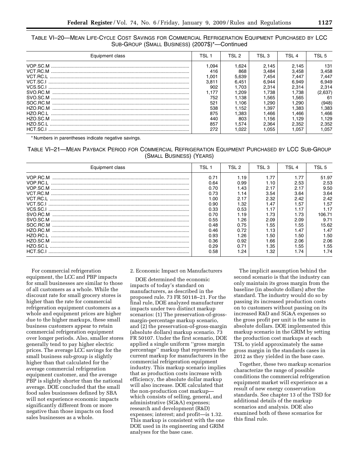TABLE VI–20—MEAN LIFE-CYCLE COST SAVINGS FOR COMMERCIAL REFRIGERATION EQUIPMENT PURCHASED BY LCC SUB-GROUP (SMALL BUSINESS) (2007\$)\*—Continued

| Equipment class | TSL 1 | TSI 2  | TSL 3  | TSL <sub>4</sub> | TSI 5   |
|-----------------|-------|--------|--------|------------------|---------|
|                 | .094  | 624. ا | 2.145  | 2.145            | 131     |
|                 | 416   | 868    | 3.484  | 3.458            | 3,458   |
|                 | .001  | 5.639  | 7.454  | 7.447            | 7.447   |
|                 | 3.811 | 6.451  | 6.944  | 6.949            | 6.949   |
| VCS.SC.I        | 902   | 1.703  | 2.314  | 2.314            | 2.314   |
|                 | .177  | .209   | 1.738  | 1.738            | (2,637) |
|                 | 752   | 1.138  | .565   | 1.565            | 61      |
|                 | 521   | 1.106  | 290. ا | 1.290            | (948)   |
|                 | 538   | 1.152  | . 397  | 1.383            | .383    |
| HZO RC.I        | 875   | .383   | 1.466  | 1.466            | 1.466   |
|                 | 440   | 803    | 1.156  | 1.129            | 1.129   |
| HZO SC.I        | 857   | .574   | 2.364  | 2.352            | 2,352   |
| HCT.SC.I        | 272   | .022   | .055   | l.057            | .057    |

\* Numbers in parentheses indicate negative savings.

## TABLE VI–21—MEAN PAYBACK PERIOD FOR COMMERCIAL REFRIGERATION EQUIPMENT PURCHASED BY LCC SUB-GROUP (SMALL BUSINESS) (YEARS)

| Equipment class | TSL 1 | TSL 2 | TSL 3 | TSL 4            | TSL 5  |
|-----------------|-------|-------|-------|------------------|--------|
| VOP.RC.M        | 0.71  | 1.19  | 1.77  | 1.77             | 51.97  |
| VOP RC L        | 0.64  | 0.99  | 1.10  | 2.53             | 2.53   |
|                 | 0.70  | 1.43  | 2.17  | 2.17             | 9.50   |
| VCT.RC.M        | 0.73  | 1.14  | 3.54  | 3.64             | 3.64   |
|                 | 1.00  | 2.17  | 2.32  | 2.42             | 2.42   |
| VCT.SC.I        | 0.90  | .32   | 1.47  | 1.57             | 1.57   |
| VCS.SC.I        | 0.33  | 0.53  | 1.17  | 1.17             | 1.17   |
| SVO.RC.M        | 0.70  | l.19  | 1.73  | 1.73             | 106.71 |
|                 | 0.55  | .26   | 2.09  | 2.09             | 9.71   |
| SOC RC M        | 0.48  | 0.75  | 1.55  | .55              | 15.62  |
| HZO RC M        | 0.46  | 0.72  | 1.13  | $\overline{.47}$ | 1.47   |
|                 | 0.93  | l.26  | 1.50  | 1.50             | 1.50   |
|                 | 0.36  | 0.92  | 1.66  | 2.06             | 2.06   |
| HZO.SC.L        | 0.29  | 0.71  | 1.35  | 1.55             | 1.55   |
| HCT.SC.         | 0.58  | .24   | l.32  | l.74             | 1.74   |

For commercial refrigeration equipment, the LCC and PBP impacts for small businesses are similar to those of all customers as a whole. While the discount rate for small grocery stores is higher than the rate for commercial refrigeration equipment customers as a whole and equipment prices are higher due to the higher markups, these small business customers appear to retain commercial refrigeration equipment over longer periods. Also, smaller stores generally tend to pay higher electric prices. The average LCC savings for the small business sub-group is slightly higher than that calculated for the average commercial refrigeration equipment customer, and the average PBP is slightly shorter than the national average. DOE concluded that the small food sales businesses defined by SBA will not experience economic impacts significantly different from or more negative than those impacts on food sales businesses as a whole.

#### 2. Economic Impact on Manufacturers

DOE determined the economic impacts of today's standard on manufacturers, as described in the proposed rule. 73 FR 50118–21. For the final rule, DOE analyzed manufacturer impacts under two distinct markup scenarios: (1) The preservation-of-grossmargin-percentage markup scenario, and (2) the preservation-of-gross-margin (absolute dollars) markup scenario. 73 FR 50107. Under the first scenario, DOE applied a single uniform ''gross margin percentage'' markup that represents the current markup for manufacturers in the commercial refrigeration equipment industry. This markup scenario implies that as production costs increase with efficiency, the absolute dollar markup will also increase. DOE calculated that the non-production cost markup which consists of selling, general, and administrative (SG&A) expenses; research and development (R&D) expenses; interest; and profit—is 1.32. This markup is consistent with the one DOE used in its engineering and GRIM analyses for the base case.

The implicit assumption behind the second scenario is that the industry can only maintain its gross margin from the baseline (in absolute dollars) after the standard. The industry would do so by passing its increased production costs on to customers without passing on its increased R&D and SG&A expenses so the gross profit per unit is the same in absolute dollars. DOE implemented this markup scenario in the GRIM by setting the production cost markups at each TSL to yield approximately the same gross margin in the standards cases in 2012 as they yielded in the base case.

Together, these two markup scenarios characterize the range of possible conditions the commercial refrigeration equipment market will experience as a result of new energy conservation standards. See chapter 13 of the TSD for additional details of the markup scenarios and analysis. DOE also examined both of these scenarios for this final rule.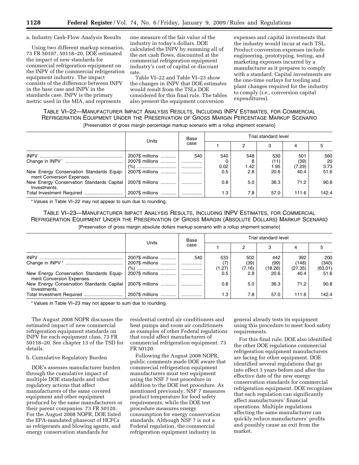a. Industry Cash-Flow Analysis Results

Using two different markup scenarios, 73 FR 50107, 50118–20, DOE estimated the impact of new standards for commercial refrigeration equipment on the INPV of the commercial refrigeration equipment industry. The impact consists of the difference between INPV in the base case and INPV in the standards case. INPV is the primary metric used in the MIA, and represents

one measure of the fair value of the industry in today's dollars. DOE calculated the INPV by summing all of the net cash flows, discounted at the commercial refrigeration equipment industry's cost of capital or discount rate.

Table VI–22 and Table VI–23 show the changes in INPV that DOE estimates would result from the TSLs DOE considered for this final rule. The tables also present the equipment conversion

expenses and capital investments that the industry would incur at each TSL. Product conversion expenses include engineering, prototyping, testing, and marketing expenses incurred by a manufacturer as it prepares to comply with a standard. Capital investments are the one-time outlays for tooling and plant changes required for the industry to comply (*i.e.*, conversion capital expenditures).

## TABLE VI–22—MANUFACTURER IMPACT ANALYSIS RESULTS, INCLUDING INPV ESTIMATES, FOR COMMERCIAL REFRIGERATION EQUIPMENT UNDER THE PRESERVATION OF GROSS MARGIN PERCENTAGE MARKUP SCENARIO [Preservation of gross margin percentage markup scenario with a rollup shipment scenario]

|                                                                       |                 | Base |      |      | Trial standard level |        |       |
|-----------------------------------------------------------------------|-----------------|------|------|------|----------------------|--------|-------|
|                                                                       | Units           | case |      | 2    | 3                    | 4      |       |
|                                                                       | 2007\$ millions | 540  | 540  | 548  | 530                  | 501    | 560   |
|                                                                       | 2007\$ millions | .    |      |      | (11)                 | (39)   | 20    |
|                                                                       |                 | .    | 0.02 | 1.42 | 1.95                 | (7.29) | 3.73  |
| New Energy Conservation Standards Equip-<br>ment Conversion Expenses. | 2007\$ millions | .    | 0.5  | 2.8  | 20.6                 | 40.4   | 51.6  |
| New Energy Conservation Standards Capital<br>Investments.             | 2007\$ millions |      | 0.8  | 5.0  | 36.3                 | 71.2   | 90.8  |
|                                                                       | 2007\$ millions |      | 1.3  | 7.8  | 57.0                 | 111.6  | 142.4 |

\* Values in Table VI–22 may not appear to sum due to rounding.

TABLE VI–23—MANUFACTURER IMPACT ANALYSIS RESULTS, INCLUDING INPV ESTIMATES, FOR COMMERCIAL REFRIGERATION EQUIPMENT UNDER THE PRESERVATION OF GROSS MARGIN (ABSOLUTE DOLLARS) MARKUP SCENARIO [Preservation of gross margin absolute dollars markup scenario with a rollup shipment scenario]

|                                                                       |                 | Base |        |        | Trial standard level |         |         |
|-----------------------------------------------------------------------|-----------------|------|--------|--------|----------------------|---------|---------|
|                                                                       | Units           | case |        |        |                      | 4       |         |
|                                                                       | 2007\$ millions | 540  | 533    | 502    | 442                  | 392     | 200     |
|                                                                       | 2007\$ millions | .    | (7)    | (39)   | (99)                 | (148)   | (340)   |
|                                                                       |                 |      | (1.27) | (7.16) | (18.26)              | (27.35) | (63.01) |
| New Energy Conservation Standards Equip-<br>ment Conversion Expenses. | 2007\$ millions | .    | 0.5    | 2.8    | 20.6                 | 40.4    | 51.6    |
| New Energy Conservation Standards Capital<br>Investments.             | 2007\$ millions | .    | 0.8    | 5.0    | 36.3                 | 71.2    | 90.8    |
|                                                                       | 2007\$ millions | .    | 1.3    | 7.8    | 57.0                 | 111.6   | 142.4   |

\* Values in Table VI–23 may not appear to sum due to rounding.

The August 2008 NOPR discusses the estimated impact of new commercial refrigeration equipment standards on INPV for each equipment class. 73 FR 50118–20. See chapter 13 of the TSD for details.

b. Cumulative Regulatory Burden

DOE's assesses manufacturer burden through the cumulative impact of multiple DOE standards and other regulatory actions that affect manufacturers of the same covered equipment and other equipment produced by the same manufacturers or their parent companies. 73 FR 50120. For the August 2008 NOPR, DOE listed the EPA-mandated phaseout of HCFCs as refrigerants and blowing agents, and energy conservation standards for

residential central air conditioners and heat pumps and room air conditioners as examples of other Federal regulations that could affect manufacturers of commercial refrigeration equipment. 73 FR 50120.

Following the August 2008 NOPR, public comments made DOE aware that commercial refrigeration equipment manufacturers must test equipment using the NSF 7 test procedure in addition to the DOE test procedure. As mentioned previously, NSF 7 measures product temperature for food safety requirements, while the DOE test procedure measures energy consumption for energy conservation standards. Although NSF 7 is not a Federal regulation, the commercial refrigeration equipment industry in

general already tests its equipment using this procedure to meet food safety requirements.

For this final rule, DOE also identified the other DOE regulations commercial refrigeration equipment manufacturers are facing for other equipment. DOE identified several regulations that go into effect 3 years before and after the effective date of the new energy conservation standards for commercial refrigeration equipment. DOE recognizes that each regulation can significantly affect manufacturers' financial operations. Multiple regulations affecting the same manufacturer can quickly reduce manufacturers' profits and possibly cause an exit from the market.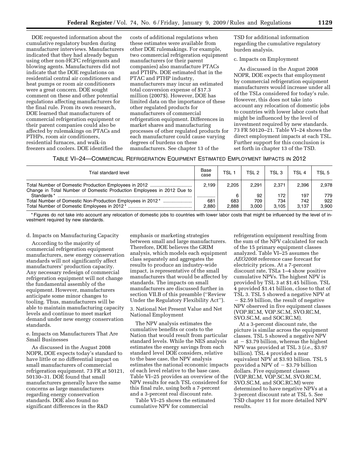DOE requested information about the cumulative regulatory burden during manufacturer interviews. Manufacturers indicated that they had already begun using other non-HCFC refrigerants and blowing agents. Manufacturers did not indicate that the DOE regulations on residential central air conditioners and heat pumps or room air conditioners were a great concern. DOE sought comment on these and other potential regulations affecting manufacturers for the final rule. From its own research, DOE learned that manufacturers of commercial refrigeration equipment or their parent companies could also be affected by rulemakings on PTACs and PTHPs, room air conditioners, residential furnaces, and walk-in freezers and coolers. DOE identified the

costs of additional regulations when these estimates were available from other DOE rulemakings. For example, two commercial refrigeration equipment manufacturers (or their parent companies) also manufacture PTACs and PTHPs. DOE estimated that in the PTAC and PTHP industry, manufacturers may incur an estimated total conversion expense of \$17.3 million (2007\$). However, DOE has limited data on the importance of these other regulated products for manufacturers of commercial refrigeration equipment. Differences in market shares and manufacturing processes of other regulated products for each manufacturer could cause varying degrees of burdens on these manufacturers. See chapter 13 of the

TSD for additional information regarding the cumulative regulatory burden analysis.

#### c. Impacts on Employment

As discussed in the August 2008 NOPR, DOE expects that employment by commercial refrigeration equipment manufacturers would increase under all of the TSLs considered for today's rule. However, this does not take into account any relocation of domestic jobs to countries with lower labor costs that might be influenced by the level of investment required by new standards. 73 FR 50120–21. Table VI–24 shows the direct employment impacts at each TSL. Further support for this conclusion is set forth in chapter 13 of the TSD.

| TABLE VI-24-COMMERCIAL REFRIGERATION EQUIPMENT ESTIMATED EMPLOYMENT IMPACTS IN 2012 |  |
|-------------------------------------------------------------------------------------|--|
|-------------------------------------------------------------------------------------|--|

| Trial standard level                                                   | Base<br>case | <b>TSL</b>   | TSL <sub>2</sub> | TSL 3        | TSL <sub>4</sub> | TSL <sub>5</sub> |
|------------------------------------------------------------------------|--------------|--------------|------------------|--------------|------------------|------------------|
| Change in Total Number of Domestic Production Employees in 2012 Due to | 2.199        | 2.205        | 2.291            | 2.371        | 2.396            | 2.978            |
| Standards*                                                             |              |              | 92               | 172          | 197              | 779              |
| Total Number of Domestic Non-Production Employees in 2012*             | 681<br>2.880 | 683<br>2.888 | 709<br>3.000     | 734<br>3.105 | 742<br>3.137     | 922<br>3.900     |

\* Figures do not take into account any relocation of domestic jobs to countries with lower labor costs that might be influenced by the level of investment required by new standards.

#### d. Impacts on Manufacturing Capacity

According to the majority of commercial refrigeration equipment manufacturers, new energy conservation standards will not significantly affect manufacturers' production capacity. Any necessary redesign of commercial refrigeration equipment will not change the fundamental assembly of the equipment. However, manufacturers anticipate some minor changes to tooling. Thus, manufacturers will be able to maintain manufacturing capacity levels and continue to meet market demand under new energy conservation standards.

e. Impacts on Manufacturers That Are Small Businesses

As discussed in the August 2008 NOPR, DOE expects today's standard to have little or no differential impact on small manufacturers of commercial refrigeration equipment. 73 FR at 50121, 50130–31. DOE found that small manufacturers generally have the same concerns as large manufacturers regarding energy conservation standards. DOE also found no significant differences in the R&D

emphasis or marketing strategies between small and large manufacturers. Therefore, DOE believes the GRIM analysis, which models each equipment class separately and aggregates the results to produce an industry-wide impact, is representative of the small manufacturers that would be affected by standards. The impacts on small manufacturers are discussed further in section VII.B of this preamble (''Review Under the Regulatory Flexibility Act'').

3. National Net Present Value and Net National Employment

The NPV analysis estimates the cumulative benefits or costs to the Nation that would result from particular standard levels. While the NES analysis estimates the energy savings from each standard level DOE considers, relative to the base case, the NPV analysis estimates the national economic impacts of each level relative to the base case. Table VI–25 provides an overview of the NPV results for each TSL considered for this final rule, using both a 7-percent and a 3-percent real discount rate.

Table VI–25 shows the estimated cumulative NPV for commercial

refrigeration equipment resulting from the sum of the NPV calculated for each of the 15 primary equipment classes analyzed. Table VI–25 assumes the *AEO2008* reference case forecast for electricity prices. At a 7-percent discount rate, TSLs 1–4 show positive cumulative NPVs. The highest NPV is provided by TSL 3 at \$1.45 billion. TSL 4 provided \$1.41 billion, close to that of TSL 3. TSL 5 showed a negative NPV at  $-$  \$2.59 billion, the result of negative NPV observed in five equipment classes (VOP.RC.M, VOP.SC.M, SVO.RC.M, SVO.SC.M, and SOC.RC.M).

At a 3-percent discount rate, the picture is similar across the equipment classes. TSL 5 showed a negative NPV at  $-$  \$3.79 billion, whereas the highest NPV was provided at TSL 3 (*i.e.*, \$3.97 billion). TSL 4 provided a near equivalent NPV at \$3.93 billion. TSL 5 provided a NPV of  $-$  \$3.79 billion dollars. Five equipment classes (VOP.RC.M, VOP.SC.M, SVO.RC.M, SVO.SC.M, and SOC.RC.M) were determined to have negative NPVs at a 3-percent discount rate at TSL 5. See TSD chapter 11 for more detailed NPV results.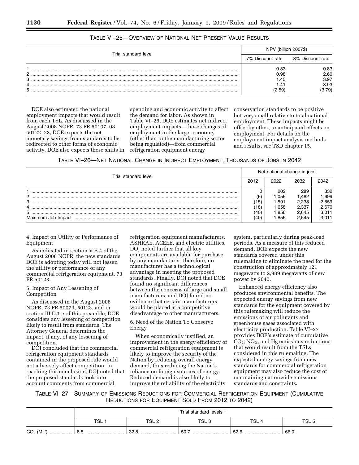|                      | NPV (billion 2007\$)                   |                                        |  |
|----------------------|----------------------------------------|----------------------------------------|--|
| Trial standard level | 7% Discount rate                       | 3% Discount rate                       |  |
| C<br>3<br>4<br>5     | 0.33<br>0.98<br>45.،<br>. 41<br>(2.59) | 0.83<br>2.60<br>3.97<br>3.93<br>(3.79) |  |

## TABLE VI–25—OVERVIEW OF NATIONAL NET PRESENT VALUE RESULTS

DOE also estimated the national employment impacts that would result from each TSL. As discussed in the August 2008 NOPR, 73 FR 50107–08, 50122–23, DOE expects the net monetary savings from standards to be redirected to other forms of economic activity. DOE also expects these shifts in

spending and economic activity to affect the demand for labor. As shown in Table VI–26, DOE estimates net indirect employment impacts—those changes of employment in the larger economy (other than in the manufacturing sector being regulated)—from commercial refrigeration equipment energy

conservation standards to be positive but very small relative to total national employment. These impacts might be offset by other, unanticipated effects on employment. For details on the employment impact analysis methods and results, *see* TSD chapter 15.

| TABLE VI-26-NET NATIONAL CHANGE IN INDIRECT EMPLOYMENT, THOUSANDS OF JOBS IN 2042 |  |  |  |  |
|-----------------------------------------------------------------------------------|--|--|--|--|
|-----------------------------------------------------------------------------------|--|--|--|--|

| Trial standard level |                              | Net national change in jobs                     |                                                 |                                                 |  |
|----------------------|------------------------------|-------------------------------------------------|-------------------------------------------------|-------------------------------------------------|--|
|                      |                              | 2022                                            | 2032                                            | 2042                                            |  |
| 2<br>3<br>4<br>5     | (6)<br>15<br>18<br>40<br>.4C | 202<br>.056<br>. 591<br>1.658<br>1.856<br>1.856 | 289<br>.482<br>2.238<br>2.337<br>2.645<br>2.645 | 332<br>.699<br>2.559<br>2,670<br>3.011<br>3.011 |  |

4. Impact on Utility or Performance of Equipment

As indicated in section V.B.4 of the August 2008 NOPR, the new standards DOE is adopting today will not lessen the utility or performance of any commercial refrigeration equipment. 73 FR 50123.

5. Impact of Any Lessening of Competition

As discussed in the August 2008 NOPR, 73 FR 50079, 50123, and in section III.D.1.e of this preamble, DOE considers any lessening of competition likely to result from standards. The Attorney General determines the impact, if any, of any lessening of competition.

DOJ concluded that the commercial refrigeration equipment standards contained in the proposed rule would not adversely affect competition. In reaching this conclusion, DOJ noted that the proposed standards took into account comments from commercial

refrigeration equipment manufacturers, ASHRAE, ACEEE, and electric utilities. DOJ noted further that all key components are available for purchase by any manufacturer; therefore, no manufacturer has a technological advantage in meeting the proposed standards. Finally, DOJ noted that DOE found no significant differences between the concerns of large and small manufacturers, and DOJ found no evidence that certain manufacturers would be placed at a competitive disadvantage to other manufacturers.

6. Need of the Nation To Conserve Energy

When economically justified, an improvement in the energy efficiency of commercial refrigeration equipment is likely to improve the security of the Nation by reducing overall energy demand, thus reducing the Nation's reliance on foreign sources of energy. Reduced demand is also likely to improve the reliability of the electricity

system, particularly during peak-load periods. As a measure of this reduced demand, DOE expects the new standards covered under this rulemaking to eliminate the need for the construction of approximately 121 megawatts to 2,989 megawatts of new power by 2042.

Enhanced energy efficiency also produces environmental benefits. The expected energy savings from new standards for the equipment covered by this rulemaking will reduce the emissions of air pollutants and greenhouse gases associated with electricity production. Table VI–27 provides DOE's estimate of cumulative  $CO<sub>2</sub>$ , NO<sub>X</sub>, and Hg emissions reductions that would result from the TSLs considered in this rulemaking. The expected energy savings from new standards for commercial refrigeration equipment may also reduce the cost of maintaining nationwide emissions standards and constraints.

TABLE VI–27—SUMMARY OF EMISSIONS REDUCTIONS FOR COMMERCIAL REFRIGERATION EQUIPMENT (CUMULATIVE REDUCTIONS FOR EQUIPMENT SOLD FROM 2012 TO 2042)

|                               | Trial standard levels <sup>††</sup> |          |          |          |       |  |
|-------------------------------|-------------------------------------|----------|----------|----------|-------|--|
|                               | TSL.                                | TSL 2    | TSL 3    | TSL      | TSL 5 |  |
| $CO2$ (Mt <sup>*</sup> )<br>. | $\circ$<br>U.J<br>                  | 32.8<br> | 50.7<br> | 52.6<br> | 66.0. |  |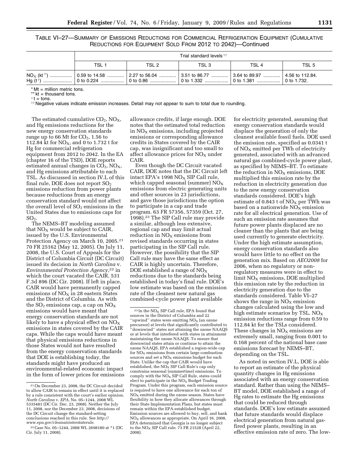TABLE VI–27—SUMMARY OF EMISSIONS REDUCTIONS FOR COMMERCIAL REFRIGERATION EQUIPMENT (CUMULATIVE REDUCTIONS FOR EQUIPMENT SOLD FROM 2012 TO 2042)—Continued

| Trial standard levels ##                                                                                                                          |       |       |       |       |  |  |
|---------------------------------------------------------------------------------------------------------------------------------------------------|-------|-------|-------|-------|--|--|
| TSL 1                                                                                                                                             | TSL 2 | TSL 3 | TSL 4 | TSL 5 |  |  |
| $\mathsf{NO}_{\mathrm{X}}$ (kt **) ………………   0.59 to 14.58 ……………   2.27 to 56.04 …………   3.51 to 86.77 …………   3.64 to 89.97 ……………   4.56 to 112.84. |       |       |       |       |  |  |

\* Mt = million metric tons.

\*\* kt = thousand tons.  $\dagger$  t = tons.

†† Negative values indicate emission increases. Detail may not appear to sum to total due to rounding.

The estimated cumulative  $CO<sub>2</sub>$ , NO<sub>X</sub>, and Hg emissions reductions for the new energy conservation standards range up to 66 Mt for  $CO<sub>2</sub>$ , 1.56 to 112.84 kt for  $NO<sub>x</sub>$ , and 0 to 1.732 t for Hg for commercial refrigeration equipment from 2012 to 2042. In the EA (chapter 16 of the TSD), DOE reports estimated annual changes in  $CO<sub>2</sub>$ ,  $NO<sub>X</sub>$ , and Hg emissions attributable to each TSL. As discussed in section IV.L of this final rule, DOE does not report  $SO<sub>2</sub>$ emissions reduction from power plants because reductions from an energy conservation standard would not affect the overall level of  $SO<sub>2</sub>$  emissions in the United States due to emissions caps for  $SO<sub>2</sub>$ .

The NEMS–BT modeling assumed that  $NO<sub>X</sub>$  would be subject to CAIR, issued by the U.S. Environmental Protection Agency on March 10, 2005.21 70 FR 25162 (May 12, 2005). On July 11, 2008, the U.S. Court of Appeals for the District of Columbia Circuit (DC Circuit) issued its decision in *North Carolina* v. *Environmental Protection Agency*,22 in which the court vacated the CAIR. 531 F.3d 896 (DC Cir. 2008). If left in place, CAIR would have permanently capped emissions of  $NO<sub>x</sub>$  in 28 eastern States and the District of Columbia. As with the  $SO_2$  emissions cap, a cap on  $NO_X$ emissions would have meant that energy conservation standards are not likely to have a physical effect on  $NO<sub>X</sub>$ emissions in states covered by the CAIR caps. While the caps would have meant that physical emissions reductions in those States would not have resulted from the energy conservation standards that DOE is establishing today, the standards might have produced an environmental-related economic impact in the form of lower prices for emissions

allowance credits, if large enough. DOE notes that the estimated total reduction in  $NO<sub>x</sub>$  emissions, including projected emissions or corresponding allowance credits in States covered by the CAIR cap, was insignificant and too small to affect allowance prices for  $NO<sub>X</sub>$  under CAIR.

Even though the DC Circuit vacated CAIR, DOE notes that the DC Circuit left intact EPA's 1998 NO<sub>X</sub> SIP Call rule, which capped seasonal (summer)  $NO<sub>x</sub>$ emissions from electric generating units and other sources in 23 jurisdictions, and gave those jurisdictions the option to participate in a cap and trade program. 63 FR 57356, 57359 (Oct. 27, 1998).23 The SIP Call rule may provide a similar, although less extensive, regional cap and may limit actual reduction in  $NO<sub>x</sub>$  emissions from revised standards occurring in states participating in the SIP Call rule. However, the possibility that the SIP Call rule may have the same effect as CAIR is highly uncertain. Therefore, DOE established a range of  $NO<sub>X</sub>$ reductions due to the standards being established in today's final rule. DOE's low estimate was based on the emission rate of the cleanest new natural gas combined-cycle power plant available

for electricity generated, assuming that energy conservation standards would displace the generation of only the cleanest available fossil fuels. DOE used the emission rate, specified as 0.0341 t of  $NO<sub>x</sub>$  emitted per TWh of electricity generated, associated with an advanced natural gas combined-cycle power plant, as specified by NEMS–BT. To estimate the reduction in  $NO<sub>x</sub>$  emissions, DOE multiplied this emission rate by the reduction in electricity generation due to the new energy conservation standards considered. DOE's high estimate of 0.843 t of  $NO<sub>x</sub>$  per TWh was based on a nationwide  $NO<sub>x</sub>$  emission rate for all electrical generation. Use of such an emission rate assumes that future power plants displaced are no cleaner than the plants that are being used currently to generate electricity. Under the high estimate assumption, energy conservation standards also would have little to no effect on the generation mix. Based on *AEO2008* for 2006, when no regulatory or nonregulatory measures were in effect to  $\lim$ it NO<sub>X</sub> emissions, DOE multiplied this emission rate by the reduction in electricity generation due to the standards considered. Table VI–27 shows the range in  $NO<sub>x</sub>$  emission changes calculated using the low and high estimate scenarios by TSL.  $NO<sub>x</sub>$ emission reductions range from 0.59 to 112.84 kt for the TSLs considered. These changes in  $NO<sub>x</sub>$  emissions are extremely small, ranging from 0.001 to 0.168 percent of the national base case emissions forecast by NEMS–BT, depending on the TSL.

As noted in section IV.L, DOE is able to report an estimate of the physical quantity changes in Hg emissions associated with an energy conservation standard. Rather than using the NEMS– BT model, DOE established a range of Hg rates to estimate the Hg emissions that could be reduced through standards. DOE's low estimate assumed that future standards would displace electrical generation from natural gasfired power plants, resulting in an effective emission rate of zero. The low-

<sup>21</sup>On December 23, 2008, the DC Circuit decided to allow CAIR to remain in effect until it is replaced by a rule consistent with the court's earlier opinion. *North Carolina* v. *EPA*, No. 05–1244, 2008 WL 5335481 (DC Cir. Dec. 23, 2008). Neither the July 11, 2008, nor the December 23, 2008, decisions of the DC Circuit change the standard-setting conclusions reached in this rule. See *http://* 

<sup>&</sup>lt;sup>22</sup> Case No. 05–1244, 2008 WL 2698180 at \*1 (DC Cir. July 11, 2008).

 $23$  In the NO<sub>X</sub> SIP Call rule, EPA found that sources in the District of Columbia and 22 "upwind" states were emitting  $NO<sub>x</sub>$  (an ozone precursor) at levels that significantly contributed to ''downwind'' states not attaining the ozone NAAQS or at levels that interfered with states in attainment maintaining the ozone NAAQS. To ensure that downwind states attain or continue to attain the ozone NAAQS, EPA established a region-wide cap for  $NO<sub>x</sub>$  emissions from certain large combustion sources and set a  $NO<sub>x</sub>$  emissions budget for each State. Unlike the cap that CAIR would have established, the  $NO_X$  SIP Call Rule's cap only constrains seasonal (summertime) emissions. To comply with the  $NO<sub>x</sub>$  SIP Call Rule, states could elect to participate in the  $NO<sub>x</sub>$  Budget Trading Program. Under this program, each emission source is required to have one allowance for each ton of  $NO<sub>x</sub>$  emitted during the ozone season. States have flexibility in how they allocate allowances through their State Implementation Plans, but states must remain within the EPA-established budget. Emission sources are allowed to buy, sell, and bank  $NO<sub>x</sub>$  allowances as appropriate. On April 16, 2008, EPA determined that Georgia is no longer subject to the  $NO<sub>x</sub>$  SIP Call rule. 73 FR 21528 (April 22, 2008).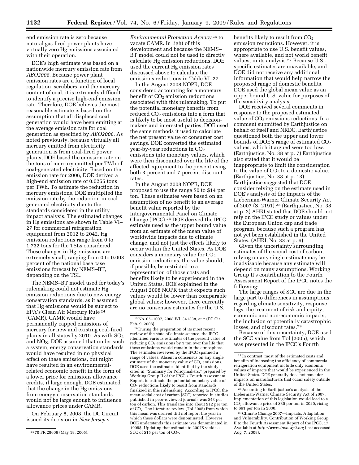end emission rate is zero because natural gas-fired power plants have virtually zero Hg emissions associated with their operation.

DOE's high estimate was based on a nationwide mercury emission rate from *AEO2008*. Because power plant emission rates are a function of local regulation, scrubbers, and the mercury content of coal, it is extremely difficult to identify a precise high-end emission rate. Therefore, DOE believes the most reasonable estimate is based on the assumption that all displaced coal generation would have been emitting at the average emission rate for coal generation as specified by *AEO2008*. As noted previously, because virtually all mercury emitted from electricity generation is from coal-fired power plants, DOE based the emission rate on the tons of mercury emitted per TWh of coal-generated electricity. Based on the emission rate for 2006, DOE derived a high-end emission rate of 0.0255 tons per TWh. To estimate the reduction in mercury emissions, DOE multiplied the emission rate by the reduction in coalgenerated electricity due to the standards considered in the utility impact analysis. The estimated changes in Hg emissions are shown in Table VI– 27 for commercial refrigeration equipment from 2012 to 2042. Hg emission reductions range from 0 to 1.732 tons for the TSLs considered. These changes in Hg emissions are extremely small, ranging from 0 to 0.003 percent of the national base case emissions forecast by NEMS–BT, depending on the TSL.

The NEMS–BT model used for today's rulemaking could not estimate Hg emission reductions due to new energy conservation standards, as it assumed that Hg emissions would be subject to EPA's Clean Air Mercury Rule 24 (CAMR). CAMR would have permanently capped emissions of mercury for new and existing coal-fired plants in all states by 2010. As with  $SO<sub>2</sub>$ and  $NO<sub>X</sub>$ , DOE assumed that under such a system, energy conservation standards would have resulted in no physical effect on these emissions, but might have resulted in an environmentalrelated economic benefit in the form of a lower price for emissions allowance credits, if large enough. DOE estimated that the change in the Hg emissions from energy conservation standards would not be large enough to influence allowance prices under CAMR.

On February 8, 2008, the DC Circuit issued its decision in *New Jersey* v.

*Environmental Protection Agency* 25 to vacate CAMR. In light of this development and because the NEMS– BT model could not be used to directly calculate Hg emission reductions, DOE used the current Hg emission rates discussed above to calculate the emissions reductions in Table VI–27.

In the August 2008 NOPR, DOE considered accounting for a monetary benefit of  $CO<sub>2</sub>$  emission reductions associated with this rulemaking. To put the potential monetary benefits from reduced  $CO<sub>2</sub>$  emissions into a form that is likely to be most useful to decisionmakers and interested parties, DOE used the same methods it used to calculate the net present value of consumer cost savings. DOE converted the estimated year-by-year reductions in  $CO<sub>2</sub>$ emissions into monetary values, which were then discounted over the life of the affected equipment to the present using both 3-percent and 7-percent discount rates.

In the August 2008 NOPR, DOE proposed to use the range \$0 to \$14 per ton. These estimates were based on an assumption of no benefit to an average benefit value reported by the Intergovernmental Panel on Climate Change (IPCC).26 DOE derived the IPCC estimate used as the upper bound value from an estimate of the mean value of worldwide impacts due to climate change, and not just the effects likely to occur within the United States. As DOE considers a monetary value for  $CO<sub>2</sub>$ emission reductions, the value should, if possible, be restricted to a representation of those costs and benefits likely to be experienced in the United States. DOE explained in the August 2008 NOPR that it expects such values would be lower than comparable global values; however, there currently are no consensus estimates for the U.S.

26 During the preparation of its most recent review of the state of climate science, the IPCC identified various estimates of the present value of reducing  $CO<sub>2</sub>$  emissions by 1 ton over the life that these emissions would remain in the atmosphere. The estimates reviewed by the IPCC spanned a range of values. Absent a consensus on any single estimate of the monetary value of  $CO<sub>2</sub>$  emissions, DOE used the estimates identified by the study cited in ''Summary for Policymakers,'' prepared by Working Group II of the IPCC's Fourth Assessment Report, to estimate the potential monetary value of  $CO<sub>2</sub>$  reductions likely to result from standards finalized in this rulemaking. According to IPCC, the mean social cost of carbon (SCC) reported in studies published in peer-reviewed journals was \$43 per ton of carbon. This translates into about \$12 per ton of CO<sub>2</sub>. The literature review (Tol 2005) from which this mean was derived did not report the year in which these dollars were denominated. However, DOE understands this estimate was denominated in 1995\$. Updating that estimate to 2007\$ yields a SCC of  $$15$  per ton of CO<sub>2</sub>.

benefits likely to result from  $CO<sub>2</sub>$ emission reductions. However, it is appropriate to use U.S. benefit values, where available, and not world benefit values, in its analysis.27 Because U.S. specific estimates are unavailable, and DOE did not receive any additional information that would help narrow the proposed range of domestic benefits, DOE used the global mean value as an upper bound U.S. value for purposes of the sensitivity analysis.

DOE received several comments in response to the proposed estimated value of  $CO<sub>2</sub>$  emissions reductions. In a comment submitted by Earthjustice on behalf of itself and NRDC, Earthjustice questioned both the upper and lower bounds of DOE's range of estimated  $CO<sub>2</sub>$ values, which it argued were too low. (Earthjustice, No. 38 at p. 7) Earthjustice also stated that it would be inappropriate to limit the consideration to the value of  $CO<sub>2</sub>$  to a domestic value. (Earthjustice, No. 38 at p. 13) Earthjustice suggested that DOE consider relying on the estimate used in DOE's analysis of the impacts of the Lieberman-Warner Climate Security Act of 2007 (S. 2191).28 (Earthjustice, No. 38 at p. 2) AHRI stated that DOE should not rely on the IPCC study or values under the European Union cap and trade program, because such a program has not yet been established in the United States. (AHRI, No. 33 at p. 6)

Given the uncertainty surrounding estimates of the social cost of carbon, relying on any single estimate may be inadvisable because any estimate will depend on many assumptions. Working Group II's contribution to the Fourth Assessment Report of the IPCC notes the following:

The large ranges of SCC are due in the large part to differences in assumptions regarding climate sensitivity, response lags, the treatment of risk and equity, economic and non-economic impacts, the inclusion of potentially catastrophic losses, and discount rates.29

Because of this uncertainty, DOE used the SCC value from Tol (2005), which was presented in the IPCC's Fourth

28According to Earthjustice's analysis of the Lieberman-Warner Climate Security Act of 2007, implementation of this legislation would lead to a CO2 allowance price of \$30 per ton in 2020, rising to \$61 per ton in 2030.

<sup>24</sup> 70 FR 28606 (May 18, 2005).

<sup>25</sup>No. 05–1097, 2008 WL 341338, at \* (DC Cir. Feb. 9, 2008).

<sup>27</sup> In contrast, most of the estimated costs and benefits of increasing the efficiency of commercial refrigeration equipment include only economic values of impacts that would be experienced in the United States. DOE generally does not consider impacts on manufacturers that occur solely outside of the United States.

<sup>29</sup>Climate Change 2007—Impacts, Adaptation and Vulnerability. Contribution of Working Group II to the Fourth Assessment Report of the IPCC, 17. Available at *http://www.ipcc-wg2.org* (last accessed Aug. 7, 2008).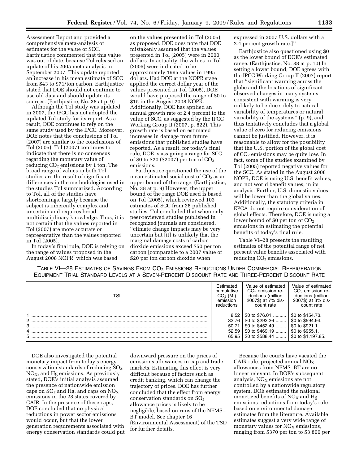Assessment Report and provided a comprehensive meta-analysis of estimates for the value of SCC. Earthjustice commented that this value was out of date, because Tol released an update of his 2005 meta-analysis in September 2007. This update reported an increase in his mean estimate of SCC from \$43 to \$71/ton carbon. Earthjustice stated that DOE should not continue to use old data and should update its sources. (Earthjustice, No. 38 at p. 9)

Although the Tol study was updated in 2007, the IPCC has not adopted the updated Tol study for its report. As a result, DOE continues to rely on the same study used by the IPCC. Moreover, DOE notes that the conclusions of Tol (2007) are similar to the conclusions of Tol (2005). Tol (2007) continues to indicate that there is no consensus regarding the monetary value of reducing  $CO<sub>2</sub>$  emissions by 1 ton. The broad range of values in both Tol studies are the result of significant differences in the methodologies used in the studies Tol summarized. According to Tol, all of the studies have shortcomings, largely because the subject is inherently complex and uncertain and requires broad multidisciplinary knowledge. Thus, it is not certain that the values reported in Tol (2007) are more accurate or representative than the values reported in Tol (2005).

In today's final rule, DOE is relying on the range of values proposed in the August 2008 NOPR, which was based

on the values presented in Tol (2005), as proposed. DOE does note that DOE mistakenly assumed that the values presented in Tol (2005) were in 2000 dollars. In actuality, the values in Tol (2005) were indicated to be approximately 1995 values in 1995 dollars. Had DOE at the NOPR stage applied the correct dollar year of the values presented in Tol (2005), DOE would have proposed the range of \$0 to \$15 in the August 2008 NOPR. Additionally, DOE has applied an annual growth rate of 2.4 percent to the value of SCC, as suggested by the IPCC Working Group II (2007, p. 822). This growth rate is based on estimated increases in damage from future emissions that published studies have reported. As a result, for today's final rule, DOE is assigning a range for SCC of \$0 to \$20 (\$2007) per ton of  $CO<sub>2</sub>$ emissions.

Earthjustice questioned the use of the mean estimated social cost of  $CO<sub>2</sub>$  as an upper bound of the range. (Earthjustice, No. 38 at p. 9) However, the upper bound of the range DOE used is based on Tol (2005), which reviewed 103 estimates of SCC from 28 published studies. Tol concluded that when only peer-reviewed studies published in recognized journals are considered, ''climate change impacts may be very uncertain but [it] is unlikely that the marginal damage costs of carbon dioxide emissions exceed \$50 per ton carbon [comparable to a 2007 value of \$20 per ton carbon dioxide when

expressed in 2007 U.S. dollars with a 2.4 percent growth rate.]''

Earthjustice also questioned using \$0 as the lower bound of DOE's estimated range. (Earthjustice, No. 38 at p. 10) In setting a lower bound, DOE agrees with the IPCC Working Group II (2007) report that ''significant warming across the globe and the locations of significant observed changes in many systems consistent with warming is very unlikely to be due solely to natural variability of temperatures or natural variability of the systems'' (p. 9), and thus tentatively concludes that a global value of zero for reducing emissions cannot be justified. However, it is reasonable to allow for the possibility that the U.S. portion of the global cost of CO<sub>2</sub> emissions may be quite low. In fact, some of the studies examined by Tol (2005) reported negative values for the SCC. As stated in the August 2008 NOPR, DOE is using U.S. benefit values, and not world benefit values, in its analysis. Further, U.S. domestic values will be lower than the global values. Additionally, the statutory criteria in EPCA do not require consideration of global effects. Therefore, DOE is using a lower bound of \$0 per ton of  $CO<sub>2</sub>$ emissions in estimating the potential benefits of today's final rule.

Table VI–28 presents the resulting estimates of the potential range of net present value benefits associated with reducing  $CO<sub>2</sub>$  emissions.

|                                                                                                  |  | TABLE VI-28 ESTIMATES OF SAVINGS FROM $CO2$ EMISSIONS REDUCTIONS UNDER COMMERCIAL REFRIGERATION |
|--------------------------------------------------------------------------------------------------|--|-------------------------------------------------------------------------------------------------|
| EQUIPMENT TRIAL STANDARD LEVELS AT A SEVEN-PERCENT DISCOUNT RATE AND THREE-PERCENT DISCOUNT RATE |  |                                                                                                 |

| TSL            | Estimated<br>cumulative<br>$CO2$ (Mt)<br>emission<br>reductions | Value of estimated<br>CO <sub>2</sub> emission re-<br>ductions (million<br>2007\$) at 7% dis-<br>count rate | Value of estimated<br>$CO2$ emission re-<br>ductions (million<br>2007\$) at 3% dis-<br>count rate |
|----------------|-----------------------------------------------------------------|-------------------------------------------------------------------------------------------------------------|---------------------------------------------------------------------------------------------------|
|                | 8.52                                                            | \$0 to \$76.01                                                                                              | \$0 to \$154.73.                                                                                  |
| $\overline{2}$ | 32.76                                                           | \$0 to $$292.26$                                                                                            | \$0 to \$594.94.                                                                                  |
| 3              | 50.71                                                           | \$0 to $$452.49$                                                                                            | \$0 to \$921.1.                                                                                   |
|                | 52.59                                                           | \$0 to $$469.19$                                                                                            | \$0 to \$955.1.                                                                                   |
| 5              | 65.95                                                           | \$0 to $$588.44$                                                                                            | \$0 to \$1,197.85.                                                                                |

DOE also investigated the potential monetary impact from today's energy conservation standards of reducing  $SO_2$ ,  $NO<sub>x</sub>$ , and Hg emissions. As previously stated, DOE's initial analysis assumed the presence of nationwide emission caps on  $SO_2$  and Hg, and caps on  $NO_X$ emissions in the 28 states covered by CAIR. In the presence of these caps, DOE concluded that no physical reductions in power sector emissions would occur, but that the lower generation requirements associated with energy conservation standards could put

downward pressure on the prices of emissions allowances in cap and trade markets. Estimating this effect is very difficult because of factors such as credit banking, which can change the trajectory of prices. DOE has further concluded that the effect from energy conservation standards on  $SO<sub>2</sub>$ allowance prices is likely to be negligible, based on runs of the NEMS– BT model. See chapter 16 (Environmental Assessment) of the TSD for further details.

Because the courts have vacated the CAIR rule, projected annual NOX allowances from NEMS–BT are no longer relevant. In DOE's subsequent analysis,  $NO<sub>x</sub>$  emissions are not controlled by a nationwide regulatory system. DOE estimated the national monetized benefits of  $NO<sub>X</sub>$  and Hg emissions reductions from today's rule based on environmental damage estimates from the literature. Available estimates suggest a very wide range of monetary values for  $NO<sub>x</sub>$  emissions, ranging from \$370 per ton to \$3,800 per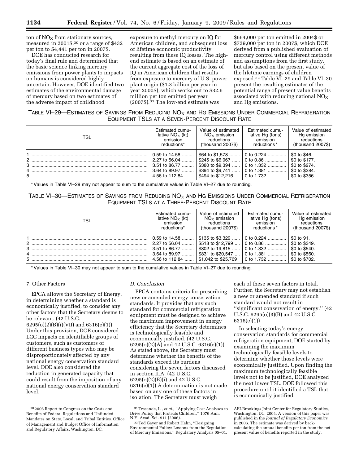ton of  $NO<sub>x</sub>$  from stationary sources, measured in 2001\$,30 or a range of \$432 per ton to \$4,441 per ton in 2007\$.

DOE has conducted research for today's final rule and determined that the basic science linking mercury emissions from power plants to impacts on humans is considered highly uncertain. However, DOE identified two estimates of the environmental damage of mercury based on two estimates of the adverse impact of childhood

exposure to methyl mercury on IQ for American children, and subsequent loss of lifetime economic productivity resulting from these IQ losses. The highend estimate is based on an estimate of the current aggregate cost of the loss of IQ in American children that results from exposure to mercury of U.S. power plant origin (\$1.3 billion per year in year 2000\$), which works out to \$32.6 million per ton emitted per year (2007\$).31 The low-end estimate was

\$664,000 per ton emitted in 2004\$ or \$729,000 per ton in 2007\$, which DOE derived from a published evaluation of mercury control using different methods and assumptions from the first study, but also based on the present value of the lifetime earnings of children exposed.32 Table VI–29 and Table VI–30 present the resulting estimates of the potential range of present value benefits associated with reducing national  $NO<sub>x</sub>$ and Hg emissions.

## TABLE VI-29—ESTIMATES OF SAVINGS FROM REDUCING  $NO<sub>X</sub>$  and HG EMISSIONS UNDER COMMERCIAL REFRIGERATION EQUIPMENT TSLS AT A SEVEN-PERCENT DISCOUNT RATE

| TSL                  | Estimated cumu-                                                                      | Value of estimated                                                                                                                    | Estimated cumu-                                                | Value of estimated                                                               |
|----------------------|--------------------------------------------------------------------------------------|---------------------------------------------------------------------------------------------------------------------------------------|----------------------------------------------------------------|----------------------------------------------------------------------------------|
|                      | lative $NO_x$ (kt)                                                                   | $NO_x$ emission                                                                                                                       | lative Hg (tons)                                               | Hg emission                                                                      |
|                      | emission                                                                             | reductions                                                                                                                            | emission                                                       | reductions                                                                       |
|                      | reductions*                                                                          | $(housand 2007\$                                                                                                                      | reductions*                                                    | $(housand 2007\$                                                                 |
| $2$ .<br>3<br>4<br>5 | 0.59 to $14.58$<br>2.27 to 56.04<br>3.51 to 86.77<br>3.64 to 89.97<br>4.56 to 112.84 | \$64 to \$1.578<br>$\frac{1}{2}$ \$245 to \$6.067  0 to 0.86<br>\$380 to \$9.394<br>\$394 to \$9.741<br>\$494 to \$12.216  0 to 1.732 | $\vert$ 0 to 0.224<br>$\vert$ 0 to 1.332<br>$\vert$ 0 to 1.381 | \$0 to \$46.<br>\$0 to \$177.<br>\$0 to \$274.<br>\$0 to \$284.<br>\$0 to \$356. |

\* Values in Table VI–29 may not appear to sum to the cumulative values in Table VI–27 due to rounding.

TABLE VI-30—ESTIMATES OF SAVINGS FROM REDUCING  $N\overline{O_X}$  and Hg Emissions Under Commercial Refrigeration EQUIPMENT TSLS AT A THREE-PERCENT DISCOUNT RATE

| TSL    | Estimated cumu-                                                                      | Value of estimated                                                                                       | Estimated cumu-                                                                                     | Value of estimated                                                             |
|--------|--------------------------------------------------------------------------------------|----------------------------------------------------------------------------------------------------------|-----------------------------------------------------------------------------------------------------|--------------------------------------------------------------------------------|
|        | lative $NO_x$ (kt)                                                                   | $NOx$ emission                                                                                           | lative Hg (tons)                                                                                    | Hg emission                                                                    |
|        | emission                                                                             | reductions                                                                                               | emission                                                                                            | reductions                                                                     |
|        | reductions*                                                                          | $(housand 2007\$                                                                                         | reductions*                                                                                         | (thousand 2007\$)                                                              |
| 3<br>5 | 0.59 to $14.58$<br>2.27 to 56.04<br>3.51 to 86.77<br>3.64 to 89.97<br>4.56 to 112.84 | $$135$ to $$3.329$<br>\$518 to \$12,799<br>\$802 to $19.815$<br>\$831 to \$20.547<br>\$1.042 to \$25.769 | $\vert$ 0 to 0.224<br>$\vert$ 0 to 0.86<br>$\vert$ 0 to 1.332<br>$\vert$ 0 to 1.381<br>0 to $1.732$ | \$0 to 91.<br>\$0 to \$349.<br>\$0 to \$540.<br>\$0 to \$560.<br>\$0 to \$702. |

\* Values in Table VI–30 may not appear to sum to the cumulative values in Table VI–27 due to rounding.

## 7. Other Factors

EPCA allows the Secretary of Energy, in determining whether a standard is economically justified, to consider any other factors that the Secretary deems to be relevant. (42 U.S.C. 6295(o)(2)(B)(i)(VII) and 6316(e)(1)) Under this provision, DOE considered LCC impacts on identifiable groups of customers, such as customers of different business types who may be disproportionately affected by any national energy conservation standard level. DOE also considered the reduction in generated capacity that could result from the imposition of any national energy conservation standard level.

#### *D. Conclusion*

EPCA contains criteria for prescribing new or amended energy conservation standards. It provides that any such standard for commercial refrigeration equipment must be designed to achieve the maximum improvement in energy efficiency that the Secretary determines is technologically feasible and economically justified. (42 U.S.C. 6295(o)(2)(A) and 42 U.S.C. 6316(e)(1)) As stated above, the Secretary must determine whether the benefits of the standards exceed its burdens considering the seven factors discussed in section II.A. (42 U.S.C. 6295(o)(2)(B)(i) and 42 U.S.C. 6316(e)(1)) A determination is not made based on any one of these factors in isolation. The Secretary must weigh

each of these seven factors in total. Further, the Secretary may not establish a new or amended standard if such standard would not result in ''significant conservation of energy.'' (42 U.S.C. 6295(o)(3)(B) and 42 U.S.C. 6316(e)(1))

In selecting today's energy conservation standards for commercial refrigeration equipment, DOE started by examining the maximum technologically feasible levels to determine whether those levels were economically justified. Upon finding the maximum technologically feasible levels not to be justified, DOE analyzed the next lower TSL. DOE followed this procedure until it identified a TSL that is economically justified.

<sup>30</sup> 2006 Report to Congress on the Costs and Benefits of Federal Regulations and Unfunded Mandates on State, Local, and Tribal Entities. Office of Management and Budget Office of Information and Regulatory Affairs, Washington, DC.

<sup>&</sup>lt;sup>31</sup> Trasande, L., *et al.*, "Applying Cost Analyses to Drive Policy that Protects Children," 1076 Ann.

N.Y. Acad. Sci. 911 (2006). 32Ted Gayer and Robert Hahn, ''Designing Environmental Policy: Lessons from the Regulation of Mercury Emissions,'' Regulatory Analysis 05–01.

AEI-Brookings Joint Center for Regulatory Studies, Washington, DC, 2004. A version of this paper was published in the *Journal of Regulatory Economics*  in 2006. The estimate was derived by backcalculating the annual benefits per ton from the net present value of benefits reported in the study.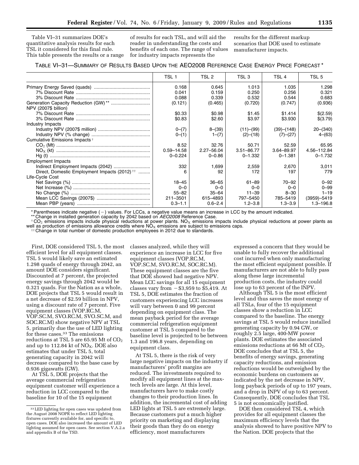Table VI–31 summarizes DOE's quantitative analysis results for each TSL it considered for this final rule. This table presents the results or a range

of results for each TSL, and will aid the reader in understanding the costs and benefits of each one. The range of values for industry impacts represents the

results for the different markup scenarios that DOE used to estimate manufacturer impacts.

#### TABLE VI–31—SUMMARY OF RESULTS BASED UPON THE AEO2008 REFERENCE CASE ENERGY PRICE FORECAST \*

|                                                          | TSL 1          | TSL 2          | TSL <sub>3</sub> | TSL 4       | TSL <sub>5</sub> |
|----------------------------------------------------------|----------------|----------------|------------------|-------------|------------------|
|                                                          | 0.168          | 0.645          | 1.013            | 1.035       | 1.298            |
|                                                          | 0.041          | 0.159          | 0.250            | 0.256       | 0.321            |
|                                                          | 0.088          | 0.339          | 0.532            | 0.544       | 0.683            |
|                                                          | (0.121)        | (0.465)        | (0.720)          | (0.747)     | (0.936)          |
| NPV (2007\$ billion)                                     |                |                |                  |             |                  |
|                                                          | \$0.33         | \$0.98         | \$1.45           | \$1.414     | \$(2.59)         |
|                                                          | \$0.83         | \$2.60         | \$3.97           | \$3.930     | \$(3.79)         |
| Industry Impacts                                         |                |                |                  |             |                  |
|                                                          | $0-(7)$        | $8-(39)$       | (11)–(99)        | (39)–(148)  | $20-(340)$       |
|                                                          | $0-(1)$        | $1-(7)$        | (2)–(18)         | (7)–(27)    | $4-(63)$         |
| Cumulative Emissions Impacts +                           |                |                |                  |             |                  |
|                                                          | 8.52           | 32.76          | 50.71            | 52.59       | 65.95            |
|                                                          | $0.59 - 14.58$ | $2.27 - 56.04$ | $3.51 - 86.77$   | 3.64-89.97  | 4.56-112.84      |
|                                                          | $0 - 0.224$    | $0 - 0.86$     | $0 - 1.332$      | $0 - 1.381$ | $0 - 1.732$      |
| <b>Employment Impacts</b>                                |                |                |                  |             |                  |
|                                                          | 332            | 1,699          | 2,559            | 2,670       | 3,011            |
| Direct, Domestic Employment Impacts (2012) <sup>††</sup> | 6              | 92             | 172              | 197         | 779              |
| Life-Cycle Cost                                          |                |                |                  |             |                  |
|                                                          | $18 - 45$      | $36 - 65$      | $61 - 89$        | $70 - 92$   | $0 - 92$         |
|                                                          | $0 - 0$        | $0 - 0$        | $0 - 0$          | $0 - 0$     | $0 - 99$         |
|                                                          | $55 - 82$      | $35 - 64$      | $11 - 39$        | $8 - 30$    | $1 - 19$         |
|                                                          | 211-3501       | 615-4893       | 797-5450         | 785-5419    | $(3959) - 5419$  |
|                                                          | $0.3 - 1.1$    | $0.6 - 2.4$    | $1.2 - 3.8$      | $1.3 - 3.9$ | $1.3 - 196.8$    |

\* Parentheses indicate negative ( - ) values. For LCCs, a negative value means an increase in LCC by the amount indicated.<br>\*\* Change in installed generation capacity by 2042 based on *AEO2008* Reference Case.

 $^+\text{CO}_2$  emissions impacts include physical reductions at power plants. NO<sub>x</sub> emissions impacts include physical reductions at power plants as well as production of emissions allowance credits where  $N_{\text{X}}$  emissions are subject to emissions caps.  $\ddot{\text{H}}$  Change in total number of domestic production employees in 2012 due to standards.

First, DOE considered TSL 5, the most efficient level for all equipment classes. TSL 5 would likely save an estimated 1.298 quads of energy through 2042, an amount DOE considers significant. Discounted at 7 percent, the projected energy savings through 2042 would be 0.321 quads. For the Nation as a whole, DOE projects that TSL 5 would result in a net decrease of \$2.59 billion in NPV, using a discount rate of 7 percent. Five equipment classes (VOP.RC.M, VOP.SC.M, SVO.RC.M, SVO.SC.M, and SOC.RC.M) show negative NPV at TSL 5, primarily due the use of LED lighting for these cases.33 The emissions reductions at TSL 5 are 65.95 Mt of CO<sub>2</sub> and up to  $112.84$  kt of NO<sub>X</sub>. DOE also estimates that under TSL 5, total generating capacity in 2042 will decrease compared to the base case by 0.936 gigawatts (GW).

At TSL 5, DOE projects that the average commercial refrigeration equipment customer will experience a reduction in LCC compared to the baseline for 10 of the 15 equipment

classes analyzed, while they will experience an increase in LCC for five equipment classes (VOP.RC.M, VOP.SC.M, SVO.RC.M, SOC.RC.M). These equipment classes are the five that DOE showed had negative NPV. Mean LCC savings for all 15 equipment classes vary from  $-$  \$3,959 to \$5,419. At TSL 5, DOE estimates the fraction of customers experiencing LCC increases will vary between 0 and 99 percent depending on equipment class. The mean payback period for the average commercial refrigeration equipment customer at TSL 5 compared to the baseline level is projected to be between 1.3 and 196.8 years, depending on equipment class.

At TSL 5, there is the risk of very large negative impacts on the industry if manufacturers' profit margins are reduced. The investments required to modify all equipment lines at the maxtech levels are large. At this level, manufacturers have to make costly changes to their production lines. In addition, the incremental cost of adding LED lights at TSL 5 are extremely large. Because customers put a much higher priority on marketing and displaying their goods than they do on energy efficiency, most manufacturers

expressed a concern that they would be unable to fully recover the additional cost incurred when only manufacturing the most efficient equipment possible. If manufacturers are not able to fully pass along these large incremental production costs, the industry could lose up to 63 percent of the INPV.

Although TSL 5 is the most efficient level and thus saves the most energy of all TSLs, four of the 15 equipment classes show a reduction in LCC compared to the baseline. The energy savings at TSL 5 would reduce installed generating capacity by 0.94 GW, or roughly 2.5 large, 400-MW power plants. DOE estimates the associated emissions reductions at 66 Mt of  $CO<sub>2</sub>$ . DOE concludes that at TSL 5, the benefits of energy savings, generating capacity reductions, and emission reductions would be outweighed by the economic burdens on customers as indicated by the net decrease in NPV, long payback periods of up to 197 years, and a drop in INPV of up to 63 percent. Consequently, DOE concludes that TSL 5 is not economically justified.

DOE then considered TSL 4, which provides for all equipment classes the maximum efficiency levels that the analysis showed to have positive NPV to the Nation. DOE projects that the

<sup>33</sup>LED lighting for open cases was updated from the August 2008 NOPR to reflect LED lighting fixtures currently available for, and specific to, open cases. DOE also increased the amount of LED lighting assumed for open cases. See section V.A.2.a and appendix B of the TSD.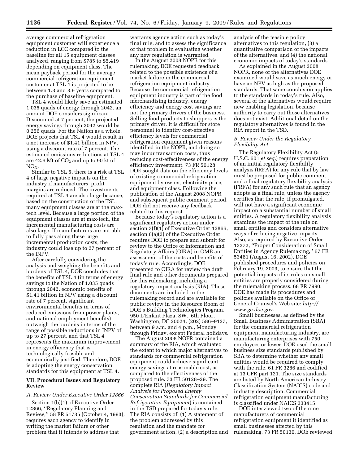average commercial refrigeration equipment customer will experience a reduction in LCC compared to the baseline for all 15 equipment classes analyzed, ranging from \$785 to \$5,419 depending on equipment class. The mean payback period for the average commercial refrigeration equipment customer at TSL 4 is projected to be between 1.3 and 3.9 years compared to the purchase of baseline equipment.

TSL 4 would likely save an estimated 1.035 quads of energy through 2042, an amount DOE considers significant. Discounted at 7 percent, the projected energy savings through 2042 would be 0.256 quads. For the Nation as a whole, DOE projects that TSL 4 would result in a net increase of \$1.41 billion in NPV, using a discount rate of 7 percent. The estimated emissions reductions at TSL 4 are 42.6 Mt of  $CO<sub>2</sub>$  and up to 90 kt of  $NO<sub>X</sub>$ .

Similar to TSL 5, there is a risk at TSL 4 of large negative impacts on the industry if manufacturers' profit margins are reduced. The investments required at TSL 4 are also large because, based on the construction of the TSL, many equipment classes are at the maxtech level. Because a large portion of the equipment classes are at max-tech, the incremental manufacturing costs are also large. If manufacturers are not able to fully pass along these large incremental production costs, the industry could lose up to 27 percent of the INPV.

After carefully considering the analysis and weighing the benefits and burdens of TSL 4, DOE concludes that the benefits of TSL 4 (in terms of energy savings to the Nation of 1.035 quads through 2042, economic benefits of \$1.41 billion in NPV using a discount rate of 7 percent, significant environmental benefits in terms of reduced emissions from power plants, and national employment benefits) outweigh the burdens in terms of the range of possible reductions in INPV of up to 27 percent, and that TSL 4 represents the maximum improvement in energy efficiency that is technologically feasible and economically justified. Therefore, DOE is adopting the energy conservation standards for this equipment at TSL 4.

#### **VII. Procedural Issues and Regulatory Review**

#### *A. Review Under Executive Order 12866*

Section 1(b)(1) of Executive Order 12866, ''Regulatory Planning and Review,'' 58 FR 51735 (October 4, 1993), requires each agency to identify in writing the market failure or other problem that it intends to address that

warrants agency action such as today's final rule, and to assess the significance of that problem in evaluating whether any new regulation is warranted.

In the August 2008 NOPR for this rulemaking, DOE requested feedback related to the possible existence of a market failure in the commercial refrigeration equipment industry. Because the commercial refrigeration equipment industry is part of the food merchandising industry, energy efficiency and energy cost savings are not the primary drivers of the business. Selling food products to shoppers is the primary driver. It is difficult for store personnel to identify cost-effective efficiency levels for commercial refrigeration equipment given reasons identified in the NOPR, and doing so may incur transaction costs, thus reducing cost-effectiveness of the energy efficiency investment. 73 FR 50128. DOE sought data on the efficiency levels of existing commercial refrigeration equipment by owner, electricity price, and equipment class. Following the publication of the August 2008 NOPR and subsequent public comment period, DOE did not receive any feedback related to this request.

Because today's regulatory action is a significant regulatory action under section 3(f)(1) of Executive Order 12866, section 6(a)(3) of the Executive Order requires DOE to prepare and submit for review to the Office of Information and Regulatory Affairs (OIRA) in OMB an assessment of the costs and benefits of today's rule. Accordingly, DOE presented to OIRA for review the draft final rule and other documents prepared for this rulemaking, including a regulatory impact analysis (RIA). These documents are included in the rulemaking record and are available for public review in the Resource Room of DOE's Building Technologies Program, 950 L'Enfant Plaza, SW., 6th Floor, Washington, DC 20024, (202) 586–9127, between 9 a.m. and 4 p.m., Monday through Friday, except Federal holidays.

The August 2008 NOPR contained a summary of the RIA, which evaluated the extent to which major alternatives to standards for commercial refrigeration equipment could achieve significant energy savings at reasonable cost, as compared to the effectiveness of the proposed rule. 73 FR 50128–29. The complete RIA (*Regulatory Impact Analysis for Proposed Energy Conservation Standards for Commercial Refrigeration Equipment*) is contained in the TSD prepared for today's rule. The RIA consists of: (1) A statement of the problem addressed by this regulation and the mandate for government action, (2) a description and analysis of the feasible policy alternatives to this regulation, (3) a quantitative comparison of the impacts of the alternatives, and (4) the national economic impacts of today's standards.

As explained in the August 2008 NOPR, none of the alternatives DOE examined would save as much energy or have an NPV as high as the proposed standards. That same conclusion applies to the standards in today's rule. Also, several of the alternatives would require new enabling legislation, because authority to carry out those alternatives does not exist. Additional detail on the regulatory alternatives is found in the RIA report in the TSD.

#### *B. Review Under the Regulatory Flexibility Act*

The Regulatory Flexibility Act (5 U.S.C. 601 *et seq.*) requires preparation of an initial regulatory flexibility analysis (IRFA) for any rule that by law must be proposed for public comment, and a final regulatory flexibility analysis (FRFA) for any such rule that an agency adopts as a final rule, unless the agency certifies that the rule, if promulgated, will not have a significant economic impact on a substantial number of small entities. A regulatory flexibility analysis examines the impact of the rule on small entities and considers alternative ways of reducing negative impacts. Also, as required by Executive Order 13272, ''Proper Consideration of Small Entities in Agency Rulemaking,'' 67 FR 53461 (August 16, 2002), DOE published procedures and policies on February 19, 2003, to ensure that the potential impacts of its rules on small entities are properly considered during the rulemaking process. 68 FR 7990. DOE has made its procedures and policies available on the Office of General Counsel's Web site: *http:// www.gc.doe.gov*.

Small businesses, as defined by the Small Business Administration (SBA) for the commercial refrigeration equipment manufacturing industry, are manufacturing enterprises with 750 employees or fewer. DOE used the small business size standards published by SBA to determine whether any small entities would be required to comply with the rule. 61 FR 3286 and codified at 13 CFR part 121. The size standards are listed by North American Industry Classification System (NAICS) code and industry description. Commercial refrigeration equipment manufacturing is classified under NAICS 333415.

DOE interviewed two of the nine manufacturers of commercial refrigeration equipment it identified as small businesses affected by this rulemaking. 73 FR 50130. DOE reviewed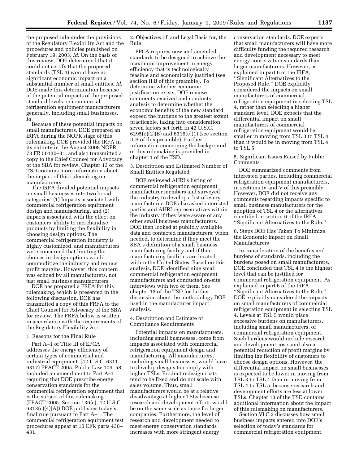the proposed rule under the provisions of the Regulatory Flexibility Act and the procedures and policies published on February 19, 2003. *Id.* On the basis of this review, DOE determined that it could not certify that the proposed standards (TSL 4) would have no significant economic impact on a substantial number of small entities. *Id.*  DOE made this determination because of the potential impacts of the proposed standard levels on commercial refrigeration equipment manufacturers generally, including small businesses. *Id.* 

Because of these potential impacts on small manufacturers, DOE prepared an IRFA during the NOPR stage of this rulemaking. DOE provided the IRFA in its entirety in the August 2008 NOPR, 73 FR 50130–31, and also transmitted a copy to the Chief Counsel for Advocacy of the SBA for review. Chapter 13 of the TSD contains more information about the impact of this rulemaking on manufacturers.

The IRFA divided potential impacts on small businesses into two broad categories: (1) Impacts associated with commercial refrigeration equipment design and manufacturing, and (2) impacts associated with the effect on customers' ability to merchandise products by limiting the flexibility in choosing design options. The commercial refrigeration industry is highly customized, and manufacturers were concerned that limiting the choices in design options would commoditize the industry and reduce profit margins. However, this concern was echoed by all manufacturers, not just small business manufacturers.

DOE has prepared a FRFA for this rulemaking, which is presented in the following discussion. DOE has transmitted a copy of this FRFA to the Chief Counsel for Advocacy of the SBA for review. The FRFA below is written in accordance with the requirements of the Regulatory Flexibility Act.

#### 1. Reasons for the Final Rule

Part A–1 of Title III of EPCA addresses the energy efficiency of certain types of commercial and industrial equipment. (42 U.S.C. 6311– 6317) EPACT 2005, Public Law 109–58, included an amendment to Part A–1 requiring that DOE prescribe energy conservation standards for the commercial refrigeration equipment that is the subject of this rulemaking. (EPACT 2005, Section 136(c); 42 U.S.C. 6313(c)(4)(A)) DOE publishes today's final rule pursuant to Part A–1. The commercial refrigeration equipment test procedures appear at 10 CFR parts 430– 431.

2. Objectives of, and Legal Basis for, the Rule

EPCA requires new and amended standards to be designed to achieve the maximum improvement in energy efficiency that is technologically feasible and economically justified (see section II.B of this preamble). To determine whether economic justification exists, DOE reviews comments received and conducts analysis to determine whether the economic benefits of the new standard exceed the burdens to the greatest extent practicable, taking into consideration seven factors set forth in 42 U.S.C. 6295(o)(2)(B) and 6316(e)(1) (see section II.B of this preamble). Further information concerning the background of this rulemaking is provided in chapter 1 of the TSD.

3. Description and Estimated Number of Small Entities Regulated

DOE reviewed AHRI's listing of commercial refrigeration equipment manufacturer members and surveyed the industry to develop a list of every manufacturer. DOE also asked interested parties and AHRI representatives within the industry if they were aware of any other small business manufacturers. DOE then looked at publicly available data and contacted manufacturers, when needed, to determine if they meet the SBA's definition of a small business manufacturing facility and if their manufacturing facilities are located within the United States. Based on this analysis, DOE identified nine small commercial refrigeration equipment manufacturers and conducted on-site interviews with two of them. See chapter 13 of the TSD for further discussion about the methodology DOE used in the manufacturer impact analysis.

#### 4. Description and Estimate of Compliance Requirements

Potential impacts on manufacturers, including small businesses, come from impacts associated with commercial refrigeration equipment design and manufacturing. All manufacturers, including small businesses, would have to develop designs to comply with higher TSLs. Product redesign costs tend to be fixed and do not scale with sales volume. Thus, small manufacturers would be at a relative disadvantage at higher TSLs because research and development efforts would be on the same scale as those for larger companies. Furthermore, the level of research and development needed to meet energy conservation standards increases with more stringent energy

conservation standards. DOE expects that small manufacturers will have more difficulty funding the required research and development necessary to meet energy conservation standards than larger manufacturers. However, as explained in part 6 of the IRFA, ''Significant Alternatives to the Proposed Rule,'' DOE explicitly considered the impacts on small manufacturers of commercial refrigeration equipment in selecting TSL 4, rather than selecting a higher standard level. DOE expects that the differential impact on small manufacturers of commercial refrigeration equipment would be smaller in moving from TSL 3 to TSL 4 than it would be in moving from TSL 4 to TSL 5.

5. Significant Issues Raised by Public Comments

DOE summarized comments from interested parties, including commercial refrigeration equipment manufacturers, in sections IV and V of this preamble. However, DOE did not receive any comments regarding impacts specific to small business manufacturers for the adoption of TSL 4 or the alternatives identified in section 6 of the IRFA, ''Significant Alternatives to the Rule.''

6. Steps DOE Has Taken To Minimize the Economic Impact on Small Manufacturers

In consideration of the benefits and burdens of standards, including the burdens posed on small manufacturers, DOE concluded that TSL 4 is the highest level that can be justified for commercial refrigeration equipment. As explained in part 6 of the IRFA, ''Significant Alternatives to the Rule,'' DOE explicitly considered the impacts on small manufacturers of commercial refrigeration equipment in selecting TSL 4. Levels at TSL 5 would place excessive burdens on manufacturers, including small manufacturers, of commercial refrigeration equipment. Such burdens would include research and development costs and also a potential reduction of profit margins by limiting the flexibility of customers to choose design options. However, the differential impact on small businesses is expected to be lower in moving from TSL 3 to TSL 4 than in moving from TSL 4 to TSL 5, because research and development efforts are less at lower TSLs. Chapter 13 of the TSD contains additional information about the impact of this rulemaking on manufacturers.

Section VI.C.2 discusses how small business impacts entered into DOE's selection of today's standards for commercial refrigeration equipment.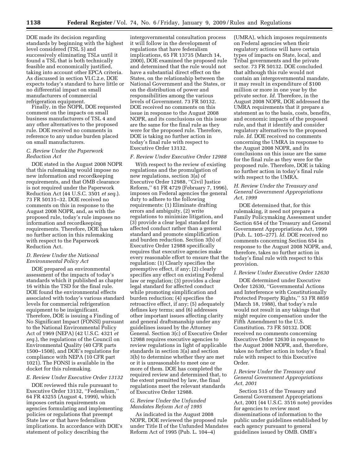DOE made its decision regarding standards by beginning with the highest level considered (TSL 5) and successively eliminating TSLs until it found a TSL that is both technically feasible and economically justified, taking into account other EPCA criteria. As discussed in section VI.C.2.e, DOE expects today's standard to have little or no differential impact on small manufacturers of commercial refrigeration equipment.

Finally, in the NOPR, DOE requested comment on the impacts on small business manufacturers of TSL 4 and any other alternatives to the proposed rule. DOE received no comments in reference to any undue burden placed on small manufacturers.

#### *C. Review Under the Paperwork Reduction Act*

DOE stated in the August 2008 NOPR that this rulemaking would impose no new information and recordkeeping requirements, and that OMB clearance is not required under the Paperwork Reduction Act (44 U.S.C. 3501 *et seq.*). 73 FR 50131–32. DOE received no comments on this in response to the August 2008 NOPR, and, as with the proposed rule, today's rule imposes no information and recordkeeping requirements. Therefore, DOE has taken no further action in this rulemaking with respect to the Paperwork Reduction Act.

#### *D. Review Under the National Environmental Policy Act*

DOE prepared an environmental assessment of the impacts of today's standards which it published as chapter 16 within the TSD for the final rule. DOE found the environmental effects associated with today's various standard levels for commercial refrigeration equipment to be insignificant. Therefore, DOE is issuing a Finding of No Significant Impact (FONSI) pursuant to the National Environmental Policy Act of 1969 (NEPA) (42 U.S.C. 4321 *et seq.*), the regulations of the Council on Environmental Quality (40 CFR parts 1500–1508), and DOE's regulations for compliance with NEPA (10 CFR part 1021). The FONSI is available in the docket for this rulemaking.

### *E. Review Under Executive Order 13132*

DOE reviewed this rule pursuant to Executive Order 13132, ''Federalism,'' 64 FR 43255 (August 4, 1999), which imposes certain requirements on agencies formulating and implementing policies or regulations that preempt State law or that have federalism implications. In accordance with DOE's statement of policy describing the

intergovernmental consultation process it will follow in the development of regulations that have federalism implications, 65 FR 13735 (March 14, 2000), DOE examined the proposed rule and determined that the rule would not have a substantial direct effect on the States, on the relationship between the National Government and the States, or on the distribution of power and responsibilities among the various levels of Government. 73 FR 50132. DOE received no comments on this issue in response to the August 2008 NOPR, and its conclusions on this issue are the same for the final rule as they were for the proposed rule. Therefore, DOE is taking no further action in today's final rule with respect to Executive Order 13132.

#### *F. Review Under Executive Order 12988*

With respect to the review of existing regulations and the promulgation of new regulations, section 3(a) of Executive Order 12988, ''Civil Justice Reform,'' 61 FR 4729 (February 7, 1996), imposes on Federal agencies the general duty to adhere to the following requirements: (1) Eliminate drafting errors and ambiguity, (2) write regulations to minimize litigation, and (3) provide a clear legal standard for affected conduct rather than a general standard and promote simplification and burden reduction. Section 3(b) of Executive Order 12988 specifically requires that executive agencies make every reasonable effort to ensure that the regulation: (1) Clearly specifies the preemptive effect, if any; (2) clearly specifies any effect on existing Federal law or regulation; (3) provides a clear legal standard for affected conduct while promoting simplification and burden reduction; (4) specifies the retroactive effect, if any; (5) adequately defines key terms; and (6) addresses other important issues affecting clarity and general draftsmanship under any guidelines issued by the Attorney General. Section 3(c) of Executive Order 12988 requires executive agencies to review regulations in light of applicable standards in section 3(a) and section 3(b) to determine whether they are met or it is unreasonable to meet one or more of them. DOE has completed the required review and determined that, to the extent permitted by law, the final regulations meet the relevant standards of Executive Order 12988.

#### *G. Review Under the Unfunded Mandates Reform Act of 1995*

As indicated in the August 2008 NOPR, DOE reviewed the proposed rule under Title II of the Unfunded Mandates Reform Act of 1995 (Pub. L. 104–4)

(UMRA), which imposes requirements on Federal agencies when their regulatory actions will have certain types of impacts on State, local, and Tribal governments and the private sector. 73 FR 50132. DOE concluded that although this rule would not contain an intergovernmental mandate, it may result in expenditure of \$100 million or more in one year by the private sector. *Id.* Therefore, in the August 2008 NOPR, DOE addressed the UMRA requirements that it prepare a statement as to the basis, costs, benefits, and economic impacts of the proposed rule, and that it identify and consider regulatory alternatives to the proposed rule. *Id*. DOE received no comments concerning the UMRA in response to the August 2008 NOPR, and its conclusions on this issue are the same for the final rule as they were for the proposed rule. Therefore, DOE is taking no further action in today's final rule with respect to the UMRA.

#### *H. Review Under the Treasury and General Government Appropriations Act, 1999*

DOE determined that, for this rulemaking, it need not prepare a Family Policymaking Assessment under Section 654 of the Treasury and General Government Appropriations Act, 1999 (Pub. L. 105–277). *Id*. DOE received no comments concerning Section 654 in response to the August 2008 NOPR, and, therefore, takes no further action in today's final rule with respect to this provision.

#### *I. Review Under Executive Order 12630*

DOE determined under Executive Order 12630, ''Governmental Actions and Interference with Constitutionally Protected Property Rights,'' 53 FR 8859 (March 18, 1988), that today's rule would not result in any takings that might require compensation under the Fifth Amendment to the U.S. Constitution. 73 FR 50132. DOE received no comments concerning Executive Order 12630 in response to the August 2008 NOPR, and, therefore, takes no further action in today's final rule with respect to this Executive Order.

#### *J. Review Under the Treasury and General Government Appropriations Act, 2001*

Section 515 of the Treasury and General Government Appropriations Act, 2001 (44 U.S.C. 3516 note) provides for agencies to review most disseminations of information to the public under guidelines established by each agency pursuant to general guidelines issued by OMB. OMB's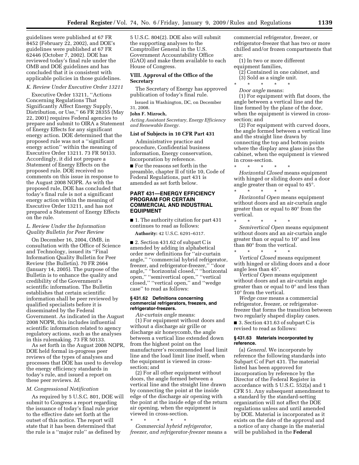guidelines were published at 67 FR 8452 (February 22, 2002), and DOE's guidelines were published at 67 FR 62446 (October 7, 2002). DOE has reviewed today's final rule under the OMB and DOE guidelines and has concluded that it is consistent with applicable policies in those guidelines.

#### *K. Review Under Executive Order 13211*

Executive Order 13211, ''Actions Concerning Regulations That Significantly Affect Energy Supply, Distribution, or Use,'' 66 FR 28355 (May 22, 2001) requires Federal agencies to prepare and submit to OIRA a Statement of Energy Effects for any significant energy action. DOE determined that the proposed rule was not a ''significant energy action'' within the meaning of Executive Order 13211. 73 FR 50133. Accordingly, it did not prepare a Statement of Energy Effects on the proposed rule. DOE received no comments on this issue in response to the August 2008 NOPR. As with the proposed rule, DOE has concluded that today's final rule is not a significant energy action within the meaning of Executive Order 13211, and has not prepared a Statement of Energy Effects on the rule.

#### *L. Review Under the Information Quality Bulletin for Peer Review*

On December 16, 2004, OMB, in consultation with the Office of Science and Technology, issued its ''Final Information Quality Bulletin for Peer Review (the Bulletin). 70 FR 2664 (January 14, 2005). The purpose of the Bulletin is to enhance the quality and credibility of the Government's scientific information. The Bulletin establishes that certain scientific information shall be peer reviewed by qualified specialists before it is disseminated by the Federal Government. As indicated in the August 2008 NOPR, this includes influential scientific information related to agency regulatory actions, such as the analyses in this rulemaking. 73 FR 50133.

As set forth in the August 2008 NOPR, DOE held formal in-progress peer reviews of the types of analyses and processes that DOE has used to develop the energy efficiency standards in today's rule, and issued a report on these peer reviews. *Id*.

#### *M. Congressional Notification*

As required by 5 U.S.C. 801, DOE will submit to Congress a report regarding the issuance of today's final rule prior to the effective date set forth at the outset of this notice. The report will state that it has been determined that the rule is a ''major rule'' as defined by

5 U.S.C. 804(2). DOE also will submit the supporting analyses to the Comptroller General in the U.S. Government Accountability Office (GAO) and make them available to each House of Congress.

#### **VIII. Approval of the Office of the Secretary**

The Secretary of Energy has approved publication of today's final rule.

Issued in Washington, DC, on December 31, 2008.

#### **John F. Mizroch,**

*Acting Assistant Secretary, Energy Efficiency and Renewable Energy.* 

#### **List of Subjects in 10 CFR Part 431**

Administrative practice and procedure, Confidential business information, Energy conservation, Incorporation by reference.

■ For the reasons set forth in the preamble, chapter II of title 10, Code of Federal Regulations, part 431 is amended as set forth below.

#### **PART 431—ENERGY EFFICIENCY PROGRAM FOR CERTAIN COMMERCIAL AND INDUSTRIAL EQUIPMENT**

■ 1. The authority citation for part 431 continues to read as follows:

**Authority:** 42 U.S.C. 6291–6317.

■ 2. Section 431.62 of subpart C is amended by adding in alphabetical order new definitions for ''air-curtain angle,'' ''commercial hybrid refrigerator, freezer, and refrigerator-freezer,'' ''door angle,'' ''horizontal closed,'' ''horizontal open,'' ''semivertical open,'' ''vertical closed,'' ''vertical open,'' and ''wedge case'' to read as follows:

#### **§ 431.62 Definitions concerning commercial refrigerators, freezers, and refrigerator-freezers.**

*Air-curtain angle* means: (1) For equipment without doors and without a discharge air grille or discharge air honeycomb, the angle between a vertical line extended down from the highest point on the manufacturer's recommended load limit line and the load limit line itself, when the equipment is viewed in crosssection; and

(2) For all other equipment without doors, the angle formed between a vertical line and the straight line drawn by connecting the point at the inside edge of the discharge air opening with the point at the inside edge of the return air opening, when the equipment is viewed in cross-section.

\* \* \* \* \* *Commercial hybrid refrigerator, freezer, and refrigerator-freezer* means a commercial refrigerator, freezer, or refrigerator-freezer that has two or more chilled and/or frozen compartments that are:

- (1) In two or more different equipment families,
	- (2) Contained in one cabinet, and (3) Sold as a single unit.

\* \* \* \* \*

*Door angle* means:

\* \* \* \* \*

(1) For equipment with flat doors, the angle between a vertical line and the line formed by the plane of the door, when the equipment is viewed in crosssection; and

(2) For equipment with curved doors, the angle formed between a vertical line and the straight line drawn by connecting the top and bottom points where the display area glass joins the cabinet, when the equipment is viewed in cross-section.

\* \* \* \* \* *Horizontal Closed* means equipment with hinged or sliding doors and a door angle greater than or equal to 45°.

*Horizontal Open* means equipment without doors and an air-curtain angle greater than or equal to 80° from the vertical.

\* \* \* \* \* *Semivertical Open* means equipment without doors and an air-curtain angle greater than or equal to 10° and less than 80° from the vertical. \* \* \* \* \*

*Vertical Closed* means equipment with hinged or sliding doors and a door angle less than 45°.

*Vertical Open* means equipment without doors and an air-curtain angle greater than or equal to 0° and less than 10° from the vertical.

*Wedge case* means a commercial refrigerator, freezer, or refrigeratorfreezer that forms the transition between two regularly shaped display cases.

■ 3. Section 431.63 of subpart C is revised to read as follows:

#### **§ 431.63 Materials incorporated by reference.**

(a) *General*. We incorporate by reference the following standards into Subpart C of Part 431. The material listed has been approved for incorporation by reference by the Director of the Federal Register in accordance with 5 U.S.C. 552(a) and 1 CFR 51. Any subsequent amendment to a standard by the standard-setting organization will not affect the DOE regulations unless and until amended by DOE. Material is incorporated as it exists on the date of the approval and a notice of any change in the material will be published in the **Federal**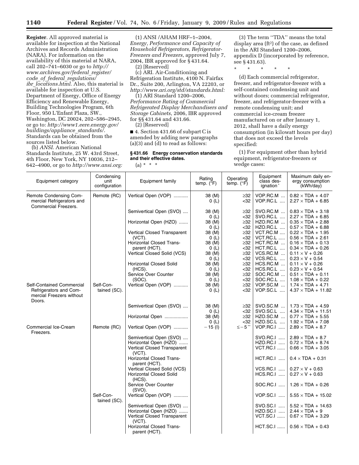**Register**. All approved material is available for inspection at the National Archives and Records Administration (NARA). For information on the availability of this material at NARA, call 202–741–6030 or go to *http:// www.archives.gov/federal*\_*register/ code*\_*of*\_*federal*\_*regulations/ ibr*\_*locations.html*. Also, this material is available for inspection at U.S. Department of Energy, Office of Energy Efficiency and Renewable Energy, Building Technologies Program, 6th Floor, 950 L'Enfant Plaza, SW., Washington, DC 20024, 202–586–2945, or go to: *http://www1.eere.energy.gov/ buildings/appliance*\_*standards/*. Standards can be obtained from the sources listed below.

(b) *ANSI*. American National Standards Institute, 25 W. 43rd Street, 4th Floor, New York, NY 10036, 212– 642–4900, or go to *http://www.ansi.org:* 

(1) ANSI /AHAM HRF–1–2004, *Energy, Performance and Capacity of Household Refrigerators, Refrigerator-Freezers and Freezers*, approved July 7, 2004, IBR approved for § 431.64.

(2) [Reserved]

(c) ARI. Air-Conditioning and Refrigeration Institute, 4100 N. Fairfax Dr., Suite 200, Arlington, VA 22203, or *http://www.ari.org/std/standards.html:* 

(1) ARI Standard 1200–2006, *Performance Rating of Commercial Refrigerated Display Merchandisers and Storage Cabinets*, 2006, IBR approved for §§ 431.64 and 431.66.

(2) [Reserved]

■ 4. Section 431.66 of subpart C is amended by adding new paragraphs (a)(3) and (d) to read as follows:

#### **§ 431.66 Energy conservation standards and their effective dates.**

 $(a) * * * *$ 

(3) The term ''TDA'' means the total display area (ft2) of the case, as defined in the ARI Standard 1200–2006, appendix D (incorporated by reference, see § 431.63).

\* \* \* \* \*

(d) Each commercial refrigerator, freezer, and refrigerator-freezer with a self-contained condensing unit and without doors; commercial refrigerator, freezer, and refrigerator-freezer with a remote condensing unit; and commercial ice-cream freezer manufactured on or after January 1, 2012, shall have a daily energy consumption (in kilowatt hours per day) that does not exceed the levels specified:

(1) For equipment other than hybrid equipment, refrigerator-freezers or wedge cases:

| Equipment category                                                          | Condensing<br>unit<br>configuration | Equipment family                                     | Rating<br>temp. $(\bar{P}F)$ | Operating<br>temp. $(^{\circ}F)$ | Equipment<br>class des-<br>ignation <sup>*</sup> | Maximum daily en-<br>ergy consumption<br>(kWh/day)    |
|-----------------------------------------------------------------------------|-------------------------------------|------------------------------------------------------|------------------------------|----------------------------------|--------------------------------------------------|-------------------------------------------------------|
| Remote Condensing Com-<br>mercial Refrigerators and<br>Commercial Freezers. | Remote (RC)                         | Vertical Open (VOP)                                  | 38 (M)<br>0(L)               | $\geq$ 32<br>$32$                | VOP.RC.M<br>VOP.RC.L                             | $0.82 \times TDA + 4.07$<br>$2.27 \times TDA + 6.85$  |
|                                                                             |                                     | Semivertical Open (SVO)                              | 38 (M)                       | $\geq$ 32                        | SVO.RC.M                                         | $0.83 \times TDA + 3.18$                              |
|                                                                             |                                     |                                                      | 0(L)                         | $32$                             | SVO.RC.L                                         | $2.27 \times TDA + 6.85$                              |
|                                                                             |                                     | Horizontal Open (HZO)                                | 38 (M)                       | $\geq$ 32<br>$32$                | HZO.RC.M<br><b>HZO.RC.L </b>                     | $0.35 \times TDA + 2.88$<br>$0.57 \times TDA + 6.88$  |
|                                                                             |                                     | Vertical Closed Transparent                          | 0(L)<br>38 (M)               | $\geq$ 32                        | VCT.RC.M                                         | $0.22 \times TDA + 1.95$                              |
|                                                                             |                                     | $(VCT)$ .                                            | 0(L)                         | $32$                             | $VCT.RC.L$                                       | $0.56 \times TDA + 2.61$                              |
|                                                                             |                                     | <b>Horizontal Closed Trans-</b>                      | 38 (M)                       | $\geq$ 32                        | HCT.RC.M                                         | $0.16 \times TDA + 0.13$                              |
|                                                                             |                                     | parent (HCT).                                        | 0(L)                         | $32$                             | $HCT.RC.L$                                       | $0.34 \times TDA + 0.26$                              |
|                                                                             |                                     | Vertical Closed Solid (VCS)                          | 38 (M)                       | $\geq$ 32<br>$32$                | VCS.RC.M<br>VCS.RC.L                             | $0.11 \times V + 0.26$<br>$0.23 \times V + 0.54$      |
|                                                                             |                                     | <b>Horizontal Closed Solid</b>                       | 0(L)<br>38 (M)               | $\geq$ 32                        | HCS.RC.M                                         | $0.11 \times V + 0.26$                                |
|                                                                             |                                     | $(HCS)$ .                                            | 0(L)                         | $32$                             | $HCS.RC.L$                                       | $0.23 \times V + 0.54$                                |
|                                                                             |                                     | Service Over Counter                                 | 38 (M)                       | $\geq$ 32                        | SOC.RC.M                                         | $0.51 \times TDA + 0.11$                              |
|                                                                             |                                     | $(SOC)$ .                                            | 0(L)                         | $32$                             | SOC.RC.L                                         | $1.08 \times TDA + 0.22$                              |
| Self-Contained Commercial                                                   | Self-Con-                           | Vertical Open (VOP)                                  | 38 (M)                       | $\geq$ 32                        | VOP.SC.M                                         | $1.74 \times TDA + 4.71$                              |
| Refrigerators and Com-<br>mercial Freezers without<br>Doors.                | tained (SC).                        |                                                      | 0(L)                         | $32$                             | VOP.SC.L                                         | $4.37 \times TDA + 11.82$                             |
|                                                                             |                                     | Semivertical Open (SVO)                              | 38 (M)<br>0(L)               | $\geq$ 32<br>$32$                | SVO.SC.M<br>SVO.SC.L                             | $1.73 \times TDA + 4.59$<br>$4.34 \times TDA + 11.51$ |
|                                                                             |                                     | Horizontal Open                                      | 38 (M)                       | $\geq$ 32                        | HZO.SC.M                                         | $0.77 \times TDA + 5.55$                              |
|                                                                             |                                     |                                                      | 0(L)                         | $32$                             | HZO.SC.L                                         | $1.92 \times TDA + 7.08$                              |
| Commercial Ice-Cream<br>Freezers.                                           | Remote (RC)                         | Vertical Open (VOP)                                  | $-15$ (l)                    | $\le$ $-5$ $\cdot$               | VOP.RC.I                                         | $2.89 \times TDA + 8.7$                               |
|                                                                             |                                     | Semivertical Open (SVO)                              |                              |                                  | <b>SVO.RC.I </b>                                 | $2.89 \times TDA + 8.7$                               |
|                                                                             |                                     | Horizontal Open (HZO)<br>Vertical Closed Transparent |                              |                                  | HZO.RC.I<br><b>VCT.RC.I </b>                     | $0.72 \times TDA + 8.74$<br>$0.66 \times TDA + 3.05$  |
|                                                                             |                                     | $(VCT)$ .                                            |                              |                                  |                                                  |                                                       |
|                                                                             |                                     | Horizontal Closed Trans-<br>parent (HCT).            |                              |                                  | <b>HCT.RC.I </b>                                 | $0.4 \times TDA + 0.31$                               |
|                                                                             |                                     | Vertical Closed Solid (VCS)                          |                              |                                  | $VCS.RC.I$                                       | $0.27 \times V + 0.63$                                |
|                                                                             |                                     | <b>Horizontal Closed Solid</b><br>$(HCS)$ .          |                              |                                  | $HCS.RC.I$                                       | $0.27 \times V + 0.63$                                |
|                                                                             |                                     | Service Over Counter<br>(SVO).                       |                              |                                  | $SOC.RC.I$                                       | $1.26 \times TDA + 0.26$                              |
|                                                                             | Self-Con-<br>tained (SC).           | Vertical Open (VOP)                                  |                              |                                  | VOP.SC.I                                         | $5.55\times TDA + 15.02$                              |
|                                                                             |                                     | Semivertical Open (SVO)                              |                              |                                  | SVO.SC.I                                         | $5.52 \times TDA + 14.63$                             |
|                                                                             |                                     | Horizontal Open (HZO)                                |                              |                                  | HZO.SC.I                                         | $2.44 \times TDA + 9$                                 |
|                                                                             |                                     | Vertical Closed Transparent<br>(VCT).                |                              |                                  | <b>VCT.SC.I </b>                                 | $0.67 \times TDA + 3.29$                              |
|                                                                             |                                     | Horizontal Closed Trans-<br>parent (HCT).            |                              |                                  |                                                  | HCT.SC.I    $0.56 \times TDA + 0.43$                  |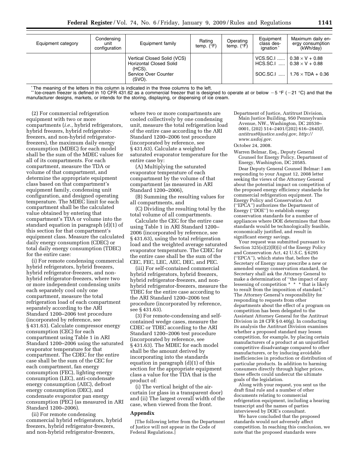| Equipment category | Condensing<br>unit<br>configuration | Equipment family                                                                                          | Rating<br>temp. $(^{\circ}F)$ | Operating<br>temp. $(^{\circ}F)$ | Equipment<br>class des-<br>ignation <sup>*</sup> | Maximum daily en-<br>ergy consumption<br>(kWh/day)                                                               |
|--------------------|-------------------------------------|-----------------------------------------------------------------------------------------------------------|-------------------------------|----------------------------------|--------------------------------------------------|------------------------------------------------------------------------------------------------------------------|
|                    |                                     | Vertical Closed Solid (VCS)<br><b>Horizontal Closed Solid</b><br>(HCS).<br>Service Over Counter<br>(SVO). |                               |                                  |                                                  | VCS.SC.I    $0.38 \times V + 0.88$<br>HCS.SC.I    $0.38 \times V + 0.88$<br>SOC.SC.I    1.76 $\times$ TDA + 0.36 |

\*The meaning of the letters in this column is indicated in the three columns to the left.<br>\*\* Ice-cream freezer is defined in 10 CFR 431.62 as a commercial freezer that is designed to operate at or below  $-5$  °F ( $-21$  °C) manufacturer designs, markets, or intends for the storing, displaying, or dispensing of ice cream.

(2) For commercial refrigeration equipment with two or more compartments (*i.e.*, hybrid refrigerators, hybrid freezers, hybrid refrigeratorfreezers, and non-hybrid refrigeratorfreezers), the maximum daily energy consumption (MDEC) for each model shall be the sum of the MDEC values for all of its compartments. For each compartment, measure the TDA or volume of that compartment, and determine the appropriate equipment class based on that compartment's equipment family, condensing unit configuration, and designed operating temperature. The MDEC limit for each compartment shall be the calculated value obtained by entering that compartment's TDA or volume into the standard equation in paragraph (d)(1) of this section for that compartment's equipment class. Measure the calculated daily energy consumption (CDEC) or total daily energy consumption (TDEC) for the entire case:

(i) For remote condensing commercial hybrid refrigerators, hybrid freezers, hybrid refrigerator-freezers, and nonhybrid refrigerator-freezers, where two or more independent condensing units each separately cool only one compartment, measure the total refrigeration load of each compartment separately according to the ARI Standard 1200–2006 test procedure (incorporated by reference, see § 431.63). Calculate compressor energy consumption (CEC) for each compartment using Table 1 in ARI Standard 1200–2006 using the saturated evaporator temperature for that compartment. The CDEC for the entire case shall be the sum of the CEC for each compartment, fan energy consumption (FEC), lighting energy consumption (LEC), anti-condensate energy consumption (AEC), defrost energy consumption (DEC), and condensate evaporator pan energy consumption (PEC) (as measured in ARI Standard 1200–2006).

(ii) For remote condensing commercial hybrid refrigerators, hybrid freezers, hybrid refrigerator-freezers, and non-hybrid refrigerator-freezers,

where two or more compartments are cooled collectively by one condensing unit, measure the total refrigeration load of the entire case according to the ARI Standard 1200–2006 test procedure (incorporated by reference, see § 431.63). Calculate a weighted saturated evaporator temperature for the entire case by:

(A) Multiplying the saturated evaporator temperature of each compartment by the volume of that compartment (as measured in ARI Standard 1200–2006),

(B) Summing the resulting values for all compartments, and

(C) Dividing the resulting total by the total volume of all compartments.

Calculate the CEC for the entire case using Table 1 in ARI Standard 1200– 2006 (incorporated by reference, see § 431.63), using the total refrigeration load and the weighted average saturated evaporator temperature. The CDEC for the entire case shall be the sum of the CEC, FEC, LEC, AEC, DEC, and PEC.

(iii) For self-contained commercial hybrid refrigerators, hybrid freezers, hybrid refrigerator-freezers, and nonhybrid refrigerator-freezers, measure the TDEC for the entire case according to the ARI Standard 1200–2006 test procedure (incorporated by reference, see § 431.63).

(3) For remote-condensing and selfcontained wedge cases, measure the CDEC or TDEC according to the ARI Standard 1200–2006 test procedure (incorporated by reference, see § 431.63). The MDEC for each model shall be the amount derived by incorporating into the standards equation in paragraph (d)(1) of this section for the appropriate equipment class a value for the TDA that is the product of:

(i) The vertical height of the aircurtain (or glass in a transparent door) and (ii) The largest overall width of the case, when viewed from the front.

#### **Appendix**

[The following letter from the Department of Justice will not appear in the Code of Federal Regulations.]

- Department of Justice, Antitrust Division, Main Justice Building, 950 Pennsylvania Avenue, NW., Washington, DC 20530– 0001,  $(202)$  514–2401/ $(202)$  616–2645 $(f,$ *antitrust@justice.usdoj.gov, http:// www.usdoj.gov*.
- October 24, 2008.
- Warren Belmar, Esq., Deputy General Counsel for Energy Policy, Department of Energy, Washington, DC 20585.

Dear Deputy General Counsel Belmar: I am responding to your August 12, 2008 letter seeking the views of the Attorney General about the potential impact on competition of the proposed energy efficiency standards for commercial refrigeration equipment. The Energy Policy and Conservation Act (''EPCA'') authorizes the Department of Energy (''DOE'') to establish energy conservation standards for a number of appliances where DOE determines that those standards would be technologically feasible, economically justified, and result in significant energy savings.

Your request was submitted pursuant to Section 325(o)(2)(B)(i) of the Energy Policy and Conservation Act, 42 U.S.C. § 6295 (''EPCA''), which states that, before the Secretary of Energy may prescribe a new or amended energy conservation standard, the Secretary shall ask the Attorney General to make a determination of ''the impact of any lessening of competition \* \* \* that is likely to result from the imposition of standard.'' The Attorney General's responsibility for responding to requests from other departments about the effect of a program on competition has been delegated to the Assistant Attorney General for the Antitrust Division in 28 CFR  $\S$  0.40(g). In conducting its analysis the Antitrust Division examines whether a proposed standard may lessen competition, for example, by placing certain manufacturers of a product at an unjustified competitive disadvantage compared to other manufacturers, or by inducing avoidable inefficiencies in production or distribution of particular products. In addition to harming consumers directly through higher prices, these effects could undercut the ultimate goals of the legislation.

Along with your request, you sent us the draft final rule and a number of other documents relating to commercial refrigeration equipment, including a hearing transcript and the names of parties interviewed by DOE's consultant.

We have concluded that the proposed standards would not adversely affect competition. In reaching this conclusion, we note that the proposed standards were